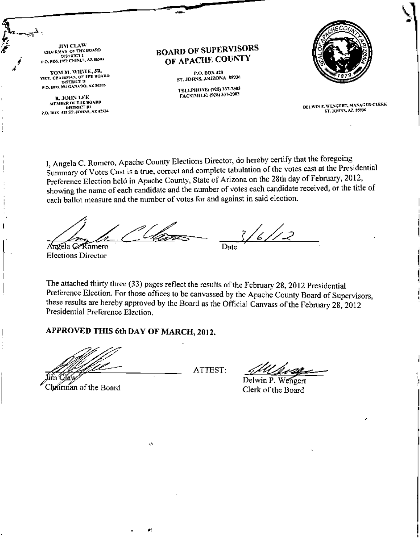JIM CLAW CHAIRMAN OF THE BOARD P.O. BOX 1952 CHINLE, AZ 86503

TOM M. WILITE, JR. **MCE CHAIRMAN OF THE BOARD**<br>MCE CHAIRMAN OF THE BOARD P.O. BOX 994 GANADO, AZ 86505

**R. JOHN LEE MEMBER OF THE BOARD DISTRICT III** P.O. BOX 428 ST. JOHNS, AZ 45934

ļ

 $\overline{\phantom{a}}$ 

Ţ

**BOARD OF SUPERVISORS** OF APACHE COUNTY

> P.O. BOX 428 ST. JOHNS, ARIZONA 85936

TELEPHONE: (928) 337-7503 FACSIMILE: (928) 337-2003



DELWIN F. WENGERT, MANAGER-CLERK ST. JOHNS, AZ. 85936

l, Angela C. Romero, Apache County Elections Director, do hereby certify that the foregoing Summary of Votes Cast is a true, correct and complete tabulation of the votes cast at the Presidential Preference Election held in Apache County, State of Arizona on the 28th day of February, 2012, showing the name of each candidate and the number of votes each candidate received, or the title of each ballot measure and the number of votes for and against in said election.

 $\mathcal{L}_{\mathcal{L}}$ Angela CARomero Date

**Elections Director** 

The attached thirty three (33) pages reflect the results of the February 28, 2012 Presidential Preference Election. For those offices to be canvassed by the Apache County Board of Supervisors, these results are hereby approved by the Board as the Official Canvass of the February 28, 2012 Presidential Preference Election.

#### APPROVED THIS 6th DAY OF MARCH, 2012.

k.

d.

Chairman of the Board

ATTEST:

Delwin P. Clerk of the Board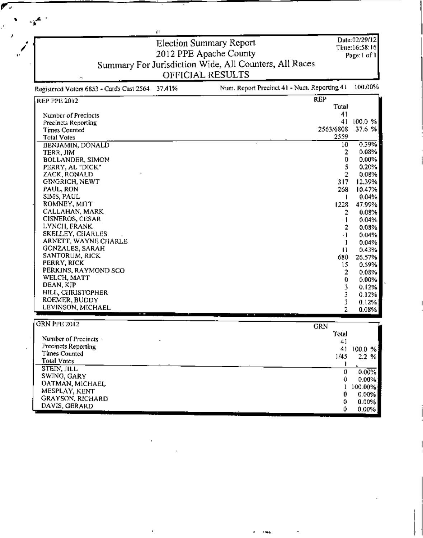Election Summary Report Date:02/29/12 Time:16:58:16 2012 PPE Apache County<br>Summary For Jurisdiction Wide, All Counters, All Races Page:1 of 1 OFFICIAL RESULTS Num. Report Precinct 41 - Num. Reporting 41 100.00% Registered Voters 6853 - Cards Cast 2564 37.41%

å.

| <b>REP PPE 2012</b>     | <b>REP</b> |        |
|-------------------------|------------|--------|
|                         | Total      |        |
| Number of Precincts     | 41         |        |
| Precincts Reporting     | 41         | 100.0% |
| <b>Times Counted</b>    | 2563/6808  | 37.6%  |
| <b>Total Votes</b>      | 2559       |        |
| BENJAMIN, DONALD        | 10         | 0.39%  |
| TERR. JIM               | 2          | 0.08%  |
| <b>BOLLANDER, SIMON</b> | 0          | 0.00%  |
| PERRY, AL "DICK"        | 5          | 0.20%  |
| ZACK, RONALD            | 2          | 0.08%  |
| GINGRICH, NEWT          | 317        | 12.39% |
| PAUL, RON               | 268        | 10.47% |
| SIMS, PAUL              |            | 0.04%  |
| ROMNEY, MITT            | 1228       | 47.99% |
| CALLAHAN, MARK          | 2          | 0.08%  |
| CISNEROS, CESAR         | $\cdot$ 1  | 0.04%  |
| LYNCH, FRANK            | 2          | 0.08%  |
| SKELLEY, CHARLES        | $\cdot$ 1  | 0.04%  |
| ARNETT, WAYNE CHARLE    | 1          | 0.04%  |
| GONZALES, SARAH         | п          | 0.43%  |
| SANTORUM, RICK          | 680.       | 26.57% |
| PERRY, RICK             | 15         | 0.59%  |
| PERKINS, RAYMOND SCO    | 2          | 0.08%  |
| WELCH, MATT             | 0.         | 0.00%  |
| DEAN, KJP               | 3          | 0.12%  |
| HILL, CHRISTOPHER       | 3          | 0.12%  |
| ROEMER, BUDDY           |            | 0.12%  |
| LEVINSON, MICHAEL       |            | 0.08%  |

| GRN PPE 2012                | GRN   |            |
|-----------------------------|-------|------------|
|                             | Total |            |
| Number of Precincts $\cdot$ | 41    |            |
| Precincts Reporting         | 41    | $100.0 \%$ |
| Times Counted               | 1/45  | 2.2%       |
| Total Votes                 |       |            |
| STEIN, JILL                 |       |            |
| SWING, GARY                 | 0     | 0.00%      |
| <b>OATMAN, MICHAEL</b>      | €     | $0.00\%$   |
|                             |       | 100.00%    |
| MESPLAY, KENT               |       | 0.00%      |
| GRAYSON, RICHARD            |       | 0.00%      |
| DAVIS, GERARD               |       | $0.00\%$   |
|                             |       |            |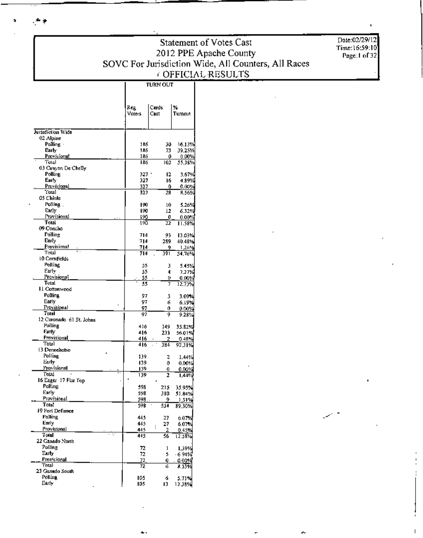Statement of Votes Cast 2012 PPE Apache County<br>SOVC For Jurisdiction Wide, All Counters, All Races COFFICIAL RESULTS

Date:02/29/12<br>Time:16:59:10<br>Page:1 of 32

|                             | Reg.<br>Voters | Cards<br>Cast | %<br>Turnout    |
|-----------------------------|----------------|---------------|-----------------|
| Jurisdiction Wide           |                |               |                 |
| 02 Alpine                   |                |               |                 |
| $P$ olling $\cdot$          | 186            | 30            | 16.13%          |
| Early                       | 186            | 73            | 39.25%          |
| Provisional<br>Total        | 186<br>186     | 0<br>103      | 0.00%<br>35.389 |
| 03 Canyon De Chelly         |                |               |                 |
| Polling                     | 327 -          | 12            | 3.67%           |
| Early                       | 327            | 16            | 4.89%           |
| Provisional                 | 327            | 0             | 0.00%           |
| Total                       | 327            | 28            | 8.569           |
| 05 Chinle<br>Polling.       |                |               |                 |
| Early                       | 190<br>190     | l0<br>12      | 5.26%<br>6.32%  |
| Provisional                 | 190            | 0             | 0.00%           |
| Total                       | 190            | 22            | 11.58%          |
| 09 Concha                   |                |               |                 |
| Polling                     | 714            | 93            | 13.03%          |
| <b>Carly</b>                | 714            | 289           | 40.48%          |
| Provisional                 | 714            | 9             | 1,26%           |
| Total<br>10 Comfields       | 714            | 391           | 54,76%          |
| Polling                     |                |               |                 |
| Early                       | 55<br>55       | э<br>4        | 5.45%<br>7.27%  |
| Provisional                 | 55             | o             | 0.00%           |
| Total                       | 55             | 7             | 12,73%          |
| 11 Cottonwood               |                |               |                 |
| <b>Polling</b>              | 97             | 3             | 3.09%           |
| Early                       | 97             | 6.            | 6.19%           |
| Provisional<br>Total        | 97             | 0             | $0.00\%$        |
| 12 Coronado 61 St. Johns    | 97             | 9             | 9.28%           |
| Polling                     | 416            | 149           | 35.82%          |
| <b>Farty</b>                | 416            | 233           | 56.01%          |
| Provisional                 | 416            | 2             | 0.48%           |
| Total                       | 416            | 384           | 92.31%          |
| 13 Dennehotso               |                |               |                 |
| Polling                     | 139            | 2             | 1.44%           |
| Early<br>Provisional        | 139<br>139     | 0             | $0.00\%$        |
| Total                       | 139            | 0<br>2        | 0.00%<br>1.44%  |
| 16 Eagar 17 Flat Top        |                |               |                 |
| Polling                     | 598            | 215           | 35.95%          |
| Early                       | 598            | 310           | 51.84%          |
| Provisional                 | 598            | 9             | 1.51%           |
| <b>Total</b>                | 598            | 534           | 89.30%          |
| 19 Fort Defiance<br>Polling |                |               |                 |
| Early                       | 445<br>445     | 27<br>27      | 6.07%<br>6.07%  |
| Provisional                 | 445            | l.<br>2       | 0.45%           |
| Total                       | 415            | 56            | 12.58%          |
| 22 Ganado North             |                |               |                 |
| Polling                     | 72             | ı             | 1.39%           |
| Euty                        | 72             | 5             | $-6.94%$        |
| Provisional                 | 72             | 0             | 0.00%           |
| Total<br>23 Ganado South    | 72             | 6             | 8.33%           |
| Polling                     | 105            | ó             | 5.71%           |
| Early                       | 105            | Ľ             | 12.38%          |
|                             |                |               |                 |

ī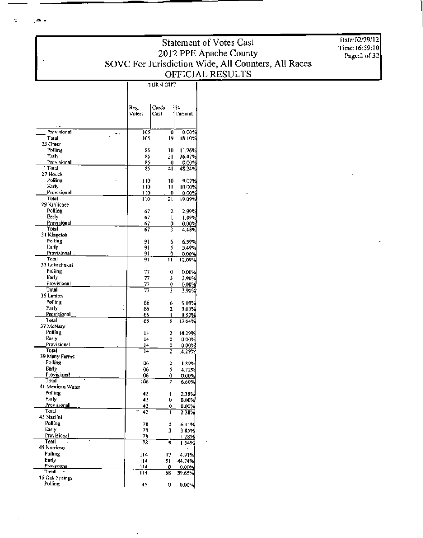$\mathbf{B}$  .

 $\mathbf{r}$ 

Statement of Votes Cast 2012 PPE Apache County<br>SOVC For Jurisdiction Wide, All Counters, All Races<br>OFFICIAL RESULTS **TURN OUT** 

Date:02/29/12 Time:16:59:10<br>Page:2 of 32

|                              |    | Reg.       | Cards   | %                 |
|------------------------------|----|------------|---------|-------------------|
|                              |    | Voters     | Cast    | Turnout           |
|                              |    |            |         |                   |
| Provisional<br>Total         |    | 103<br>105 | 0<br>l9 | 0.00%<br>18.10%   |
| 25 Green                     |    |            |         |                   |
| Polling                      |    | 85         | 10      | 11.76%            |
| Faily                        |    | 85         | 31      | 36.17%            |
| Provisional<br>Total         |    | 85<br>85   | 0<br>41 | 0.00%<br>48.24%   |
| 27 Houck                     |    |            |         |                   |
| Polling                      |    | 110        | 10      | 9.09%             |
| Early<br>Provisionall        |    | 110        | п       | 10.00%            |
| Total                        |    | 110<br>110 | 0<br>21 | 0,00%<br>19.09%   |
| 29 Kinlichee                 |    |            |         |                   |
| Polting                      |    | 67         | 2       | 2,99%             |
| Early                        |    | 67         | ı       | 1.49%             |
| Provisional<br>Total         |    | 67<br>67   | 0<br>3  | $0.00\%$<br>4.48% |
| 31 Klagetoh                  |    |            |         |                   |
| Polling                      |    | 91         | 6       | 6.59%             |
| [;ariy<br>Provisional        |    | 91         | 5       | 5.49%             |
| Total                        |    | 91<br>91   | O<br>11 | 0.00%<br>12.09%   |
| 33 Lukachukai                |    |            |         |                   |
| Polling                      |    | 77         | 0       | 0.00%             |
| Early                        |    | 77         | 3       | 3.90%             |
| Provisional<br>Total         |    | 77<br>77   | 0<br>3  | 0.00%<br>3.90%    |
| 35 Lupton                    |    |            |         |                   |
| Polling                      | ×, | 66         | 6       | 9.09%             |
| Farly                        |    | 66         | 2       | 3.03%             |
| <b>Provisional</b><br>ʻl'oul |    | 66<br>66   | 1<br>ŋ  | 1.52%<br>13.64%   |
| 37 McNary                    |    |            |         |                   |
| Polling                      |    | l4         | 2       | 14,29%            |
| Early                        |    | 14         | 0       | 0.00%             |
| Provisional<br>Total         |    | 14<br>14   | o<br>2  | 0.00%<br>14.29%   |
| 39 Many Farms                |    |            |         |                   |
| Polling                      |    | I DG       | 2       | 1.89%             |
| Early<br>Provisional         |    | 106        | 5       | 4.72%             |
| Total                        |    | 106<br>106 | Û<br>7  | 0.00%<br>6.60%)   |
| 41 Mexican Water             |    |            |         |                   |
| Polling                      |    | 42         | ı       | 2.38%             |
| Farly<br><b>Provisional</b>  |    | 42         | 0       | 0.00%             |
| Total                        |    | 42<br>42   | Û<br>1  | 0.00%<br>2.38%    |
| 43 Nazimi                    |    |            |         |                   |
| Polling                      |    | 78         | 5       | 6.41%             |
| Early<br>Provisional         |    | 78         | 3       | 3.85%             |
| Total                        |    | 78<br>78   | Ģ       | 1,28%<br>11.54%   |
| 45 Nutrioso                  |    |            |         | r                 |
| Polling                      |    | 114        | 17      | 14.91%            |
| Early<br>Provisional         |    | 114        | 51      | 44.74%            |
| Total                        |    | 114<br>114 | 0<br>68 | 0.00%<br>\$9.65%  |
| 46 Oak Springs               |    |            |         |                   |
| Polling                      |    | 45         | 0       | 0.00%             |

ī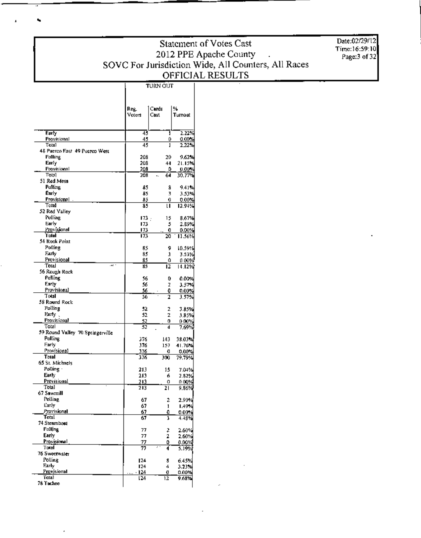### Statement of Votes Cast 2012 PPE Apache County<br>SOVC For Jurisdiction Wide, All Counters, All Races<br>OFFICIAL RESULTS **TURN OUT**

Date:02/29/12 Time:16:59:10<br>Page:3 of 32

|                                  | Reg.<br>Voters | Cards<br>Cast  | ₩<br>Turnout      |
|----------------------------------|----------------|----------------|-------------------|
| Farty                            | 43             | Ţ              | 2.22%             |
| <b>Provisional</b>               | 45             | 0              | 0.00%             |
| <b>Total</b>                     | 45             | 1              | 2.22%             |
| 48 Puerco Fast 49 Puerco West    |                |                |                   |
| Polling                          | 208            | 20             | 9.62×             |
| Early<br>Provisional             | 208<br>208     | 44             | 21.15%            |
| Тоыі                             | 208            | ٥<br>64<br>٠.  | 0.00%<br>30.77%   |
| 51 Red Mesa                      |                |                |                   |
| Pullung                          | 85             | 8              | 9.41%             |
| Early                            | 85             | 3              | 3.53%             |
| Provisional                      | 85             | 0              | 0.00%             |
| Total                            | 85             | u              | 12.94%            |
| 52 Red Valley                    |                |                |                   |
| Folling.                         | 173.           | 15             | 8,67%             |
| Early<br>Provisional             | 173            | 5              | 2.89%             |
| 'l'olat                          | 173<br>173     | 0<br>20        | 0.00%<br>11.56%   |
| 54 Rock Point                    |                |                |                   |
| Polline                          | 85             | 9              | 10.59%            |
| Early                            | 85             | Ĵ              | 3.53%             |
| Provisional                      | 85             | 0              | a oo%             |
| Total<br>est in                  | 85             | 12             | 14.12%            |
| 56 Rough Rock                    |                |                |                   |
| Polling                          | 56             | 0              | 0.00%             |
| Farly                            | 56             | z              | 3,57%             |
| Provisional<br>Total             | 56             | 0              | 0.00%             |
| 58 Round Rock                    | 56             | $\mathbf 2$    | 3.57%             |
| Polling                          | 52             | ż              | 3.85%             |
| Нял.,                            | 52             | 2              | 3.85%             |
| Provisional                      | <u>52</u>      | 0              | 0.00%             |
| Total                            | 52             | d              | 7.69%             |
| 59 Round Valley 70 Springerville |                |                |                   |
| Polling                          | 376            | 143            | 38.03%            |
| Farly                            | 376            | 157            | 41.76%            |
| Provisional                      | 376            | O              | $0.00\%$          |
| Total<br>65 St. Michaels         | 376            | 300            | 79.79%            |
| Polling ·                        | 213            | 15             | 7.04%             |
| Early                            | 213            | 6              | 2.82%             |
| Provisional                      | 213            | ο              | በ 00%             |
| Total                            | 213            | 21             | 9.86%             |
| 67 Sawmill                       |                |                |                   |
| <b>Folling</b>                   | 67             | 2              | 2.99%             |
| Early                            | 67             | ł              | 1.49%             |
| Provisional<br>Total             | 67             | O              | 0.00%             |
| 74 Steamboat                     | 67             | 3              | 4.48%             |
| Politing                         |                |                |                   |
| Early                            | 77<br>77       | 2<br>2         | $2.60\%$<br>2.60% |
| Provisional                      | 77             | 0              | 0.00%             |
| Total                            | 77             | $\cdot$ .<br>4 | 5.19%             |
| 76 Sweetwaler                    |                |                |                   |
| Polling                          | 124            | 8              | 6.45%             |
| Early                            | 124            | 4              | 3.23%             |
| Provisional                      | $-124$         | O              | 0.00%             |
| Total<br>78 Tachee               | 124            | 12             | 9.68%             |
|                                  |                |                |                   |

,

T

 $\overline{a}$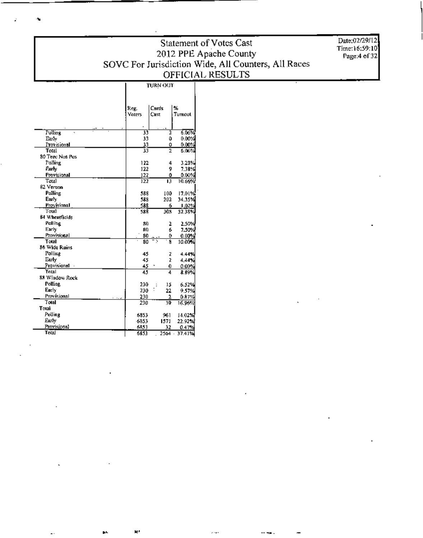### Statement of Votes Cast 2012 PPE Apache County<br>SOVC For Jurisdiction Wide, All Counters, All Races OFFICIAL RESULTS **TURN OUT**

Date:02/29/12<br>Time:16:59:10<br>Page:4 of 32

|                 |                       | Cards          | ⅍       |
|-----------------|-----------------------|----------------|---------|
|                 | Reg.<br><b>Voters</b> | Cast           | Turnout |
|                 |                       |                |         |
|                 |                       |                |         |
| <b>Polling</b>  | 33                    | 2              | 6.06%   |
| Early           | 33                    | ٥              | 0.00%   |
| Provisional     | 33                    | Ô              | 0.00%   |
| Total           | 33                    | 2              | 6.06%   |
| 80 Teec Nos Pus |                       |                |         |
| Polling         | 122                   | 4              | 3.28%   |
| Farly           | 122                   | 9              | 7.38%   |
| Provisional     | 122                   | 0              | 0.00%   |
| Total           | 122                   | П              | 10.66%  |
| 82 Vernon       |                       |                |         |
| Polling         | 588                   | 100            | 17.01%  |
| Early           | 588                   | 202            | 34.35%  |
| Provisional     | 588                   | 6              | 1.02%   |
| Total           | 588                   | 303            | 52.38%  |
| 84 Wheatfields  |                       |                |         |
| Palling         | 80                    | 2              | 2.50%   |
| Early           | 80                    | 6              | 7.30%   |
| Provisional     | 80                    | 0              | 0.00%   |
| Total           | 80                    | N<br>8         | 10.00%  |
| 86 Wide Rains   |                       |                |         |
| Polling         | 45                    | z              | 4.44%   |
| Early           | 45                    | Ż              | 4,44%   |
| Provisional     | 45                    | 0              | 0.00%   |
| Total           | 45                    | 4              | 8.89%   |
| 88 Window Rock  |                       |                |         |
| Polling         | 230                   | 15<br>$\vdots$ | 6.52%   |
| Early           | 230                   | 22             | 9.57%   |
| Provisional     | 230                   | 2              | 0.87%   |
| Total           | 230                   | 39             | 16.96%  |
| Total           |                       |                |         |
| Polling         | 6853                  | 961            | 14.02%  |
| Early           | 6853                  | 1571           | 22.92%  |
| Provisional     | 6853                  | 32             | 0.47%   |
| Total           | 6853                  | 2564           | 37.41%  |

N.

 $\overline{\phantom{a}}$ 

ī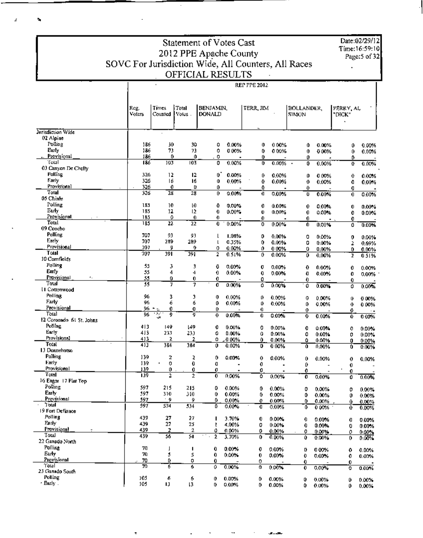Date:02/29/12 Time: 16:59:10 Page: 5 of 32

t.

### 2012 PPE Apache County<br>SOVC For Jurisdiction Wide, All Counters, All Races OFFICIAL RESULTS

BENJAMIN,<br>DONALD

Reg.<br>Voters

 $\begin{tabular}{|c|c|} \hline \textbf{Times} & \textbf{Total} \\ \textbf{Counted} & \textbf{Votes} \end{tabular}. \end{tabular}$ 

Statement of Votes Cast

**REP PPE 2012** BOLLANDER,<br>SIMON PERRY, AL<br>"DICK" TERR, JIM

| Jurisdiction Wide              |                  |                |                |         |                |        |          |                     |          |                          |                |
|--------------------------------|------------------|----------------|----------------|---------|----------------|--------|----------|---------------------|----------|--------------------------|----------------|
| 02 Alpine                      |                  |                |                |         |                |        |          |                     |          |                          |                |
| Polling                        | 186              | 30             | 30             | ٥       | 0.00%          | 0      | $0.00\%$ | Ô                   | 0.00%    | 0                        | 0.00%          |
| Eurly                          | 186              | 73             | 73             | Ó       | 0.00%          | 0      | 0.00%    | $\mathbf 0$         | 0.00%    | 0                        | 0.00%          |
| Provisional                    | 186              | 0              | Û              | 0       |                | 0.     |          | 0                   |          | ٥                        |                |
| Total                          | 186              | 103            | 103            | 0       | 0.00%          | 0      | 0.00%    | 0<br>$\blacksquare$ | 0.00%    | Ð                        | 0.00%          |
| 03 Canyon De Chelly<br>Polling | 326              | 12             | 12             | o"      |                |        |          |                     |          |                          |                |
| Early                          | 326              | 16             | 16             | 0       | 0.00%          | 0      | 0.00%    | ٥                   | 0.00%    | 0                        | 0.00%          |
| Provisional                    | 326              | 0              | ŗ,             | 0       | 0.00%          | û<br>≎ | 0.00%    | 0                   | 0.00%    | 0                        | 0.00%          |
| Total                          | 326              | 28             | 28             | 0       | 0.00%          | a      | 0.00%    | 0<br>ł              | 0.00%    | O<br>0                   | 0.00%          |
| 05 Chine                       |                  |                |                |         |                |        |          |                     |          |                          |                |
| Polling                        | 185              | 10             | I0             | Û       | 0.00%          | 0      | $0.00\%$ | 0                   | 0.00%    | 0                        | 0.00%          |
| Early                          | 185              | 12             | 12             | 0       | $0.00\%$       | 0      | 0.00%    | 0                   | 0.00%    | 0                        | 0.00%          |
| Provisional                    | 185              | 0              | 0              | 0       |                | 0      |          | 0                   |          | 0                        |                |
| Toul                           | 185              | 22             | 22             | 0       | $0.00\%$       | 0      | 0.00%    | 0                   | 0.00%    | û                        | 0.00%          |
| 09 Concho                      |                  |                |                |         |                |        |          |                     |          |                          |                |
| Polling                        | 707              | 93             | 93             |         | 1.08%          | 0      | 0.00%    | 0                   | 0.00%    | 0                        | 0.00%          |
| Early                          | 707              | 289            | 289            | ı       | 0.35%          | 0      | 0.00%    | 0                   | 0.00%    | 2                        | 0.69%          |
| Provisional                    | 707              | 9              | 0              | 0       | 0.00%          | 0.     | 0.00%    | 0                   | 0.00%    | 0                        | 0.00%          |
| Total<br>10 Comfields          | $\overline{707}$ | 391            | 391            | 2       | 0.51%          | 0      | 0.00%    | 0                   | 0.00%    | 2                        | 0.51%          |
| Polling                        |                  |                |                |         |                |        |          |                     |          |                          |                |
| Early                          | \$5<br>55        | з<br>4         | 3              | 0       | 0.00%          | 0      | 0.00%    | Û                   | 0.00%    | 0                        | 0.00%          |
| Provisional<br>٠.              | 55               | 0              | 4<br>0         | 0<br>0. | 0.00%          | 0      | 0.00%    | O                   | 0.00%    | 0                        | 0.00%          |
| Total                          | 55               | $\overline{J}$ | 7              | Ő       | 0.00%          | 0<br>û |          | 0                   |          | 0                        |                |
| 11 Cottonwood                  |                  |                |                |         |                |        | 0.00%    | 0                   | 0.00%    | ٥                        | 0.00%          |
| Polling                        | 96               | 3              | э              | 0       | 0.00%          | o      | 0.00%    | 0                   | 0.00%    |                          |                |
| Farly                          | 96               | 6              | 6              | 0       | 0.00%          | ٥      | 0.00%    | 0                   | 0.00%    | Ű<br>$\ddot{\mathbf{0}}$ | 0 00%<br>0.00% |
| Provisional                    | 96.              | 0              | o              | 0       |                | 0      |          | 0                   |          | 0                        |                |
| Total                          | 96               | w,<br>9<br>÷   | g              | 0       | $0.00\%$       | 0      | 0.00%    | 0                   | 0.00%    | 0                        | 0.00%          |
| 12 Coronado, 61 St. Johns      |                  |                |                |         |                |        |          |                     |          |                          |                |
| Polling                        | 413              | 149            | 149            | 0       | 0.00%          | o      | 0.00%    | 0                   | $0.00\%$ | 0                        | $0.00\%$       |
| Early                          | 413              | 233            | 233            | ٥       | 0.00%          | û      | 0.00%    | ٥                   | $0.00\%$ | 0                        | $0.00\%$       |
| Provisional<br>Total           | 413              | 2              | 2              | ٥       | 0.00%          | 0.     | 0.00%    | ۵                   | 0.00%    | 0                        | 0.00%          |
| 13 Dennehotso                  | 413              | 384            | 384            | 0       | 0.00%          | D      | 0.00%    | Û.                  | 0.00%    | Û                        | 0.00%          |
| Polling                        | 139              | 2              |                |         |                |        |          |                     |          |                          |                |
| <b>Farly</b>                   | 139              | 0              | 2<br>0         | 0<br>O  | 0.00%          | 0      | 0.00%    | 0                   | 0.00%    | 0                        | 0.00%          |
| Provisional                    | 139              | 0              | 0              | O       | $\blacksquare$ | 0<br>0 |          | Û.                  |          | 0                        |                |
| Total                          | 139              | $\overline{2}$ | $\overline{2}$ | 0       | 0.00%          | ٥      | 0.00%    | 0<br>Ò              | 0.00%    | 0<br>0                   | 0.00%          |
| 16 Eagar 17 Flat Top           |                  |                |                |         |                |        |          |                     |          |                          |                |
| Polling                        | 597              | 215            | 215            | 0       | 0.00%          | 0      | $0.00\%$ | ٥                   | $0.00\%$ | 0                        | 0.00%          |
| Early                          | 597              | 310            | 310            | 0       | 0.00%          | 0      | 0.00%    | 0                   | 0.00%    | 0                        | 0.00%          |
| Provisional                    | 597              | ۰.             | 9              | ٥       | $0.00\%$       | Ð      | $0.00\%$ | 0.                  | 0.00%    | 0                        | 0.00%          |
| Total                          | 597              | 534            | 534            | ₿       | $0.00\%$       | o      | 0.00%    | ٥                   | 0.00%    | o                        | 0.00%          |
| 19 Fort Defiance               |                  |                |                |         |                |        |          |                     |          |                          |                |
| Polling                        | 439              | 27             | 27             |         | $3.70\%$       | 0      | $0.00\%$ | 0                   | 0.00%    | 0                        | 0.00%          |
| Farly                          | 439              | 27             | 25             | ŧ       | 4.00%          | 0      | $0.00\%$ | 0                   | 0.00%    | o                        | 0.00%          |
| Provisional<br>Total           | 439              | 2              | 2              | û       | 0.00%          | o      | 0.00%    | o                   | 0.00%    | 0                        | 0.00%          |
| 22 Ganado North                | 439              | ऊ              | 54             | 2       | 3.70%          | 0      | 0.00%    | 0.                  | 0.00%    | 0                        | 0.00%          |
| Polling                        | 70               |                |                |         |                |        |          |                     |          |                          |                |
| Eurly,                         | 70               | I<br>5         | ٠              | 0       | 0.00%          | 0      | 0.00%    | D                   | 0.00%    | ۰                        | 0.00%          |
| Provisional                    | 70               | Ū              | 5<br>0         | 0<br>0  | 0.00%          | 0      | 0.00%    | Đ                   | $0.00\%$ | 0                        | 0.00%          |
| Total                          | 70               | б              | 6              | 0       | 0.00%          | 0<br>0 | 0.00%    | 0<br>0              | 0.00%    | 0                        |                |
| 23 Ganado South                |                  |                |                |         |                |        |          |                     |          | ٥                        | $0.00\%$       |
| Polling                        | 105              | 6              | 6              | 0       | 0.00%          | 0      | 0.00%    | Û                   | 0.00%    | 0                        | $0.00 \times$  |
| · Early .                      | 105              | 13             | 13             | 0       | 0.00%          | 0      | 0.00%    | 0                   | 0.00%    | 0                        | 0.00%          |
|                                |                  |                |                |         |                |        |          |                     |          |                          |                |

z

 $\sim$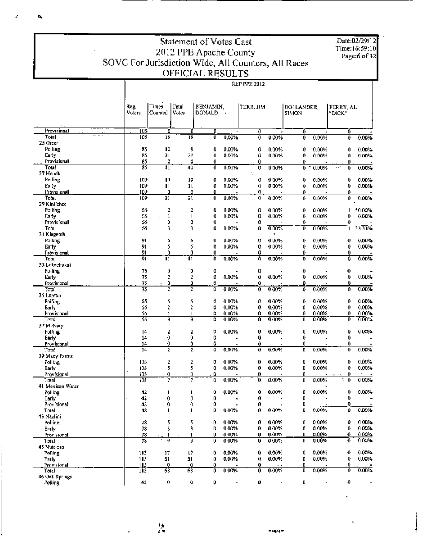|                             | Statement of Votes Cast                             |                               |             |                        |                          |           |                          |                       |                          |                                |                 |  |  |
|-----------------------------|-----------------------------------------------------|-------------------------------|-------------|------------------------|--------------------------|-----------|--------------------------|-----------------------|--------------------------|--------------------------------|-----------------|--|--|
|                             |                                                     | Time:16:59:10<br>Page:6 of 32 |             |                        |                          |           |                          |                       |                          |                                |                 |  |  |
|                             | SOVC For Jurisdiction Wide, All Counters, All Races |                               |             | 2012 PPE Apache County |                          |           |                          |                       |                          |                                |                 |  |  |
|                             |                                                     |                               |             | OFFICIAL RESULTS       |                          |           |                          |                       |                          |                                |                 |  |  |
|                             | <b>REP PPP 2012</b>                                 |                               |             |                        |                          |           |                          |                       |                          |                                |                 |  |  |
|                             |                                                     |                               |             |                        |                          |           |                          |                       |                          |                                |                 |  |  |
|                             | Reg.                                                | Times                         | Total       | BENJAMIN,              |                          | TERR, JIM |                          | <b>BOLLANDER</b>      |                          | PERRY, AL                      |                 |  |  |
|                             | voters                                              | Counted                       | votes       | DONALD                 |                          |           |                          | SIMON                 |                          | "DICK"                         |                 |  |  |
| Provisional                 | 105                                                 | 0                             | 0           | ٥                      |                          | 0         |                          | Ō                     |                          | 0                              |                 |  |  |
| <b>Total</b>                | 105                                                 | 19                            | 19          | O                      | 0,00%                    | 0         | 0.00%                    | 0                     | 0.00%                    | 0.                             | 0.00%           |  |  |
| 25 Greer<br>Polling         | 85                                                  | 10                            | 9           | O                      | 0.00%                    | 0         | $0.00\%$                 | Û                     | 0.00%                    | Û                              | 0.00%           |  |  |
| Early                       | 85                                                  | 31                            | э.          | 0                      | 0.00%                    | 0         | $0.00\%$                 | D                     | 0.00%                    | ٥                              | 0.00%           |  |  |
| Provisional                 | 85                                                  | 0                             | 0           | 0                      |                          | 0         |                          | 0                     |                          | 0                              |                 |  |  |
| Total<br>27 Houck           | 85                                                  | $+1$                          | 40          | Ō                      | 0.00%                    | 0         | 0.00%                    | 0                     | 0.00%                    | ωñ<br>0                        | 0.00%           |  |  |
| Polling                     | 109                                                 | 10                            | 10          | 0                      | 0.00%                    | o         | 0.00%                    | 0                     | 0.00%                    | 0                              | 0.00%           |  |  |
| Early                       | 109                                                 | п                             | 11          | 0                      | 0.00%                    | 0         | 0.00%                    | 0                     | 0.00%                    | 0.                             | 0.00%           |  |  |
| Provisional                 | 109                                                 | Û                             | ٥           | 0                      |                          | ۵         |                          | o                     |                          | 0                              |                 |  |  |
| Total<br>29 Kinlichee       | 109                                                 | 21                            | 21          | 0                      | 0.00%                    | 0         | 0.00%                    | 0                     | 0.00%                    | 0                              | 0.00%           |  |  |
| Polling                     | 66                                                  | 2                             | 2           | 0                      | 0.00%                    | 0         | 0.00%                    | 0                     | 0.00%                    | 1                              | 50.00%          |  |  |
| Early                       | 66                                                  | 1<br>ı                        | I           | 0                      | 0.00%                    | 0         | 0.00%                    | 0                     | 0.00%                    | 0                              | 0.00%           |  |  |
| Provisional<br>Total        | 66<br>66                                            | 0<br>3                        | 0<br>3      | 0<br>0                 | 0.00%                    | o<br>û    | 0.00%                    | 0<br>D                | 0.00%                    | ٥<br>ı                         | 33.33%          |  |  |
| 31 Klagetoh                 |                                                     |                               |             |                        |                          |           |                          |                       |                          |                                |                 |  |  |
| Polling                     | 91                                                  | 6                             | 6           | 0                      | $0.00\%$                 | 0         | 0.00%                    | 0                     | 0.00%                    | 0                              | 0.00%           |  |  |
| Еатіу<br>Provisional        | 91<br>91                                            | 5<br>0                        | 5<br>0      | 0<br>0                 | 0.00%                    | 0<br>Û    | 0.00%                    | 0<br>û                | 0.00%                    | 0<br>0                         | 0.00%           |  |  |
| Total                       | ŶĪ                                                  | П                             | īī          | Ő                      | 0.00%                    | o         | 0.00%                    | D                     | 0.00%                    | ٥                              | 0.00%           |  |  |
| 33 Lukachukai               |                                                     |                               |             |                        |                          |           |                          |                       |                          |                                |                 |  |  |
| Polling                     | 75<br>75                                            | 0                             | 0<br>2      | o<br>0                 | 0.00%                    | 0<br>û    | 0.00%                    | 0<br>0                | 0.00%                    | 0<br>0                         | 0.00%           |  |  |
| Early<br>Provisional        | 75                                                  | 2<br>0                        | 0           | 0                      |                          | Û         |                          | Û                     |                          | 0                              |                 |  |  |
| Total                       | 75                                                  | z                             | 2           | 0                      | 0.00%                    | 0         | $0.00\%$                 | 0                     | 0.00%                    | 0                              | 0.00%           |  |  |
| 35 Lupton                   |                                                     |                               |             |                        |                          |           |                          |                       | 0.00%                    |                                | 0.00%           |  |  |
| Polling<br>Early            | 65<br>65                                            | б<br>2                        | 6<br>2      | 0<br>0                 | 0.00%<br>0.00%           | ٥<br>0    | 0.00%<br>0.00%           | 0<br>0                | 0.00%                    | 0<br>0                         | 0.00%           |  |  |
| Provisional                 | 65                                                  | ı                             | ı           | ٥                      | 0.00%                    | ٥         | 0.00%                    | Ð.                    | 0.00%                    | ٥                              | 0.00%           |  |  |
| Total                       | 65                                                  | Ţ                             | 9           | ٥                      | 0.00%                    | Û         | 0.00%                    | Ð                     | 0.00%                    | ٥                              | 0.00%           |  |  |
| 37 McNary<br><b>Polling</b> | 14                                                  | 2                             | 2           | 0                      | 0.00%                    | 0         | 0.00%                    | 0                     | 0.00%                    | D                              | 0.00%           |  |  |
| Early                       | 14                                                  | 0                             | 0           | 0                      |                          | 0         |                          | 0                     |                          | 0                              |                 |  |  |
| Provisional                 | 14                                                  | 0                             | n           | ٥                      |                          | 0.        |                          | 0                     |                          | n.                             |                 |  |  |
| Total<br>39 Many Farms      | 14                                                  | z                             | z           | Û                      | 0.00%                    | 0.        | 0.00%                    | 0                     | 0.00%                    | 0                              | 0.00%           |  |  |
| Polling                     | 103                                                 | 2                             | 2           | 0                      | 0.00%                    | 0         | 0.00%                    | o                     | 0.00%                    | D                              | 0.00%           |  |  |
| Early                       | 103                                                 | 5                             | 5.          | 0                      | 0.00%                    | 0         | 0.00%                    | Đ                     | 0.00%                    | 0                              | 0.00%           |  |  |
| Provisional<br>Total        | 103<br>103                                          | 0<br>7                        | Ü.<br>7     | ٥<br>0                 | 0.00%                    | 0<br>O    | 0.00%                    | 0<br>0                | 0.00%                    | 0<br>-15<br>t.<br>$\mathbf{0}$ | $\sim$<br>0.00% |  |  |
| 41 Mexican Water            |                                                     |                               |             |                        |                          |           |                          |                       |                          |                                |                 |  |  |
| Polling                     | 42                                                  | п                             | ı           | 0                      | 0.00%                    | Û         | 0.00%                    | 0                     | 0.00%                    | 0                              | 0.00%           |  |  |
| Early                       | 42                                                  | 0                             | 0           | 0                      |                          | 0<br>0    |                          | o<br>0.               |                          | 0<br>0                         |                 |  |  |
| Provisional<br>Total        | 42<br>42                                            | 0<br>ı                        | 0<br>ı      | 0<br>0                 | 0.00%                    | 0         | 0.00%                    | $\mathbf 0$           | 0.00%                    | 0                              | 0.00%           |  |  |
| 43 Nazlini                  |                                                     |                               |             |                        |                          |           |                          |                       |                          |                                |                 |  |  |
| Polling                     | 78                                                  | 5                             | 5<br>3      | 0                      | 0.00%<br>0.00%           | 0         | 0.00%<br>0.00%           | $\boldsymbol{0}$<br>0 | 0.00%<br>0.00%           | 0                              | 000%<br>0.00%   |  |  |
| Early<br>Provisional        | 78<br>78                                            | 3                             | п           | 0<br>0                 | 0.00%                    | 0<br>0    | 0.00%                    | 0                     | 0.00%                    | 0<br>O.                        | 0.00%           |  |  |
| Total                       | 78                                                  | 9                             | 9           | 0                      | 0.00%                    | 0         | $0.00\%$                 | 0                     | 0.00%                    | ≎                              | 0.00%           |  |  |
| 45 Nutrioso                 |                                                     |                               |             |                        |                          |           |                          |                       |                          |                                |                 |  |  |
| Polling<br>Early            | ПĴ<br>113                                           | 17<br>51                      | 17<br>51    | 0<br>0                 | 0.00%<br>0.00%           | 0<br>0    | 0.00%<br>0.00%           | 0<br>0                | $0.00\%$<br>0.00%        | ⊕<br>0                         | 0.00%<br>0.00%  |  |  |
| Provisional                 | ЛΣ                                                  | o                             | o           | 0                      |                          | 0         |                          | 0.                    |                          | 0.                             |                 |  |  |
| Total                       | 113                                                 | 68                            | 38          | O                      | 0.00%                    | 0         | 0.00%                    | 0                     | 0.00%                    | 0                              | 0.00%           |  |  |
| 46 Oak Springs<br>Polling   | 45                                                  | 0                             | $\mathbf 0$ | 0                      | $\overline{\phantom{a}}$ | o         | $\overline{\phantom{a}}$ | 0                     | $\overline{\phantom{m}}$ | 0                              |                 |  |  |
|                             |                                                     |                               |             |                        |                          |           |                          |                       |                          |                                |                 |  |  |

z

۸.

 $\frac{1}{2}$ 

ä,

-www.

 $\frac{1}{4}$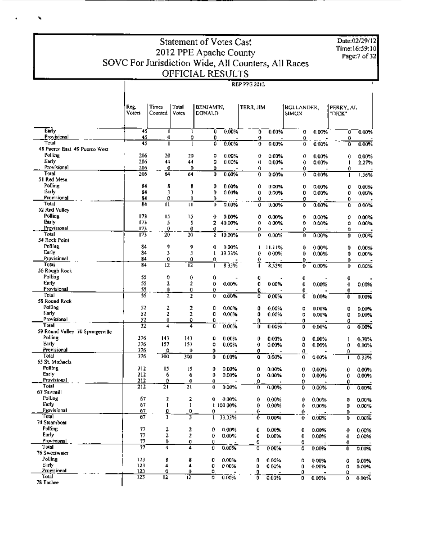## Statement of Votes Cast 2012 PPE Apache County<br>SOVC For Jurisdiction Wide, All Counters, All Races<br>OFFICIAL RESULTS

ĥ.

|                                  | Reg.<br><b>Voters</b>       | Times<br>Counted | Total<br>Votes | BENJAMIN.<br>DONALD |           |          | TERR JIM |          | BOLLANDER,<br><b>SIMON</b> |        | I PERRY, AL    |
|----------------------------------|-----------------------------|------------------|----------------|---------------------|-----------|----------|----------|----------|----------------------------|--------|----------------|
| Early                            | 45                          |                  | ı              | 0                   | $0.00\%$  | 0        | 0.00%    | o        | $0.00\%$                   | 0      | 0.00%          |
| Provisional<br>Total             | 45                          | a                | ٥              | 0                   |           | O        |          | 0        |                            | 0      |                |
| 48 Pueron East 49 Puerco West    | 45                          |                  |                | o                   | 0.00%     | 0        | 0.00%    | 0        | 0.00%                      | Ō      | 0.00%          |
| Polling                          | $\ddot{\phantom{a}}$<br>206 | 20               | 20             | o                   | 0.00%     | 0        | 0.00%    |          |                            |        |                |
| Early                            | 206                         | 44               | 44             | 0                   | 0.00%     | I)       | 0.00%    | Ø<br>0   | $0.00\%$<br>0.00%          | 0<br>п | 0.00%<br>2.27% |
| Provisional                      | 206                         | 0                | 0              | Û                   |           | 0        |          | 0        |                            | 0      |                |
| Total                            | 206                         | 64               | 64             | 0                   | 0.00%     | 0        | 0.00%    | 0        | 0.00%                      | п      | 1.56%          |
| 51 Red Mesa                      |                             |                  |                |                     |           |          |          |          |                            |        |                |
| Polling                          | 84                          | â.               | 8              | 0                   | 0.00%     | 0        | 0.00%    | 0        | 0.00%                      | 0      | 0.00%          |
| Early                            | 84                          | Э                | 3              | 0                   | 0.00%     | 0        | 0.00%    | 0        | 0.00%                      | 0      | 0.00%          |
| Provisional                      | 84                          | 0                | 0              | 0.                  |           | o        |          | ٥        |                            | 0      |                |
| Total                            | 84                          | 11               | u              | o                   | 0.00%     | ٥        | 0.00%    | 0        | 0.00%                      | 0      | 0.00%          |
| 52 Red Valley                    |                             |                  |                |                     |           |          |          |          |                            |        |                |
| Polling                          | 173                         | 15               | 15             | 0                   | 0.00%     | ٥        | 0.00%    | 0        | $0.00\%$                   | 0      | 0.00%          |
| Early                            | 173                         | 5                | 5              | 2                   | 40.00%    | 0        | 0.00%    | 0        | 0.00%                      | ٥      | 0.00%          |
| Provisional                      | 173                         | 0                | 0              | Ü                   |           | 0        |          | o        |                            | ο      |                |
| Total<br>54 Rock Point           | 173                         | 20               | 20             | Ĩ.                  | 10.00%    | 0        | 0.00%    | 0        | 0.00%                      | 0      | 0.00%          |
| Polling                          | 84                          | 9                |                |                     |           |          |          |          |                            |        |                |
| Eerly                            | 84                          | 3                | 9<br>Э         | 0<br>l              | 0.00%     | ı        | 11.11%   | 0        | $0.00\%$                   | 0      | 0.00%          |
| Provisional                      | 84                          | 0                | 0.             | ٥                   | 33.33%    | O        | 0.00%    | 0        | 0.00%                      | 0      | 0.00%          |
| Total                            | 84                          | 12               | 12             |                     | 833%      | ⊻        | 8.33%    | D<br>Ð   | 0.00%                      | 0<br>0 | 0.00%          |
| 56 Rough Rock                    |                             |                  |                |                     |           |          |          |          |                            |        |                |
| Polling                          | 55                          | 0                | 0              | 0                   |           | 0        |          | 0        |                            | Q      |                |
| Farty                            | 55                          | 2                | 2              | 0                   | 0.00%     | 0        | 0.00%    | 0        | 0.00%                      | 0      | 0.00%          |
| Provisional                      | 55                          | Û                | ū              | 0                   |           | 0        |          | 0        |                            | 0      |                |
| Total                            | 55                          | 2                | 2              | 0                   | 0.00%     | 0        | 0.00%    | 0        | 0.00%                      | Ó      | 0.00%          |
| 58 Round Rock                    |                             |                  |                |                     |           |          |          |          |                            |        |                |
| Polling                          | 52                          | 2                | 2              | Q                   | 0.00%     | 0        | 0.00%    | ٥        | 0.00%                      | 0      | 0.00%          |
| Early                            | 52                          | 2                | ż              | Û                   | 0,00%     | 0        | 0.00%    | 0        | 0.00%                      | 0      | 0.00%          |
| Provisional                      | 52                          | 0                | ٥              | O                   |           | 0        |          | 0        |                            | 0      |                |
| Total                            | 52                          | 4                | 4              | 0                   | 0.00%     | o        | 0.00%    | 0        | 0.00%                      | û      | 0.00%          |
| 59 Round Valley 70 Springerville |                             |                  |                |                     |           |          |          |          |                            |        |                |
| Polling                          | 376                         | 143              | 143            | Û                   | 0.00%     | 0        | 0.00%    | ٥        | 0.00%                      | 1      | 0.70%          |
| Early                            | 376                         | 157              | 157            | 0                   | 0.00%     | 0        | 0.00%    | 0        | 0.00%                      | 0      | 0.00%          |
| Provisional<br>Total             | 376<br>376                  | Û<br>300         | o              | 0                   |           | 0        |          | <u>o</u> |                            | Û      |                |
| 65 St. Michaels                  |                             |                  | 300            | 0                   | 0.00%     | Ū        | 0.00%    | 0        | 0.00%                      | ٠      | 0.33%          |
| <b>Politing</b>                  | 212                         | 15               | 15             | ٥                   | 0.00%     | o        | 0.00%    |          |                            |        |                |
| Early                            | 212                         | 6                | ó              | O                   | 0.00%     | ٥        | 0.00%    | Q<br>0   | $0.00\%$                   | 0      | 0.00%          |
| Provisional                      | 212                         | o                | 0              | 0                   |           | 0        |          | 0        | $0.00\%$                   | 0<br>0 | 0.00%          |
| Total                            | 212                         | $\overline{21}$  | 21             | 0                   | 0.00%     | 0        | 0.00%    | 0        | 0.00%                      | Û      | 0.00%          |
| 67 Sawmill                       |                             |                  |                |                     |           |          |          |          |                            |        |                |
| Polling                          | 67                          | z.               | 2              | Û                   | 0.00%     | 0        | 0.00%    | Û        | 0.00%                      | 0      | 0.00%          |
| Eurly                            | 67                          | п                | 1              |                     | 1 100 00% | 0        | 0.00%    | Ô        | 0.00%                      | 0      | 0.00%          |
| <u>Provisional</u>               | 67                          | ₫                | 0.             | 0                   |           | $\theta$ |          | 0        |                            | 0      |                |
| `Fot∌]                           | 67                          | ī                | 3              |                     | 33.33%    | Ō        | 0.00%    | 0        | 0.00%                      | 0      | 0.00%          |
| 74 Steamboat                     |                             |                  |                |                     |           |          |          |          |                            |        |                |
| Polling                          | 77                          | 2                | 2              | Ď                   | $0.00\%$  | 0        | 0.00%    | 0        | 0.00%                      | 0      | 0.00%          |
| Early                            | 77                          | 2                | 2              | 0                   | 0.00%     | 0        | 0.00%    | 0        | 0.00%                      | 0      | 0.00%          |
| Provisional                      | 77                          | 0                | 0              | 0                   |           | 0        |          | O        |                            | 0      |                |
| Total<br>76 Sweetwater           | 77                          | 4                | 4              | 0                   | 0.00%     | 0        | 0.00%    | O        | 0.00%                      | 0      | 0.00%          |
| Polling                          |                             |                  |                |                     |           |          |          |          |                            |        |                |
| Eurly.                           | 123<br>123                  | В<br>4           | 8<br>4         | o                   | 0.00%     | 0        | 0.00%    | ٥        | 0.00%                      | 0      | 0.00%          |
| <b>Provisional</b>               | 123                         | 0                | 0              | o<br>۵              | 0.00%     | 0        | 0.00%    | Û        | 0.00%                      | 0      | 0.00%          |
| 'Fotal                           | 123                         | $\overline{12}$  | ïž             | 0                   | 0.00%     | Ò        | 0.00%    | ٥<br>Ð   | 0.00%                      | ٥<br>0 | 0.00%          |
| 78 Tachee                        |                             |                  |                |                     |           |          |          |          |                            |        |                |

**REP PPG 2012** 

 $\overline{1}$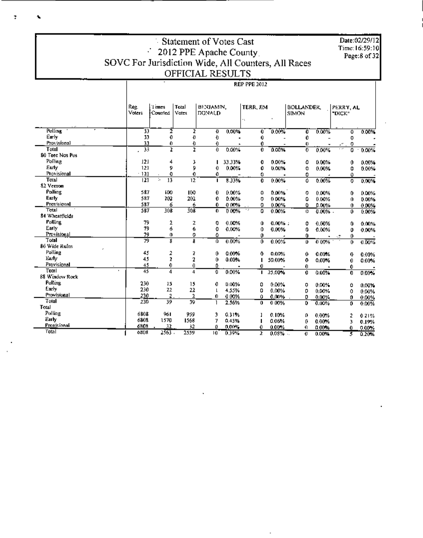## Statement of Votes Cast Statement of Votes Cast<br>2012 PPE Apache County<br>SOVC For Jurisdiction Wide, All Counters, All Races<br>OFFICIAL RESULTS

**REP PPE 2012** 

|                    | Reg.<br>Voters | 1 imes<br>Counied       | Total<br>Votes | BENJAMIN,<br><b>DONALD</b> |        | TERR, JIM<br>٠. |            | <b>BOLLANDER</b><br>SIMON |            | PERRY, AL<br>"DICK" |    |          |
|--------------------|----------------|-------------------------|----------------|----------------------------|--------|-----------------|------------|---------------------------|------------|---------------------|----|----------|
| <b>Polling</b>     | 33             | 2                       | ż              | o                          | 0.00%  | 0               | 0.00%      | 0                         | 0.00%      |                     | ٥  | 0.00%    |
| Early              | 33             | 0                       | Ð              | Ð                          |        | 0               |            | 0                         |            |                     | 0  |          |
| Provisional        | 33             | 0                       | O              | 0                          |        | 0               |            | $\bullet$                 |            | ٠.                  | 0  |          |
| Total              | 35             | z                       | 2              | $\overline{0}$             | 0.00%  | Ò               | 0.00%      | 0                         | 0.00%      | $\overline{\cdot}$  | 0  | 0.00%    |
| 80 Teed Nos Pos    |                |                         |                |                            |        |                 |            |                           |            |                     |    |          |
| Polling            | 121            | 4                       | 3              |                            | 33.33% | 0               | 0.00%      | ٥                         | 0.00%      |                     | 0  | 0.00%    |
| Early              | 121            | 9                       | 9              | 0                          | 0.00%  | 0               | 0.00%      | 0                         | 0.00%      |                     | 0  | 0.00%    |
| Provisional        | $-121$         | 0                       | 0              | 0                          |        | 0               |            | 0                         |            |                     | û  |          |
| Total              | 21             | и<br>13                 | 12             |                            | 8.33%  | 0               | 0.00%      | Ő                         | 0.00%      |                     | 0  | 0.00%    |
| 82 Vernon          |                |                         |                |                            |        |                 |            |                           |            |                     |    |          |
| Polling            | 587            | 100                     | 100            | 0                          | 0.00%  | ۵               | 0.00%      | 0                         | 0.00%      |                     | 0  | 0.00%    |
| Early              | 587            | 202                     | 202            | 0                          | 0.00%  | 0               | $0.00\%$   | 0                         | 0.00%      |                     | 0  | 0.00%    |
| <b>Provisional</b> | 587            | 6                       | 6              | 0                          | 0.00%  | 0               | 0.00%      | ٥                         | 0.00%      |                     | 0  | 0.00%    |
| Total              | 587            | 308                     | 308            | 0                          | 0.00%  | 17<br>٥         | 0.00%      | 0                         | $0.00\%$ . |                     | Ű. | 0.00%    |
| 84 Wheatfields     |                |                         |                |                            |        |                 |            |                           |            |                     |    |          |
| Polling            | 79             | 2                       | z              | 0                          | 0.00%  | û               | $0.00\%$ : | 0                         | 0.00%      |                     | n  | 0.00%    |
| Early              | 79             | 6                       | 6              | o                          | 0.00%  | 0               | 0.00%      | ű                         | 0.00%      |                     | o  | 0.00%    |
| Provisional        | 79             | 0                       | 0              | ٥                          |        | 0               |            | 0                         |            | -5                  | 0  |          |
| Total              | 79             | $\overline{\mathbf{g}}$ | Я              | o                          | 0.00%  | 0               | 0.00%      | Ű                         | 0.00%      |                     | O. | 0.00%    |
| 86 Wide Rutns      |                |                         |                |                            |        |                 |            |                           |            |                     |    |          |
| Polling            | 45             | 2                       | z              | 0                          | 0.00%  | O               | 0.00%      | 0                         | 0.00%      |                     | o  | 0.00%    |
| Early              | 45             | 2                       | 2              | 0                          | 0.00%  |                 | 50.00%     | 0                         | 0.00%      |                     | 0  | 0.00%    |
| Provisional        | 45             | 0                       | 0              | û                          |        | 0               |            | 0                         |            |                     | 0  |          |
| Total              | 45             | 4                       | $\overline{4}$ | Ð                          | 0.00%  | ٠               | 25.00%     | 0                         | 0.00%      |                     | 0  | 0.00%    |
| 88 Window Rock     |                |                         |                |                            |        |                 |            |                           |            |                     |    |          |
| Pulling            | 230            | 15                      | 15             | 0                          | 0.00%  | 0               | 0.00%      | 0                         | 0.00%      |                     | ٥  | 0.00%    |
| Early              | 230            | 22                      | 22             |                            | 4.55%  | 0               | 0.00%      | 0                         | 0.00%      |                     | 0  | 0.00%    |
| Provisional        | 230            | 2                       | 2              | 0                          | 0.00%  | û               | 0.00%      | 0                         | 0.00%      |                     | 0  | 0.00%    |
| Total              | 230            | 39                      | 39             |                            | 2.56%  | 0               | 0.00%      | 0                         | 0.00%      |                     | 0  | 0.00%    |
| Total              |                |                         |                |                            |        |                 |            |                           |            |                     |    |          |
| Polling            | 6808           | 961                     | 959            | 3                          | 0.31%  |                 | 0.10%      | o                         | 0.00%      |                     |    | 0.21%    |
| Early              | 6808           | 1570                    | 1568           | 7                          | 0.45%  |                 | 0.06%      | o                         | 0.00%      |                     | 3  | 0.19%    |
| Provisional        | 6808           | 32                      | 32             | o                          | 0,00%  | 0               | $0.00\%$   | 0                         | 0.00%      |                     | 0. | $0.00\%$ |
| Total              | 6808           | $2\overline{563}$ .     | 2559           | 10                         | 0.39%  | 2               | $0.08\%$   | Ü                         | 0.00%      |                     | 5  | 0.20%    |

Date:02/29/12 Time: 16:59:10<br>Page:8 of 32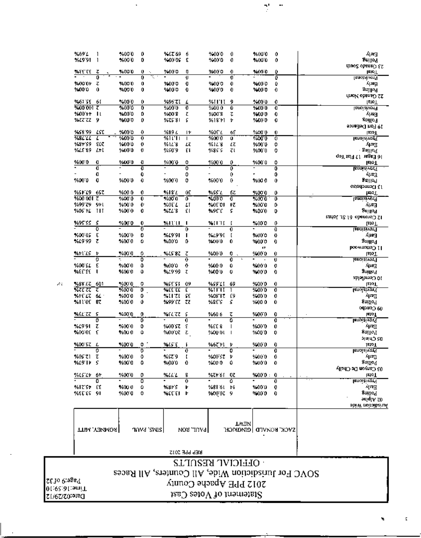### Statement of Votes Cast

 $P$ age:9 of 32 01:02:31:5m<sup>1</sup>T

Date:02/29/12

 $\mathcal{P}^{*}_{\mathcal{A}}$ 

#### OFFICIAL RESULTS SOVC For Jurisdiction Wide, All Counters, All Races 2012 PPE Apache County

| REP PPE 2012 |  |
|--------------|--|
|--------------|--|

| %69 L           | 1             | %000           | 0                   | KET 69           | 6                            | %00 0        | 0           | %00'0         | 0                   | ANG 1                                          |
|-----------------|---------------|----------------|---------------------|------------------|------------------------------|--------------|-------------|---------------|---------------------|------------------------------------------------|
| %19'91          | 1             | 200.0          | 0                   | 9400.05          | ٤                            | %00'0        | 0           | %00'0         | Û                   | anilloT                                        |
| <b>WEETER</b>   | τ             | 2,000          | 0<br>٠.             | %00 O            | O                            | 9600 O       | Đ           | %00 O         | ٥                   | <b>COMPASS OF THE SET AND</b><br><b>IEPO L</b> |
|                 | Ű             |                | 0                   |                  | Đ                            |              | O           |               | ö                   | <b>FINDIZIAOLA</b>                             |
| 9600.01         | τ             | %00'0          | 0                   | 9400 O           | O                            | %00 O        | 0           | %00 0         | Û                   | Apra                                           |
| %00 0           | û             | 9400 0         | 0                   | 9400 0           | 0                            | 9400 0       | 0           | %00 O         | 0                   | Pollog                                         |
|                 |               |                |                     |                  |                              |              |             |               |                     | HTML Observed SS                               |
| 9461.56         | 61            | %00.0          | 0                   | %96'ZI           | £                            | %HH          | 9           | %000          | 0                   | Teto T                                         |
| %00'001 Z       |               | %00'0          | 0                   | %00'0            | 0                            | %00 0        | Û           | %00'O         | O                   | Isaoisi ror <sup>g</sup>                       |
| %00 ++          | $\mathbf{u}$  | %00'0          | Ď                   | %00 S            | z                            | 9600 8       | Ţ,          | 9400 O        | 0                   | 시포크                                            |
| %ZZ ZZ          | ÿ             | 9600.0         | 0                   | %ZS 81           | 5                            | %18°+1       | Þ           | 9400 0        | 0                   | Poilíoy                                        |
| 9458 99         | LSC           | 9.00 0         | 0                   | 9689 L           | I۲                           | <b>MOT L</b> | 65          | 9600 O        | 0                   | 19 Forl Definite<br>laioT                      |
| %8L LL          | ٤             | 9600 0         | 0                   | 弱け上              | L                            | %00 0        | Ű.          | 96000         | ō                   | lenoiaivo <u>r</u> ¶                           |
| %84 S9          | 507           | 9400 0         | o                   | %11'8            | Łζ                           | %1L'8        | ŁΖ          | 960010        | 0                   | Лщ.                                            |
| %Lt 89          | Lti           | 9600 0         | O                   | %SO'9            | εı                           | 9485.5       | ζl          | 96000         | 0                   | - antilo¶                                      |
|                 |               |                |                     |                  |                              |              |             |               |                     | १०११ छन् ११ अस्वेदन छ।                         |
| %00 O           | o             | %00 0          | o                   | %00 0            | o                            | %000         | 0           | 960010        | 0                   | laioT                                          |
|                 | đ             |                | T                   |                  | ö                            |              | ō           |               | Ō                   | <b>LEDOLEIVOT<sup>T</sup></b>                  |
|                 | 0             |                | 0                   |                  | 0                            |              | 0           |               | 0                   | Early                                          |
| %000            | 0             | 960010         | 0                   | %000             | 0                            | %00'0        | 0           | %00 0         | Û                   | anillo I                                       |
| 9651719 657     |               | 9600 0         | 0                   | %18'L            | û٤                           | mss l        |             |               |                     | ostodpnmaCl { J                                |
| %00.001         | z             | %000           | 0.                  | %00 0            | ő                            | XIO O        | бΖ<br>Ō     | %000<br>%00 0 | 0<br>0              | <b>ISPO</b> L<br>Innoiaivor <sup>q</sup>       |
| 9699 TO         | 911           | 9600 0         | 0.                  | MOT L            | LΤ                           | %0EOI        | ŧZ          | %00'0         | ٥                   | 인16日                                           |
| %05 FL          | ш             | %00 0          | 0                   | %ZL'8            | ٤١                           | %9C L        | \$          | %00'0         | D                   | Ցայլսյ                                         |
|                 |               |                |                     |                  |                              |              |             |               |                     | εμμος 18 τιλ obanoro S1                        |
| %95'SS          | s             | %00 D          | 0                   | %HTH             | ı                            | WILLI        | T           | %00 0         | 0                   | Lolo T                                         |
|                 | ٥             |                | ō                   |                  | 0                            |              | 0           |               | Ð                   | <b>Broisivon</b>                               |
| 9400.05         | ε             | %000           | 0                   | %19'91           | п                            | %L9'9[       | I           | 9600'0        | O                   | Early                                          |
| %19.99          | τ             | %000           | ٥                   | %00'0            | ٥                            | 9400'0       | 0           | 960010        | 0                   | Buille <sup>q</sup>                            |
|                 |               |                |                     |                  |                              |              |             | 0             |                     | роомилиоэ тт                                   |
| mfi is          | Þ<br>ō        | %00 D          | ٥<br>Ō              | X IS 82          | τ                            | 940010       | 0           | %000          | Ù                   | laioT                                          |
| %00 SL          | £             | %000           | ٥                   | 9600.0           | $\overline{\mathbf{0}}$<br>0 | %00 0        | 0<br>0      | 9400.0        | U<br>o              | Provisivor<br>Early.                           |
| እንገንያል          | ı             | 9600 0         | û                   | %29.99           | τ                            | 9600 0       | ٥           | 9600 O        | 0                   | yniko4                                         |
|                 |               |                |                     |                  |                              |              |             |               |                     | 2blaftmol 01                                   |
| %38 LT          | 601           | %000           | 0                   | %SE SI           | -09                          | %59°LT       | 69          | %000          | 0                   | lsioff                                         |
| %रट टट          | τ             | %00 0          | ō                   | <b>WEE EE</b>    | ε                            | %HH          |             | %00 0         | 0                   | <b>Isnoizivent</b>                             |
| %tt cz          | 64.           | %00 0          | 0                   | %HT.             | sε                           | %08°I T      | Ε9          | 9400 0        | 0                   | 7ساب                                           |
| %11 OE          | 87            | %00 0          | o                   | %99 EZ           | zz                           | %8E'S        | ŝ           | 9600 0        | Û                   | वर्णालि                                        |
|                 |               |                |                     |                  |                              |              |             |               |                     | 040400 60                                      |
| mel zz          | 5             | %00'0          | 0                   | からとてて            | S                            | %60 6        | τ           | 94000         | 0                   | laioT                                          |
|                 | o             |                | ō                   |                  | 0                            |              | ū           |               | 0                   | <b>Lengisiyor</b> 1                            |
| %/991<br>%00.0E | τ<br>£        | 2000<br>9400 0 | 0<br>û              | %00 ST<br>%00'02 | ξ<br>τ                       | %EC 8        |             | %00'0         | Û                   | 도퍼시<br>Suillo I                                |
|                 |               |                |                     |                  |                              | %00 U L      |             | %00 D         | 0                   | 기비니그 50                                        |
| %00 SZ          | L             | <b>%00 0</b>   | ٥                   | WEST.            | г                            | %6711        | Þ           | 9400 0        | 0                   | JaioT                                          |
|                 | 0             |                | 0                   |                  | 0                            |              | 0           |               | 0                   | <b>Isnoizivar!</b>                             |
| %05°Z1 Z        |               | %000           | 0.                  | %ST9 I           |                              | %00'SZ Þ     |             | 940010        | 0.                  | 사폐                                             |
| %L9 IF S        |               | %00 0          | ٥                   | %00'0            | û                            | %000 0       |             | 96000         | 0                   | Polineg                                        |
|                 |               |                |                     |                  |                              |              |             |               |                     | לונשונה שם משפט 10                             |
| 9665740 64      |               | %000           | o                   | mur              | 8                            | %Z#61 OZ     |             | %000 : 0      |                     | lain T                                         |
|                 | o             |                | ۵                   |                  | 0                            |              | ٥           |               | 0                   | <b>Ιε</b> ποιέινατ!                            |
| %12'St EE       |               | %00 U          | ٥                   | ‰ያኮ ና            | Þ                            | %8161 ÞF     |             | %00 D         | o                   | Eml.                                           |
| %EEES 91        |               | %00 0          | ۰                   | %EETI F          |                              | 960007 9     |             | 9400 0        | 0.                  | Politics                                       |
|                 |               |                |                     |                  |                              |              |             |               |                     | and A So<br>obi W noitoiberuit                 |
|                 |               |                |                     |                  |                              |              |             |               |                     |                                                |
|                 |               |                |                     |                  |                              |              |             |               |                     |                                                |
|                 |               |                |                     |                  |                              |              | <b>TWIN</b> |               |                     |                                                |
|                 | ттім улимоя і |                | ากพิส <i>รพ</i> ารไ |                  | <b>PAUL, RON</b>             |              |             |               | SVCK KOAVED GEMOMGH |                                                |
|                 |               |                |                     |                  |                              |              |             |               |                     |                                                |

 $\gamma=0$ 

E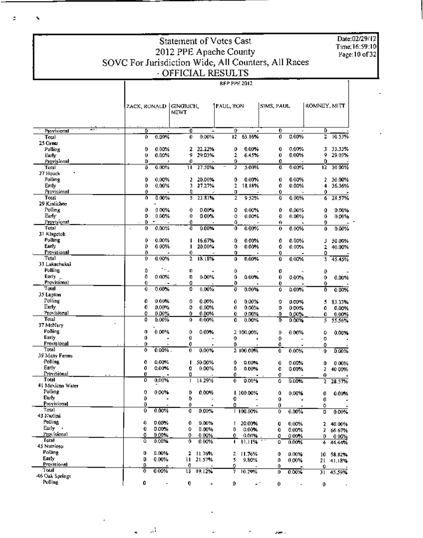### Statement of Votes Cast 2012 PPE Apache County SOVC For Jurisdiction Wide, All Counters, All Races **REP PPE 2012**

I

ă.

ī,

Date:02/29/12 Time: 16:59:10<br>Page: 10 of 32

|                             |              |                   | ZAČK, RONALD   GINORICH,<br>NEWT |                | PAUL, RON |                                   | SIMS, PAUL |                | ROMNEY, MITT |                  |
|-----------------------------|--------------|-------------------|----------------------------------|----------------|-----------|-----------------------------------|------------|----------------|--------------|------------------|
|                             |              |                   |                                  |                |           |                                   |            |                |              |                  |
| ≖∝<br>Provisional           | ٥            |                   | 0                                |                | õ         |                                   | 0          |                | ٥            |                  |
| Total                       | o            | 0.00%             | Û                                | 0.00%          | 12.       | 63.16%                            | 0          | 0.00%          | 2            | 10.53%           |
| 25 Green                    | 0            |                   | 2                                | 22.22%         | 0         | $0.00\%$                          | 0          | $0.00\%$       |              | 33.33%           |
| Polling<br>Early            | Ü            | $0.00\%$<br>0.00% | 9                                | 29.03%         | 2         | 6.45%                             | 0          | 0.00%          | з<br>9       | 29.03%           |
| Provisional                 | D            | ÷                 | Û                                |                | 0         |                                   | 0          |                | 0            |                  |
| Total                       | ٥            | 0.00%             | п                                | 27.50%         | 2         | 5.00%                             | O          | 0.00%          | 12           | 30.00%           |
| 27 Houck                    |              |                   |                                  |                |           |                                   |            |                |              |                  |
| Polling                     | 0            | 0.00%             | 2                                | 20.00%         | 0         | $0.00\%$                          | 0          | 0.00%          | 2            | 20.00%           |
| Ently                       | 0<br>Û       | 0.00%             | 3<br>Ū.                          | 27.27%         | 2         | 18.18%                            | 0          | 0.00%          | 4            | 36.36%           |
| Provisional<br>Total        | 0            | 0.00%             | 5                                | 23.81%         | ٥<br>z    | $\overline{\phantom{a}}$<br>9 52% | 0<br>Ð     | 0.00%          | 0<br>6       | 28.57%           |
| 29 Kinlichee                |              | L                 |                                  |                |           |                                   |            |                |              |                  |
| Polling                     | o            | 0.00%             | 0                                | 0.00%          | 0         | 0.00%                             | 0          | 0.00%          | Û            | 0.00%            |
| Eurly                       | 0            | 0.00%             | 0                                | 0.00%          | û         | 0.00%                             | Ð          | 0.00%          | 0            | 0.00%            |
| Provisional                 | 0            |                   | O                                |                | 0         |                                   | 0          |                | 0            |                  |
| Total                       | 0<br>$\cdot$ | 0.00%             | Û                                | 0.00%          | 0         | $0.00\%$                          | 0          | 0.00%          | Û            | 0.00%            |
| 31 Klagetoh<br>Polling      | 0            | $0.00\%$          | ı                                | 16.67%         | 0         |                                   |            |                |              |                  |
| Earry                       | 0            | 0.00%             | ı                                | 20.00%         | 0         | 0.00%<br>0.00%                    | 0<br>0     | 0.00%<br>0.00% | з<br>2       | 50.00%<br>40.00% |
| Provisional                 | 0            |                   | 0                                |                | o         |                                   | 0          |                | 0            |                  |
| Total                       | 0            | 0.00%             | $\overline{2}$                   | 18.18%         | ٥         | 0.00%                             | 0          | 0.00%          | Ĵ.           | 45.45%           |
| 33 Lukachukai               |              |                   |                                  |                |           |                                   |            |                |              |                  |
| Polling                     | Ũ            | 79 L              | 0                                |                | 0         |                                   | o          |                | 0            |                  |
| Early _                     | Đ            | 0.00%             | 0                                | 0.00%          | 0         | 0.00%                             | 0          | 0.00%          | 0            | 0.00%            |
| Provisional<br>Total        | Đ<br>0       | ٠.<br>$0.00\%$    | O<br>0                           | $0.00\%$       | Û<br>Û    | 0.00%                             | 0          | 0.00%          | 0            |                  |
| 35 Lupton                   |              |                   |                                  |                |           |                                   | 0          |                | Û            | 0.00%            |
| Polling                     | 0            | 0.00%             | 0                                | 0.00%          | 0         | $0.00\%$                          | ٥          | 0.00%          | 5            | 83.33%           |
| Early                       | 0            | 0.00%             | 0                                | 0.00%          | 0         | 0.00%                             | 0          | 0.00%          | 0            | 0.00%            |
| Provisional                 | O            | $0.00\%$          | 0                                | 0.00%          | ū         | 0.00%                             | 0          | 0.00%          | O            | $0.00\%$         |
| Total                       | Ō            | 0.00%             | 0                                | 0.00%          | 0         | 0.00%                             | 0          | 0.00%          | 5            | 55.56%           |
| 37 McNary                   |              |                   |                                  |                |           |                                   |            |                |              |                  |
| Polling<br>Early            | 0<br>0       | 0.00%<br>٠        | 0<br>0                           | $0.00\%$       |           | 2 100.00%                         | 0          | $0.00\%$       | ٥            | 0.00%            |
| Provisional                 | 0            | ÷                 | 0                                |                | 0<br>0    |                                   | 0<br>O     |                | 0<br>0       |                  |
| Total                       | 0            | 0.00%.            | 0                                | $0.00\%$       |           | 2 100.00%                         | o          | 0.00%          | 0            | 0.00%            |
| 39 Many Furms               |              |                   |                                  |                |           |                                   |            |                |              |                  |
| Polling                     | 0            | 0,00%             | ı                                | 50.00%         | 0         | 0.00%                             | 0          | $0.00\%$       | D            | <b>00%</b>       |
| Early                       | 0            | 0.00%             | 0                                | 0.00%          | ٥         | 0.00%                             | 0          | 0.00%          | z            | 40 00%           |
| Provisional<br>Total        | 0            |                   | o                                |                | o         |                                   | 0          |                | 0            |                  |
| 41 Mexican Water            | o            | 0.00%             | ı                                | 14.29%         | 0         | 0.00%                             | ٥          | 0.00%          | 2            | 28.57%           |
| Polling                     | 0            | 0.00%             | 0                                | 0.00%          |           | 1 100,00%                         | ٥          | 0.00%          | 0            | 0.00%            |
| Eurly                       | 0            | ٠                 | ٥                                |                | O         |                                   | 0          |                | Û            |                  |
| Provisional                 | 0            |                   | o                                |                | o         |                                   | 0          |                | 0            |                  |
| Tota]                       | Û            | 0.00%             | 0                                | 0.00%          |           | 1 100.00%                         | 0          | 0.00%          | 0            | 0.00%            |
| 43 Nazlini                  |              |                   |                                  |                |           |                                   |            |                |              |                  |
| Polling<br>Early -          | 0<br>0       | 0.00%<br>0.00%    | 0                                | 0.00%          | 1         | 20.00%                            | Q          | 0.00%          | 2            | 40.00%           |
| Provisional                 | o            | 0.00%             | 0<br>0                           | 0.00%<br>0.00% | 0<br>0    | 0.00%<br>0.00%                    | 0          | 0.00%          | 2            | 66 67%           |
| Total                       | û            | 0.00%             | 0                                | 0.00%          | п         | 11.11%                            | 0<br>٥     | 0.00%<br>0.00% | 0<br>4       | 0.00%<br>44.44%  |
| 45 Nutrioso                 |              |                   |                                  |                |           |                                   |            |                |              |                  |
| <b>Polling</b>              | o            | 0.00%             | 2                                | 11.76%         | 2         | 11.76%                            | Û          | 0.00%          | 10           | 58.82%           |
| Early                       | D            | $0.00\%$          | u                                | 21.57%         | 5         | 9.80%                             | û.         | $0.00\%$       | 21.          | 41,18%           |
| <b>Provisional</b><br>Total | D.           |                   | 0                                |                | ٥         |                                   | 0.         |                | 0            |                  |
| 46 Oak Springs              | 0            | 0.00%             | 13                               | 19.12%         | T         | 10.29%                            | 0          | 0.00%          | 31.          | 45.59%           |
| Polling                     | 0            |                   | 0                                |                | D         | чf                                | 0.         |                | 0            |                  |
|                             |              |                   |                                  |                |           |                                   |            |                |              |                  |

ڈیے

om.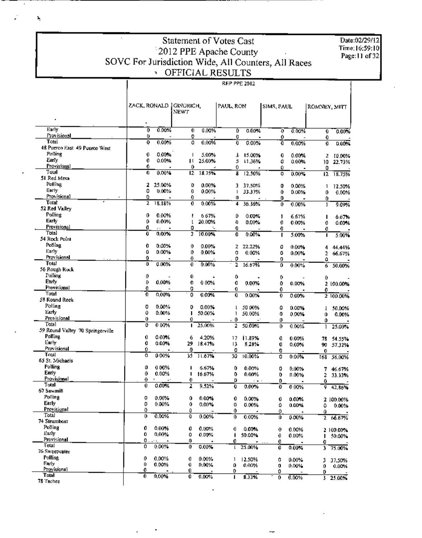Date:02/29/12<br>Time:16:59:10<br>Page:11 of 32

## Statement of Votes Cast 2012 PPE Apache County<br>SOVC For Jurisdiction Wide, All Counters, All Races

Ź.

|                                  | ZACK, RONALD   GINGRICH,<br>$\blacksquare$ |          | NEWT    |          | PAUL, RON   |          | SIMS, PAUL |                | ROMNEY, MITT |           |
|----------------------------------|--------------------------------------------|----------|---------|----------|-------------|----------|------------|----------------|--------------|-----------|
| Early                            | 0                                          | 0.00%    | 0       | 0.00%    | û           | 0.00%    | Ō          | 0.00%          | ū            | 0.00%     |
| Provisional                      | o                                          |          | 0       |          | Đ           |          | 0          |                | 0            |           |
| Total                            | o                                          | 0.00%    | ٥       | 0.00%    | 0           | 0.00%    | Ò          | 0.00%          | 0            | 0.00%     |
| 48 Puerco Hast 49 Puerco West    |                                            |          |         |          |             |          |            |                |              |           |
| Polling                          | 0                                          | $0.00\%$ | ı       | 5.00%    | 3           | 15.00%   | 0          | 0.00%          | 2            | 10.00%    |
| Early<br>Provisional             | 0                                          | 0.00%    | п       | 25.00%   | 5           | 11.36%   | 0          | 0.00%          | 10           | 22.73%    |
| Total                            | 0<br>0                                     | 0.00%    | 0<br>12 | 18.75%   | 0           |          | Û          |                | 0            |           |
| 51 Red Mesa                      |                                            |          |         |          | 8           | 12.50%   | 0          | 0.00%          | 12           | 18.75%    |
| Polling                          | 2                                          | 25.00%   | D       | 0.00%    | 3           | 37.50%   |            |                |              |           |
| Early                            | 0                                          | 0.00%    | Ð       | 0.00%    |             | 33.33%   | 0<br>0     | 0.00%<br>0.00% | 1<br>0       | 12.50%    |
| Provisional                      | 0                                          |          | 0       |          | 0           |          | 0          |                | 0            | 0.00%     |
| Total                            | z                                          | 18.18%   | 0       | $0.00\%$ | 4           | 36.36%   | 0          | 0.00%          | 1            | 9.09%     |
| 52 Red Valley                    |                                            |          |         |          |             |          |            |                |              |           |
| Polling                          | 0                                          | 0.00%    | ŧ       | 6 67%    | o           | $0.00\%$ | ı          | 6.67%          | ı            | 6.67%     |
| Early                            | ٥                                          | 0.00%    | t       | 20.00%   | Ð           | 0.00%    | 0          | 0.00%          | 0            | 0.00%     |
| Provisional                      | 0                                          |          | 0       |          | 0           |          | 0          |                | 0            |           |
| Total                            | 0                                          | $0.00\%$ | 2       | 10.00%   | 0           | $0.00\%$ | ı          | 5.00%          | п            | 5.00%     |
| 54 Reck Point                    |                                            |          |         |          |             |          |            |                |              |           |
| Polling                          | 0                                          | 0.00%    | 0       | 0.00%    | z           | 22.22%   | 0          | 0.00%          | 4            | 44.44%    |
| Early                            | Û                                          | 0.00%    | 0       | 0.00%    | 0           | 0.00%    | Ô          | 0.00%          | 2            | 66.67%    |
| Provisional                      | û                                          |          | 0       |          | 0           |          | 0          |                | û            |           |
| Total<br>56 Rough Rock           | 0                                          | 0.00%    | 0       | 0.00%    | 2           | 16.67%   | 0          | 0.00%          | 6            | 50.00%    |
| Polling                          | 0                                          |          |         |          |             |          |            |                |              |           |
| Early                            | 0                                          | 0.00%    | Û<br>0  | 0.00%    | 0           |          | 0          |                | 0            |           |
| Provisional                      | 0                                          |          | 0       |          | O           | 0.00%    | 0          | 0.00%          |              | 2 100.00% |
| Tota!                            | Ō                                          | 0.00%    | ٥       | 0.00%    | 0<br>0      | 0.00%    | 0<br>0     | 0.00%          | 0            |           |
| 58 Round Rock                    |                                            |          |         |          |             |          |            |                |              | 2 100.00% |
| Polline                          | 0                                          | $0.00\%$ | D       | 0.00%    |             | 50 00%   | 0          | 0.00%          | 1            | 50.00%    |
| Early                            | û                                          | 0.00%    | п       | 50.00%   | 1           | 50.00%   | ٥          | 0.00%          | Û            | 0.00%     |
| <b>Provisional</b>               | 0                                          |          | 0       |          | . 0         |          | 0          |                | ٥            |           |
| Total                            | 0                                          | 0.00%    | п       | 25.00%   | 2           | 50.00%   | 0          | 0.00%          |              | 25.00%    |
| 59 Round Valley 70 Springerville |                                            |          |         |          |             |          |            |                |              |           |
| Polling                          | 0                                          | 0.00%    | 6       | 4.20%    | 17          | 11.89%   | 0          | 0.00%          | 78           | 54.55%    |
| Early                            | 0                                          | 0.00%    | 29      | 18.47%   | 13          | 8.28%    | Q          | $0.00\%$       | 90           | 57.32%    |
| Provisional                      | 0                                          |          | 0       |          | o           |          | 0          |                | 0            |           |
| Total                            | o                                          | 000%     | 35      | 11.67%   | 30          | 10.00%   | 0          | 0.00%          | 168          | 56.00%    |
| 65 St. Michaels                  |                                            |          |         |          |             |          |            |                |              |           |
| Polling<br>Early                 | ٥                                          | 0.00%    | п       | 6.67%    | 0           | 0.00%    | 0          | 0.00%          | 7            | 46.67%    |
| Provisional                      | 0<br>0                                     | 0.00%    | ı       | 16.67%   | ٥           | 0.00%    | 0          | 0.00%          | 2            | 33.33%    |
| Total                            | 0                                          | 0.00%    | 0<br>Ż  | 9.52%    | D           | .        | o          |                | 0            |           |
| 67 Sawmill                       |                                            |          |         |          | 0           | 0.00%    | O          | 0.00%          | 9            | 42.86%    |
| Polling                          | o                                          | 0.00%    | Û       | 0.00%    | 0           | 0.00%    |            | $0.00\%$       |              |           |
| Early                            | 0                                          | 0.00%    | Ô       | 0.00%    | ٥           | 0.00%    | 0<br>٥     | 0.00%          |              | 2 100.00% |
| Provisional                      | 0                                          |          | o       |          | 0           |          | 0.         |                | ٥<br>Û.      | 0.00%     |
| Total                            | 0                                          | 0.00%    | Ð       | 0.00%    | $\mathbf 0$ | 0.00%    | Û          | 0.00%          |              | 2 66.67%  |
| 74 Sitamboat                     |                                            |          |         |          |             |          |            |                |              |           |
| Polling                          | 0                                          | 0.00%    | 0       | 0.00%    | 0           | 0.00%    | 0          | 0.00%          |              | 2 100.00% |
| Early                            | 0                                          | 0,00%    | Û       | 0.00%    | 1           | 50.00%   | 0          | 0.00%          | п            | 50.00%    |
| Provisional                      | ο.                                         |          | Û       |          | 0           |          | 0          |                | 0            |           |
| Total                            | 0                                          | 0.00%    | 0       | 0.00%    | L           | 25.00%   | Ő          | 0.00%          | 3            | 75.00%    |
| 76 Sweetwater                    |                                            |          |         |          |             |          |            |                |              |           |
| Polling                          | 0                                          | 0.00%    | 0       | 0.00%    | 1           | 12.50%   | 0          | $0.00\%$       | 3            | 37.50%    |
| Early<br>Provisional             | Ũ                                          | 0.00%    | Û       | 0.00%    | ٥           | 0.00%    | 0          | $0.00\%$       | 0            | 0.00%     |
| Total                            | 0                                          |          | 0       |          | 0           |          | 0          |                | 0            |           |
| 78 Tacheel                       | 0.                                         | 0.00%    | 0       | 0.00%    | 1           | 8.33%    | 0          | 0.00%          |              | 3 25:00%  |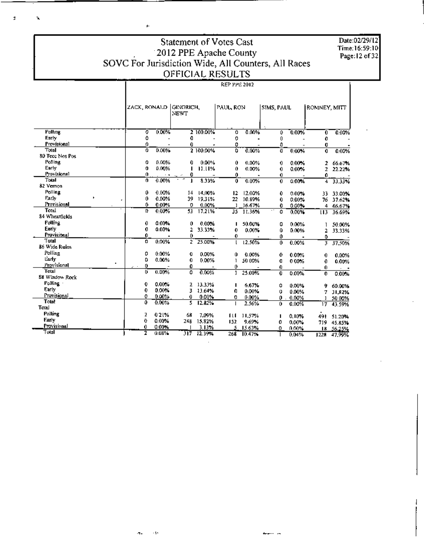Date:02/29/12 Time: 16:59:10 Page: 12 of 32

т

#### Statement of Votes Cast 2012 PPE Apache County<br>SOVC For Jurisdiction Wide, All Counters, All Races OFFICIAL RESULTS **REP PPE 2012** Ť

j.

ż,

ĥ,

|                 |   | ZACK, RONALD   |       | <b>NEWT</b> | GINGRICH, |     | PAUL, RON |             | SIMS, PAUL | ROMNEY, MITT   |                 |
|-----------------|---|----------------|-------|-------------|-----------|-----|-----------|-------------|------------|----------------|-----------------|
|                 |   |                |       |             |           |     |           |             |            |                |                 |
| Polling         |   | ö              | 0.00% |             | 2 100.00% | û   | 0.00%     | Û           | 0.00%      | O              | 0.00%           |
| Early           |   | O              |       | 0           |           | 0   |           | 0           |            | 0              |                 |
| Provisional     |   | 0              |       | 0           |           | 0   |           | O           |            | a              |                 |
| Total           |   | ō              | 0.00% |             | 2 100,00% | ö   | 0.00%     | Ð           | 0.00%      | 0              | 0.00%           |
| 80 Tecc Nos Pos |   |                |       |             |           |     |           |             |            |                |                 |
| <b>Polling</b>  |   | 0              | 0.00% | 0           | 0.00%     | Û   | 0.00%     | 0           | $0.00\%$   | 2              | 66.67%          |
| Early           |   | 0              | 0.00% |             | 11.11%    | 0   | 0.00%     | 0           | 0.00%      | ż              | 22.22%          |
| Provisional     |   | 0              | ۰.    | 0           |           | Û   |           | $\mathbf 0$ |            | 0              |                 |
| Total           |   | $\overline{0}$ | 0.00% |             | 8.33%     | 0   | 0.00%     | 0           | $0.00\%$   | $\overline{4}$ | 33.33%          |
| 82 Vernon       |   |                |       |             |           |     |           |             |            |                |                 |
| Polling         |   | 0              | 0.00% | 14          | 14,00%    | 12  | 12.00%    | 0           | 0.00%      | 33.            | 33.00%          |
| Early<br>٠      |   | 0              | 0.00% | 39          | 19,31%    | 22  | 10.89%    | 0           | 0.00%      | 76             | 37.62%          |
| Provisional     |   | 0              | 0.00% | 0           | 0.00%     | 1   | 16.67%    | 0           | 0.00%      | 4.             | 66.67%          |
| Total           |   | D              | 0.00% | 53.         | 17.21%    | 35  | 11.36%    | 0           | 0.00%      | U3             | 36.69%          |
| 84 Wheatfields  |   |                |       |             |           |     |           |             |            |                |                 |
| Polling         |   | 0              | 0.00% | 0           | 0.00%     |     | 50.00%    | 0           | 0.00%      |                | 50.00%          |
| Early           |   | 0              | 0.00% | 2           | 33.33%    | 0   | 0.00%     | ٥           | 0.00%      | 2              | 33.33%          |
| Provisional     |   | 0              |       | 0.          |           | 0   |           | 0           |            | ٥              |                 |
| Total           |   | o              | 0.00% | ż           | 25.00%    |     | 12.50%    | 0           | 0.00%      | 3              | 37.50%          |
| 86 Wide Ruins   |   |                |       |             |           |     |           |             |            |                |                 |
| Polling         |   | 0              | 0.00% | o           | 0.00%     | Û   | 0.00%     | 0           | 0.00%      | 0              | 0.00%           |
| Early.          | ٠ | 0              | 0.00% | 0           | 0.00%     | 1   | 50.00%    | O           | $0.00\%$   | 0              | 0.00%           |
| Provisional     |   | 0              |       | 0           |           | 0   |           | 0.          |            | 0              | $\cdot$ $\cdot$ |
| Total           |   | Ü              | 0.00% | Ō           | 0.00%     | ı   | 25.00%    | $\bf{0}$    | 0.00%      | 0              | 0.00%           |
| 88 Window Rock  |   |                |       |             |           |     |           |             |            |                |                 |
| Polling -       |   | 0              | 0.00% | z           | 13.33%    | ı   | 6.67%     | Û           | 0.00%      | 9              | 60.00%          |
| Early           |   | 0              | 0.00% | 3           | 13.64%    | Û   | 0.00%     | Ü           | 0.00%      | 7.             | 31,82%          |
| Provisional     |   | o              | 0.00% | 0           | 0.00%     | 0   | 0.00%     | 0.          | 0.00%      | 1              | 50.00%          |
| Total           |   | 0              | 0.00% | s           | 12.82%    |     | 2.56%     | 0           | 0.00%      | 17             | 43.59%          |
| Total           |   |                |       |             |           |     |           |             |            |                |                 |
| Polling         |   | 2              | 021%  | 68          | 7.09%     | ш   | 11,57%    |             | 0.10%      | 491            | 51.20%          |
| Farly           |   | O              | 0.00% | 248         | 15.82%    | 152 | 9.69%     | ٥           | $0.00\%$   | 719.           | 45.85%          |
| Provisional     |   | 0              | 0.00% |             | 3.13%     |     | 5 15.63%  | 0           | 0,00%      |                | 18 56.25%       |
| Total           |   | 2              | 0.08% | 317         | 12.39%    | 268 | 10.47%    |             | 0.04%      | 1779.          | <b>4700%</b>    |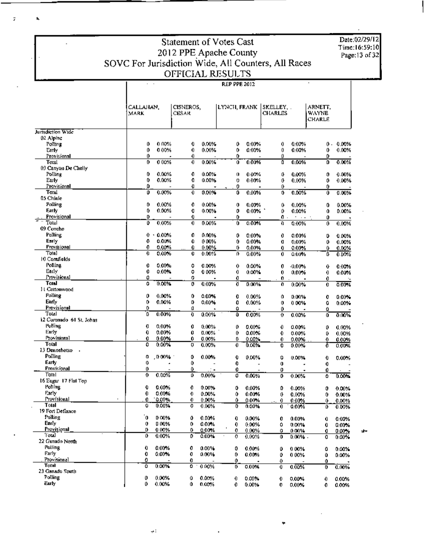Date:02/29/12<br>Time:16:59:10 Page: 13 of 32

Τ

# Statement of Votes Cast 2012 PPE Apache County<br>SOVC For Jurisdiction Wide, All Counters, All Races<br>OFFICIAL RESULTS

 $\bar{\bar{z}}$ 

 $\Delta$ 

|                           | CALLAHAN.<br>MARK |                | CISNEROS,<br>CESAR |          | LYNCH, FRANK |                   | SKELLEY.<br>CHARLES |                      | arnett.<br>WAYNE<br>CHARLE |                   |
|---------------------------|-------------------|----------------|--------------------|----------|--------------|-------------------|---------------------|----------------------|----------------------------|-------------------|
| Jurisdiction Wide         |                   |                |                    |          |              |                   |                     |                      |                            |                   |
| 02 Alpine                 |                   |                |                    |          |              |                   |                     |                      |                            |                   |
| Polling                   | 0                 | 0.00%          | 0                  | 0.00%    | 0            | 0.00%             | 0                   | 0.00%                | 0.                         | 0.00%             |
| Early                     | 0                 | 0.00%          | 0                  | 0.00%    | 0            | 0.00%             | 0                   | 0.00%                | 0                          | 0.00%             |
| Provisional<br>Total      | 0<br>0            | 0 00%          | 0<br>0             | 0.00%    | 0.<br>û      | 0.00%             | o<br>٥              | 0.00%                | Û<br>D                     | 0.00%             |
| 03 Canyon De Chelly.      |                   |                |                    |          |              |                   |                     |                      |                            |                   |
| Polling                   | 0                 | 0.00%          | 0                  | 0.00%    | 0            | $0.00\%$          | O                   | 0.00%                | 0                          | 0.00%             |
| Early                     | 0                 | 0.00%          | Û                  | 0.00%    | o            | 0.00%             | 0                   | 0.00%                | 0                          | 0.00%             |
| Provisional               | ٥                 |                | o                  |          | 0            |                   | 0                   |                      | 0                          |                   |
| Total                     | 0                 | 0.00%          | 0                  | 0.00%    | 0            | $0.00\%$          | 0                   | 0.00%                | Û                          | 0.00%             |
| 05 Chinle                 |                   |                |                    |          |              |                   |                     |                      |                            |                   |
| Polling                   | 0                 | 0.00%          | 0                  | 0.00%    | 0            | $0.00\%$          | 0                   | 0.00%                | 0                          | 0.00%             |
| Farly                     | 0                 | 0.00%          | O                  | 0.00%    | 0            | $0.00\%$          | o                   | 0.00%                | Ô                          | 0.00%             |
| Provisional               | D                 |                | 0                  |          | 0            |                   | 0.<br>$\cdot$       | $\ddot{\phantom{0}}$ | ٥                          |                   |
| Total                     | 0                 | 0.00%          | 0                  | 0.00%    | òī           | 0.00%             | Ð                   | 0.00%                | ō                          | 0.00%             |
| 09 Concho                 |                   |                |                    |          |              |                   |                     |                      |                            |                   |
| Polling                   | 0.                | $+0.00%$       | 0                  | 0.00%    | 0            | 0.00%             | 0                   | 0.00%                | D                          | 0.00%             |
| Early                     | 0                 | 0.00%          | 0                  | 000%     | ٥            | 0.00%             | O                   | 0.00%                | 0                          | 0.00%             |
| Provisional               | 0                 | $0.00\%$       | 0                  | 0.00%    | 0            | 0.00%             | 0                   | 0.00%                | 0                          | 0.00%             |
| Total                     | 0                 | 0.00%          | Û                  | 0.00%    | 0            | 0.00%             | 0.                  | 0.00%                | ₿                          | 0.00%             |
| 10 Comfields              |                   |                |                    |          |              |                   |                     |                      |                            |                   |
| Polline                   | 0                 | 0.00%          | ٥                  | 0.00%    | 0            | $0.00\%$          | 0                   | $-0.00\%$            | 0                          | 0.00%             |
| Early<br>Provisional      | 0                 | $0.00\%$       | ٥                  | 0.00%    | 0            | $0.00\%$          | 0                   | 0.00%                | 0                          | 0.00%             |
| Total                     | 0                 | 0.00%          | 0                  |          | 0            |                   | 0.                  |                      | 0                          |                   |
| 11 Cattonwood             | Ó                 |                | 0                  | 0.00%    | ö            | 0.00%             | 0                   | $0.00\%$             | Û                          | 0.00%             |
| Polling                   | 0                 | 0.00%          | 0                  | 0.00%    |              |                   |                     |                      |                            |                   |
| Early                     | 0                 | 0.00%          | D                  | 0.00%    | 0<br>0       | $0.00\%$<br>0.00% | 0                   | 0.00%                | 0                          | 0.00%             |
| Provisional               | 0                 |                | O                  |          | û            |                   | 0                   | $0.00\%$             | ٥                          | 0.00%             |
| Total                     | O.                | $0.00\%$       | 0                  | 0.00%    | û            | 0.00%             | 0<br>$\theta$       | 0.00%                | Û<br>û                     | 0.00%             |
| 12 Coronado 61 St, Johns  |                   |                |                    |          |              |                   |                     |                      |                            |                   |
| Polling                   | Q                 | $0.00\%$       | 0                  | 0.00%    | o            | $0.00\%$          | 0                   | 0.00%                | 0                          | 0.00%             |
| Early                     | 0                 | $0.00\%$       | Û                  | 0.00%    | 0            | $0.00\%$          | 0                   | 0.00%                | 0                          | 0.00%             |
| Provisional               | 0                 | $0.00\%$       | 0                  | 0.00%    | 0            | 0.00%             | 0                   | 0.00%                | 0                          | 0.00%             |
| Total                     | 0                 | $0.00\%$       | o                  | 0.00%    | 0            | 0.00%             | 0                   | $0.00\%$             | 0                          | 0.00%             |
| 13 Dennehotso             |                   |                |                    |          |              |                   |                     |                      |                            |                   |
| Polling                   | 0                 | D 00%          | 0                  | 0.00%    | 0            | 0.00%             | 0                   | 0.00%                | 0                          | $0.00\%$          |
| Early                     | 0                 | ٠              | ٥                  |          | 0            |                   | 0                   |                      | 0                          |                   |
| Provisional               | 0                 |                | ٥                  |          | 0            |                   | ٥                   |                      | 0                          |                   |
| Total                     | 0                 | 0.00%          | ٥                  | $0.00\%$ | ٥            | 0.00%             | 0                   | $0.00\%$             | ٥                          | 0.00%             |
| 16 Eagar 17 Flat Top      |                   |                |                    |          |              |                   |                     |                      |                            |                   |
| Polling                   | 0                 | $0.00\%$       | 0                  | 0.00%    | 0            | 0.00%             | ٥                   | $0.00\%$             | 0                          | 0.00%             |
| Early                     | 0                 | 0.00%          | 0                  | 0.00%    | ٥            | $0.00\%$          | o                   | 0.00%                | 0                          | 0.00%             |
| Provisional               | 0                 | $-0.00%$       | 0                  | 0.00%    | ٥            | 0.00%             | 0.                  | 0.00%                | Û                          | 0.00%             |
| Total<br>19 Fort Defiance | Û                 | 0.00%          | o                  | 0.00%    | 0            | 0.00%             | 0                   | 0.00%                | ٥                          | 0.00%             |
| Polling                   | ۰o                |                |                    |          |              |                   |                     |                      |                            |                   |
| Early                     |                   | 0.00%          | 0                  | 0.00%    | 0            | 0.00%             | o                   | 0.00%                | 0                          | 0.00%             |
| Provisional               | 0                 | 0.00%          | 0                  | 0.00%    | 0            | 0.00%             | ٥                   | 0.00%                | 0                          | 0.00%             |
| Total                     | D<br>0            | 0.00%<br>0.00% | 0<br>o             | 0.00%    | 0            | $0.00\%$          | 0                   | 0.00%                | 0                          | 0.00%             |
| 22 Ganado North           |                   |                |                    | 0.00%    | O            | 0.00%             | 0                   | 0.00% -              | o                          | 0.00%             |
| Polling                   | 0                 | 0.00%          | 0                  | 0.00%    | 0            | 0.00%             |                     |                      |                            |                   |
| Early                     | 0                 | $0.00\%$       | 0                  | 0.00%    | 0            | 0.00%             | o<br>0              | 0.00%<br>0.00%       | o                          | $0.00\%$<br>0.00% |
| Provisional               | 0                 |                | 0                  |          | 0            |                   | 0                   |                      | Û<br>Û                     |                   |
| Total                     | Û                 | 0.00%          | 0                  | 0.00%    | o            | 0.00%             | 0                   | 0.00%                | 0                          | 0.00%             |
| 23 Ganado Stutth          |                   |                |                    |          |              |                   |                     |                      |                            |                   |
| Polling                   | 0                 | 0.00%          | û                  | $0.00\%$ | 0            | 0.00%             | 0                   | $0.00\%$             | 0                          | 0.00%             |
| Early                     | 0                 | 0.00%          | Û                  | 0.00%    | 0            | 0.00%             | 0                   | $0.00\%$             | 0                          | 0.00%             |

sh.

 $\pm4$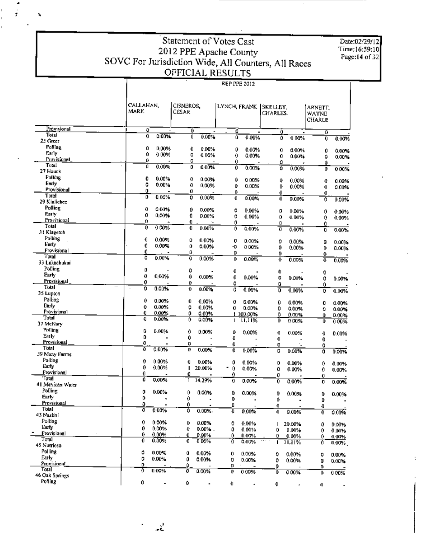### Statement of Votes Cast Statement of Votes Case<br>
2012 PPE Apache County<br>
SOVC For Jurisdiction Wide, All Counters, All Races<br>
OFFICIAL RESULTS T **REP PPE 2012**

ÿ

 $\mathbf{a}$ 

Date:02/29/12<br>Time:16:59:10<br>Page:14 of 32

|                             |                     |                            | <b>REP PPE 2012</b>    |                        |                                   |
|-----------------------------|---------------------|----------------------------|------------------------|------------------------|-----------------------------------|
|                             |                     |                            |                        |                        |                                   |
|                             | CALLAHAN,<br>mark   | CISNEROS.<br>CESAR         | LYNCH, FRANK (SKELLEY, | CHARLES.               | ARNETT.<br><b>WAYNE</b><br>CHARLE |
| Provisional                 | Đ,                  | Ō                          | 0                      | Û<br>-                 | D                                 |
| Total                       | 0<br>0.00%          | 0<br>0.00%                 | ö<br>0.00%             | ٥<br>0.00%             | $\mathbf 0$<br>0.00%              |
| 25 Green                    |                     |                            |                        |                        |                                   |
| <b>Polling</b>              | ٥<br>0.00%          | Û<br>0.00%                 | ٥<br>0.00%             | 0<br>0.00%             | 0<br>0.00%                        |
| Early                       | Ô<br>0.00%          | 0<br>0.00%                 | $\theta$<br>$0.00\%$   | 0<br>0.00%             | û<br>$0.00\%$                     |
| Provisional<br>Total        | ٥                   | 0                          | 0.                     | 0                      | Û                                 |
| 27 Houck                    | 0.00%<br>ū          | 0<br>0.00%                 | 0<br>0.00%             | ö<br>0.00%             | o<br>000%                         |
| Polling                     | 0<br>0.00%          |                            |                        |                        |                                   |
| Early                       | 0<br>0.00%          | 0<br>0.00%                 | û<br>0.00%             | 0<br>0.00%             | 0<br>0.00%                        |
| Provisional                 | Û                   | 0<br>0,00%<br>0            | o<br>0.00%             | D.<br>0.00%            | 0<br>0.00%                        |
| Total                       | 0<br>0.00%          | 0<br>0.00%                 | 0<br>0<br>0.00%        | 0                      | 0                                 |
| 29 Kinlichee                |                     |                            |                        | 0<br>0.00%             | 0<br>0.00%                        |
| Polling                     | 0<br>0.00%          | Ď<br>0.00%                 | 0<br>0.00%             | 0<br>0.00%             |                                   |
| Early                       | 0<br>0.00%          | Ð<br>0.00%                 | o<br>0.00%             | 0<br>0.00%             | 0<br>0.00%                        |
| Provisional                 | o                   | 0.                         | 0                      | 0                      | 0<br>0.00%<br>٥                   |
| Total                       | 0<br>0.00%          | 0<br>0.00%                 | 0<br>0.00%             | ō<br>0.00%             | 0.00%<br>0                        |
| 31 Klageton                 |                     |                            |                        |                        |                                   |
| Polling                     | 0<br>0.00%          | Û<br>0.00%                 | O<br>0.00%             | 0<br>0.00%             | 0<br>0.00%                        |
| Early                       | 0<br>0.00%          | Û<br>0.00%                 | -0<br>0 00%            | 0<br>0.00%             | 0<br>0.00%                        |
| Provisional                 | 0                   | o                          | 0                      | 0                      | 0                                 |
| Total<br>33 Lukachukai.     | ô<br>0.00%          | O<br>0.00%                 | 0<br>$0.00\%$          | 0<br>0.00%             | $\overline{0}$<br>0.00%           |
| Polling<br>Early            | 0                   | 0                          | 0                      | 0.                     | 0                                 |
| Provisional                 | 0<br>0,00%          | Û<br>0.00%                 | 0<br>0.00%             | 0<br>0.00%             | 0<br>$0.00\%$                     |
| Total                       | 0                   | 0                          | 0                      | 0                      | 0                                 |
| 35 Lupton<br>Polling        | 0.009<br>0          | 0.00%<br>0                 | û<br>0.00%             | D<br>0.00%             | 0.00%<br>D                        |
| <b>Eur</b> y                | Û<br>0.00%<br>0     | 0<br>0.00%                 | 0<br>0.00%             | 0<br>0.00%             | 0<br>0.00%                        |
| Provisional                 | 0.00%<br>0<br>0.00% | o<br>0.00%                 | 0.00%<br>0.            | Đ<br>0.00%             | ٥<br>0.00%                        |
| Total                       | 0<br>0.00%          | 0<br>0.00%<br>0<br>0.00%   | 1 100.00%              | ٥<br>0.00%             | Û<br>0.00%                        |
| 37 McNary                   |                     |                            | 11,11%<br>T            | Ő<br>0.00%             | Û<br>0.00%                        |
| Polling                     | 0<br>0.00%          | 0<br>0.00%                 | 0<br>0.00%             |                        |                                   |
| Early                       | o                   | 0                          | Ð                      | Ū<br>0.00%<br>0        | 0<br>0.00%                        |
| Provisional                 | 0                   | 0                          | 0                      | 0                      | 0                                 |
| Total                       | Ô<br>0.00%          | 0<br>0.00%                 | 0.00%<br>0             | 0<br>$0.00\%$          | 0<br>O<br>0.00%                   |
| 39 Many Parms               |                     |                            |                        |                        |                                   |
| Polling                     | 0<br>0.00%          | o<br>0.00%                 | 0<br>0.00%             | 0<br>0.00%             | 0<br>0.00%                        |
| Early.                      | 0<br>0.00%          | п<br>20.00%                | 0<br>0.00%             | 0<br>0.00%             | 0<br>0.00%                        |
| <b>Provisional</b><br>Total | 0                   | 0                          | û                      | o                      | 0                                 |
| 41 Mexican Water            | 0<br>0.00%          | $\mathbf{1}$<br>14,29%     | ū<br>0.00%             | 0<br>0.00%             | 0.00%<br>0                        |
| Polling<br>Early            | 0<br>0.00%          | 0.00%<br>$\mathbf{0}$      | Û<br>0.00%             | 0<br>0.00%             | 0<br>0.00%                        |
| Provisional                 | 0                   | 0                          | 0                      | D.                     | D                                 |
| Total                       | Û                   | 0                          | П                      | Ð                      | Ð                                 |
| 43 Nazlini<br>Polling       | ō<br>0.00%          | ٥<br>0.00%                 | Ð<br>0.00%             | 0.00%<br>0             | 0.00%<br>0                        |
| Early.                      | 0<br>0.00%<br>0     | 0<br>$0.00\%$              | 0<br>0.00%             | 20.00%<br>$\mathbf{I}$ | 0.00%<br>0                        |
| Provisional                 | 0.00%<br>0.00%<br>0 | 0<br>0.00% .               | Û<br>0.00%             | 0<br>0.00%             | 0.00%<br>0                        |
| Total                       | 0<br>0.00%          | 0.<br>0.00%<br>0.<br>0.00% | 0.<br>0.00%            | o<br>0.00%             | 0.<br>0.00%                       |
| 45 Nutrioso                 |                     |                            | O<br>0.00%             | 11,11%<br>ı            | 0<br>0.00%                        |
| Polling                     | o<br>0.00%          | Û<br>$0.00\%$              | 0.00%<br>0             | 0.00%                  |                                   |
| Early                       | 0<br>0.00%          | 0<br>0.00%                 | 0<br>0.00%             | 0<br>0                 | 0<br>0.00%                        |
| Provisional                 | ٥                   | ۵                          | 0                      | 0.00%<br>0             | 0<br>0.00%<br>0                   |
| Total                       | ō<br>0.00%          | 0.00%<br>0                 | 0.00%<br>0             | 0.00%<br>0             | 0.00%<br>٥                        |
| 46 Oak Springs              |                     |                            |                        |                        |                                   |
| Polling                     | 0                   | ٥                          | 0                      | 0.<br>$\mathbf{a}$     | 0                                 |

로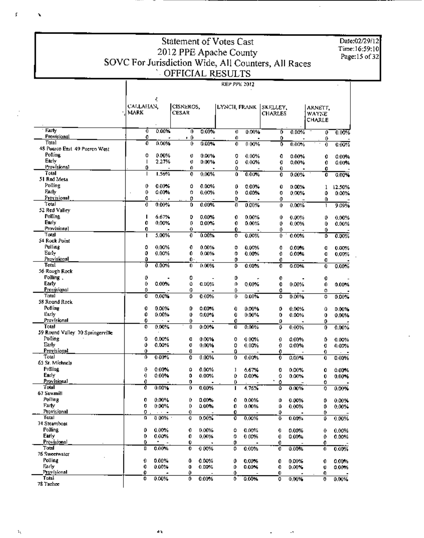Date:02/29/12 Time:16:59:10 Page:15 of 32

T

 $\cdot$ 

 $\mathcal{A}$ 

 $\blacksquare$ 

### Statement of Votes Cast 2012 PPE Apache County<br>SOVC For Jurisdiction Wide, All Counters, All Races<br>OFFICIAL RESULTS ī **REP PPE 2012**

|                                  | CALLAHAN,<br>MARK | f,             | CISNEROS.<br><b>CESAR</b> |       |        |                   | LYNCH, FRANK   SKELLEY,<br><b>CHARLES</b> |                | arnett.<br>WAYNE<br>CHARLE |                |
|----------------------------------|-------------------|----------------|---------------------------|-------|--------|-------------------|-------------------------------------------|----------------|----------------------------|----------------|
| Farly                            | $\overline{0}$    | 0.00%          | σ                         | 0.00% | Đ      | 0.00%             | ō                                         | 0.00%          | ō                          | 0.00%          |
| Provisional<br>Total             | 0<br>ō            |                | , 0                       |       | 0      |                   | 0                                         |                | 0                          |                |
| 48 Puerco East 49 Puerco West    |                   | 0.00%          | 0                         | 0.00% | 0      | 0.00%             | Ō                                         | 0.00%          | 0                          | 0.00%          |
| Polling                          | 0                 | 0.00%          | Ü                         | 0.00% | 0      | 0.00%             | 0                                         | 0.00%          | 0                          | 0.00%          |
| Early                            | $\mathsf{l}$      | 2.27%          | Ü                         | 0.00% | ٥      | 0.00%             | O                                         | 0.00%          | 0                          | 0.00%          |
| Frovisional                      | 0                 |                | 0                         |       | 0      |                   | 0.                                        |                | Ò                          |                |
| Total                            | $\mathbf{I}$      | 1.56%          | 0                         | 0.00% | ٥      | 0.00%             | 0                                         | 0.00%          | Ò                          | 0.00%          |
| 51 Red Mesa                      |                   |                |                           |       |        |                   |                                           |                |                            |                |
| Polling                          | 0                 | 0.00%          | 0                         | 0.00% | 0      | 0.00%             | Û                                         | 0.00%          | 1                          | 12.50%         |
| Farly<br>Provisional             | 0                 | 0.00%          | o                         | 0.00% | 0      | 0.00%             | o                                         | 0.00%          | 0                          | 0.00%          |
| Total                            | Û<br>0            | 0.00%          | 0<br>0                    | 0.00% | Ù<br>Đ | 0.00%             | 0<br>Û                                    | 0.00%          | 0                          | 9.09%          |
| 52 Red Valley                    |                   |                |                           |       |        |                   |                                           |                | ı                          |                |
| Polline                          | п                 | 6.67%          | D                         | 0.00% | 0      | 0.00%             | Û                                         | 0.00%          | 0                          | 0.00%          |
| Early                            | Û                 | 0.00%          | o                         | 0.00% | 0      | 0.00%             | 0                                         | 0.00%          | 0                          | 0.00%          |
| Provisional                      | 0                 |                | 0                         |       | 0      |                   | 0                                         |                | 0                          |                |
| Total                            | ı                 | 5.00%          | 0                         | 0.00% | 0      | 0.00%             | 0                                         | 0.00%          | Ď                          | 0.00%          |
| 54 Rock Point                    |                   |                |                           |       |        |                   |                                           |                |                            |                |
| Polling                          | Ō                 | 0.00%          | 0                         | 0.00% | 0      | 0.00%             | 0                                         | $0.00\%$       | O                          | 0.00%          |
| Early<br>Provisional             | 0<br>Û            | 0.00%          | 0<br>Ô۰                   | 0.00% | 0      | 0.00%             | 0                                         | $0.00\%$       | O                          | 0.00%          |
| Total                            | Ō                 | 0.00%          | $\mathbf{0}$              | 0.00% | 0<br>0 | $0.00\%$          | 0<br>ō                                    | 0.00%          | O<br>0                     | 0.00%          |
| 56 Rough Rock                    |                   |                |                           |       |        |                   |                                           |                |                            |                |
| Polling,                         | 0                 |                | 0                         |       | Ď      |                   | 0                                         |                | 0                          |                |
| Early                            | 0                 | 0.00%          | û                         | 0.00% | Ű.     | 0.00%             | 0                                         | 0.00%          | 0.                         | 0.00%          |
| Provisional                      | Ů                 |                | 0                         |       | 0      |                   | O                                         |                | ٥                          |                |
| Total                            | O                 | 0.00%          | 0                         | 0.00% | 0      | $0.00\%$          | ٥                                         | 0.00%          | o                          | 0.00%          |
| 58 Round Rock                    |                   |                |                           |       |        |                   |                                           |                |                            |                |
| Polling<br>Early                 | 0<br>0            | 0.00%<br>0.00% | Û                         | 0.00% | 0      | $0.00\%$          | 0                                         | 0.00%          | û                          | 0.00%          |
| Provisional                      | 0                 | $\sim$         | 0<br>0                    | 0.00% | 0<br>0 | 0.00%             | 0<br>٥                                    | 0.00%          | o                          | 0.00%          |
| Total                            | 0                 | 0.00%          | 0                         | 0.00% | Ô      | 0.00%             | ٥                                         | 0.00%          | 0<br>0                     | 0.00%          |
| 59 Round Valley 70 Springerville |                   |                |                           |       |        |                   |                                           |                |                            |                |
| Polling                          | 0                 | 0.00%          | O                         | 0.00% | 0      | 0.00%             | 0                                         | 0.00%          | ٥                          | 0.00%          |
| Early                            | 0                 | 0.00%          | O                         | 0.00% | 0      | 0.00%             | 0                                         | 0.00%          | O                          | 0.00%          |
| Provisional                      | 0                 |                | O                         |       | O      |                   | 0                                         |                | 0                          |                |
| Total<br>65 St. Michaels         | 0.                | 0.00%          | Đ                         | 0.00% | 0      | 0.00%             | Ò                                         | 0.00%          | 0                          | 0.00%          |
| Polling                          | 0                 | 0.00%          | û                         | 0.00% | ı      |                   |                                           |                |                            |                |
| Early                            | 0                 | 0.00%          | Û                         | 0.00% | 0      | 6.67%<br>0.00%    | 0<br>o                                    | 0.00%<br>0.00% | Ò<br>0                     | 0.00%<br>0.00% |
| Provisional                      | 0                 |                | 0                         |       | 0      |                   | ٠<br>Ô                                    |                | 0                          |                |
| Total                            | Ō                 | 0.00%          | 0                         | 0.00% | ı      | 4.76%             | ٥                                         | 0.00%          | 0                          | 0.00%          |
| 67 Sawmitl                       |                   |                |                           |       |        |                   |                                           |                |                            |                |
| Polling                          | 0                 | $0.00\%$       | 0                         | 0.00% | o      | 0.00%             | o                                         | 0.00%          | 0                          | 0.00%          |
| Farly                            | 0                 | 0.00%          | 0                         | 0.00% | o      | 0.00%             | o                                         | 0.00%          | 0                          | 0.00%          |
| Provisional<br>Total             | 0                 | 0.00%          | 0                         |       | o      |                   | 0                                         |                | 0                          |                |
| 74 Steamboat                     | 0                 |                | 0                         | 0.00% | O      | 0.00%             | Ð                                         | 0.00%          | o                          | 0.00%          |
| <b>Polling</b>                   | 0                 | 0.00%          | 0                         | 0.00% | ٥      | 0.00%             | 0                                         | 0.00%          | 0                          | 0.00%          |
| Early                            | 0                 | 0.00%          | 0                         | 0.00% | 0      | 0.00%             | 0                                         | 0.00%          | O                          | 0.00%          |
| Provisional                      | 0                 | n              | 0                         |       | 0      |                   | 0.                                        |                | 0                          |                |
| Total                            | О                 | 0.00%          | 0                         | 0.00% | 0      | 0.00%             | 0                                         | 0.00%          | 0                          | $0.00\%$       |
| 76 Sweetwater<br>Polling         | 0                 | 0.00%          | Û                         | 0.00% |        |                   |                                           | 0.00%          |                            |                |
| Early                            | 0                 | 0.00%          | 0                         | 0.00% | 0<br>0 | $0.00\%$<br>0.00% | 0<br>0                                    | $0.00\%$       | 0<br>U                     | 0.00%<br>0.00% |
| Provisional                      | o                 |                | 0                         |       | Ô      |                   | 0                                         |                | 0                          |                |
| Total                            | 0                 | 0.00%          | 0                         | 0.00% | 0      | 0.00%             | ٥                                         | 0.00%          | 0                          | 0.00%          |
| 78 Tachee                        |                   |                |                           |       |        |                   |                                           |                |                            |                |

 $\mathbf f$ 

 $\mathbf{r}$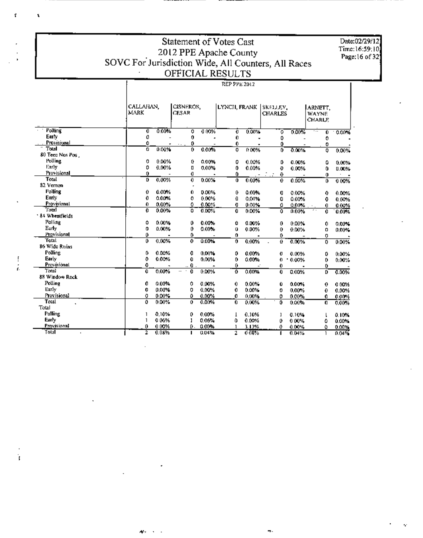## Statement of Votes Cast 2012 PPE Apache County<br>SOVC For Jurisdiction Wide, All Counters, All Races<br>OFFICIAL RESULTS

Date:02/29/12<br>Time:16:59:10<br>Page:16 of 32

|                               |                | REP PPE 2012             |    |                    |    |              |              |                             |   |       |  |  |  |
|-------------------------------|----------------|--------------------------|----|--------------------|----|--------------|--------------|-----------------------------|---|-------|--|--|--|
|                               | MARK           | CALLAHAN.                |    | CISNEROS,<br>CESAR |    | LYNCH, FRANK |              | ISKELLEV.<br><b>CHARLES</b> |   |       |  |  |  |
| Polling                       | $\overline{0}$ | 0.00%                    | 0  | 0.00%              | 0  | 0.00%        | σ            | 0.00%                       | Û | 0.00% |  |  |  |
| Early                         | 0              |                          | 0  |                    | 0  |              | 0            |                             | 0 |       |  |  |  |
| Provisional                   | 0              |                          | 0  |                    | 0  |              | 0            |                             | 0 |       |  |  |  |
| Total                         | o              | 0.00%                    | 0  | 0.00%              | o  | 0.00%        | 0            | 0.00%                       | 0 | 0.00% |  |  |  |
| 80 Tecc Nos Pos.              |                |                          |    |                    |    |              |              |                             |   |       |  |  |  |
| Polling                       | 0              | 0.00%                    | 0  | 0.00%              | 0  | 0.00%        | Ď            | 0.00%                       | ٥ | 0.00% |  |  |  |
| Early                         | 0              | 0.00%                    | 0  | 0.00%              | 0  | 0.00%        | 0            | 0.00%                       | 0 | 0.00% |  |  |  |
| <b>Provisional</b>            | 0.             |                          | o  |                    | 0  |              | 0            |                             | 0 |       |  |  |  |
| Toul                          | D              | 0.00%                    | 0  | 0.00%              | Ō  | 0.00%        | $\mathbf{0}$ | 0.00%                       | 0 | 0.00% |  |  |  |
| 82 Vernon                     |                |                          |    |                    |    |              |              |                             |   |       |  |  |  |
| Polling                       | 0              | 0.00%                    | 0  | 0.00%              | 0  | $0.00\%$     | o            | 0.00%                       | 0 | 0.00% |  |  |  |
| Early                         | 0              | 0.00%                    | 0  | 0.00%              | Ð  | 0.00%        | 0            | 0.00%                       | û | 0.00% |  |  |  |
| Provisional                   | 0              | 0.00%                    | o  | 0.00%              | O  | 0.00%        | ٥            | 0.00%                       | 0 | 0.00% |  |  |  |
| Total                         | 0              | 0.00%                    | ٥  | 0.00%              | 0. | 0.00%        | ٥            | 0.00%                       | 0 | 0.00% |  |  |  |
| * 84 Wheatfields              |                |                          |    |                    |    |              |              |                             |   |       |  |  |  |
| Polling                       | ٥              | 0.00%                    | 0  | 0.00%              | ٥  | 0.00%        | 0            | 0.00%                       | 0 | 0.00% |  |  |  |
| Early                         | 0              | 0.00%                    | 0  | 0.00%              | Ü  | 0.00%        | 0            | 0.00%                       | ۵ | 0.00% |  |  |  |
| Provisional                   | 0              |                          | 0  |                    | 0  |              | 0            |                             | 0 |       |  |  |  |
| Total                         | 0              | 0.00%                    | 0  | 0.00%              | 0  | 0.00%        | Û            | 0.00%                       | Ō | 0.00% |  |  |  |
| 86 Wide Ruins                 |                |                          |    |                    |    |              |              |                             |   |       |  |  |  |
| Polling                       | 0              | 0.00%                    | 0  | 0.00%              | 0  | 0.00%        | o            | 0.00%                       | 0 | 0.00% |  |  |  |
| Early                         | Û              | 0.00%                    | O  | 0.00%              | 0  | 0.00%        | 0<br>٠       | 0.00%                       | 0 | 0.00% |  |  |  |
| Provisional                   | 0              | $\overline{\phantom{a}}$ | 0  |                    | 0  |              | 0            |                             | 0 |       |  |  |  |
| Total                         | 0              | $0.00\%$                 | 0  | 0.00%              | o  | 0.00%        | 0            | 0.00%                       | ٥ | 0.00% |  |  |  |
| 88 Window Rock                |                |                          |    |                    |    |              |              |                             |   |       |  |  |  |
| Polling                       | 0              | 0.00%                    | 0  | 0.00%              | 0  | 0.00%        | Û            | 0.00%                       | 0 | 0.00% |  |  |  |
| Early                         | 0              | 0.00%                    | 0  | 0.00%              | 0  | 0.00%        | 0            | $0.00\%$                    | 0 | 0.00% |  |  |  |
| Provisional                   | 0              | 0.00%                    | 0  | 0.00%              | o  | 0.00%        | 0            | 0.00%                       | 0 | 0.00% |  |  |  |
| Total<br>$\ddot{\phantom{0}}$ | ٥              | 0.00%                    | Ő  | 0.00%              | 0  | 0.00%        | 0            | 0.00%                       | O | 0.00% |  |  |  |
| Total                         |                |                          |    |                    |    |              |              |                             |   |       |  |  |  |
| Polling                       |                | 0.10%                    | 0  | 0.00%              | T  | 0.10%        | 1            | 0.10%                       |   | 0.10% |  |  |  |
| Early                         |                | 0.06%                    | 1  | 0.06%              | ٥  | 0.00%        | o            | 0.00%                       | ٥ | 0.00% |  |  |  |
| Provisional                   | 0              | 0.00%                    | D. | 0.00%              | ı  | 3.13%        | ₽            | 0.00%                       | ۵ | 0.00% |  |  |  |
| Total                         | 2              | 0.08%                    | п  | 0.04%              | 2  | $0.08\%$     |              | 0.04%                       | 1 | 0.04% |  |  |  |

 $\begin{array}{c} 1 \\ 1 \\ 2 \end{array}$ 

Ť,

ĩ,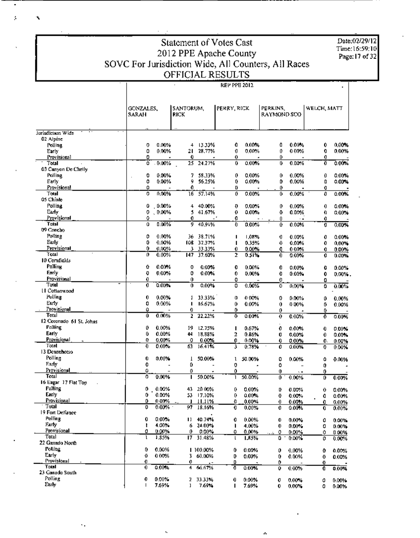Date:02/29/12 Time: 16:59:10<br>Page: **17** of 32

#### Statement of Votes Cast Time:16:59:1<br>2012 PPE Apache County Time:16:59:1 SOVC For Jurisdiction Wide, All Counters, All Races OFFICIAL RESULT

RH PPE 1012

۸

,

Á

|                          | GONZALES,<br>SARAH     | RICK    | SANTORUM.        |         | PERRY, RICK |        | PERKINS.<br><b>RAYMOND SCO</b> |        | WELCH, MATT |
|--------------------------|------------------------|---------|------------------|---------|-------------|--------|--------------------------------|--------|-------------|
| Jurisdictum Wide         |                        |         |                  |         |             |        |                                |        |             |
| 02 Alpine                |                        |         |                  |         |             |        |                                |        |             |
| Polling                  | 0.00%<br>0             | 4       | 13.33%           | 0       | 0.00%       | Û      | 0.00%                          | Û      | 0.00%       |
| Early                    | 0<br>0.00%             | 21      | 28,77%           | 0       | 0.00%       | 0      | 0.00%                          | 0      | 0.00%       |
| Provisional<br>Total     | 0<br>ö<br>0.00%        | 0<br>25 | 24.27%           | 0<br>0  | 0.00%       | 0<br>Û | 0.00%                          | 0<br>Ò | 0.00%       |
| 03 Canyon De Chelly      |                        |         |                  |         |             |        |                                |        |             |
| Polling                  | 0<br>0.00%             | 7       | 58.33%           | 0       | 0.00%       | 0      | 0.00%                          | O      | 0.00%       |
| Early                    | ٥<br>0.00%             | 9       | 56.25%           | Û       | 0.00%       | ٥      | 0.00%                          | Ù      | 0.00%       |
| Provisional              | Û                      | 0       |                  | D       |             | 0      |                                | 0      |             |
| 'l'otal                  | 0.00%<br>0             | 16      | 57.14%           | 0       | 0.00%       | 0      | 0.00%                          | 0      | 0.00%       |
| 05 Chinie                |                        |         |                  |         |             |        |                                |        |             |
| Polling                  | û<br>$10.00\%$         | 4       | 40.00%           | Ð       | 0.00%       | 0      | 0.00%                          | 0      | 0.00%       |
| Early                    | 0<br>$0.00\%$          |         | 5 41.67%         | 0       | 0.00%       | Û      | 0.00%                          | O.     | 0.00%       |
| Provisional              | 0                      | 0       |                  | Û       |             | 0      | $\cdot$ .                      | 0      |             |
| Total                    | 0.00%<br>û             | g       | 40.91%           | Ð       | $0.00\%$    | ⇧      | 0.00%                          | Ū      | 0.00%       |
| 09 Concho                |                        |         |                  |         |             |        |                                |        |             |
| Polling                  | 0.00%<br>0             | 36      | 38.71%           | п       | 1.08%       | 0      | 0.00%                          | 0      | 0.00%       |
| Early<br>Provisional     | 0<br>0.00%<br>0        | 108     | 37.37%           | ı       | 0.35%       | 0      | 0.00%                          | 0      | 0.00%       |
| 'Fotal                   | 0.00%<br>$0.00\%$<br>o | 3       | 33.33%<br>37.60% | 0.      | 0.00%       | û      | 0.00%                          | 0      | $0.00\%$    |
| 10 Comfields             |                        | 147     |                  | 2       | 0.51%       | 0      | 0.00%                          | 0.     | 0.00%       |
| Polling                  | ٥<br>0.00%             | o       | 0.00%            | 0       | $0.00\%$    | 0      | 0.00%                          | 0      | 0.00%       |
| Early                    | Q<br>$0.00\%$          | 0       | 0.00%            | 0       | 0.00%       | 0      | 0.00%                          | 0      |             |
| Provisional              | 0                      | 0       |                  | 0       |             | Û      |                                | 0      | 0.00%.      |
| Total                    | 0<br>0.00%             | 0       | 0.00%            | 0       | 0.00%       | 0      | 0,00%                          | 0      | 0.00%       |
| l I Cottonwood           |                        |         |                  |         |             |        |                                |        |             |
| Polling                  | 0<br>0.00%             | 1       | 33.33%           | 0       | 0.00%       | 0      | 0.00%                          | 0      | 0.00%       |
| Early                    | 0<br>0.00%             | п       | 16.67%           | 0       | 0.00%       | Û      | 0.00%                          | 0      | 0.00%       |
| Provisional              | û                      | 0       |                  | 0       |             | 0      |                                | 0.     |             |
| Total                    | û<br>0.00%             | 2       | 22.22%           | 0       | 0.00%       | 0      | 0.00%                          | 0      | 0.00%       |
| 12 Coronado 61 St. Johns |                        |         |                  |         |             |        |                                |        |             |
| Palling                  | 0<br>0.00%             | 19      | 12.75%           | п       | 0.67%       | 0      | 0.00%                          | 0      | 0.00%       |
| Early                    | 0<br>0.00%             | 44      | 18.88%           | 2       | 0.86%       | O      | 0.00%                          | 0      | 0.00%       |
| Provisional              | Đ<br>$0.00\%$          | 0       | $0.00\%$         | 0       | 0.00%       | 0      | 0.00%                          | o.     | 0.00%       |
| Total                    | Ð<br>$0.00\%$          | 63      | 16.41%           | 3       | 0.78%       | 0      | 0.00%                          | 0      | 0.00%       |
| 13 Dennehorso<br>Polling |                        |         |                  |         |             |        |                                |        |             |
| Early                    | 0<br>0.00%<br>O        | 1<br>٥  | 50.00%           | ı<br>٥  | 50.00%      | 0      | 0.00%                          | ٥      | 0.00%       |
| Provisional              | û                      | o       |                  | 0       |             | Ō<br>0 |                                | 0      |             |
| Total                    | ó<br>0.00%             |         | 50.00%           | ı       | 50.00%      | 0      | ۰.<br>0.00%                    | 0<br>Ď | 0.00%       |
| 16 Eagar 17 Flat Top     |                        |         |                  |         |             |        |                                |        |             |
| Polling                  | 0<br>0.00%             | 43      | 20 00%           | Û       | 0.00%       | D      | 0.00%                          | 0      | 0.00%       |
| Early                    | 0.00%<br>0             | 53.     | 17.10%           | 0       | 0.00%       | O      | 0.00%                          | 0      | 0.00%       |
| Provisional              | Ď<br>$0.00\%$          | J.      | -11.11%          | û       | 0.00%       | 0      | 0.00%                          | û      | 0.00%       |
| Total                    | $0.00\%$<br>⊕          | 97.     | 18.16%           | o       | 0.00%       | 0      | 0.00%                          | 0      | 0.00%       |
| 19 Fort Defiance         |                        |         |                  |         |             |        |                                |        |             |
| Polling                  | 0<br>0.00%             | п       | 40.74%           | 0       | $0.00\%$    | 0      | $0.00\%$                       | 0      | 0.00%       |
| Farly                    | 4.00%<br>ŧ             | 6       | 24.00%           | ٠       | 4.00%       | 0      | 0.00%                          | Ű      | 0.00%       |
| Provisional              | ٥<br>0.00%             | 0       | 0.00%            | ٥       | 0.00%       | 0      | 0.00%                          | 0      | 0.00%       |
| Total<br>22 Ganado North | 1,85%<br>ı             | 17.     | 31.48%           | t       | 1.85%       | 0      | $0.00\%$                       | 0      | 0.00%       |
| Polling.                 | 0.00%                  |         |                  |         |             |        |                                |        |             |
| Early                    | 0<br>0                 |         | 1 100.00%        | 0       | 0.00%       | 0      | 0.00%                          | Ð      | 0.00%       |
| Provisional              | 0.00%<br>o             | 3<br>0. | 60.00%           | 0       | $0.00\%$    | 0      | 0.00%                          | o      | 0.00%       |
| Total                    | 0<br>$0.00\%$          | 4       | 06.67%           | D.<br>ō | 0.00%       | 0<br>0 | 0.00%                          | o<br>0 | 0.00%       |
| 23 Ganado South          |                        |         |                  |         |             |        |                                |        |             |
| Polling                  | 0<br>$0.00\%$          | z       | 33.33%           | 0       | $0.00\%$    | o      | 0.00%                          | 0      | 0.00%       |
| Early                    | 7.69%<br>ı             | ı       | 7.69%            | п       | 7.69%       | 0      | 0.00%                          | ٥      | 0.00%       |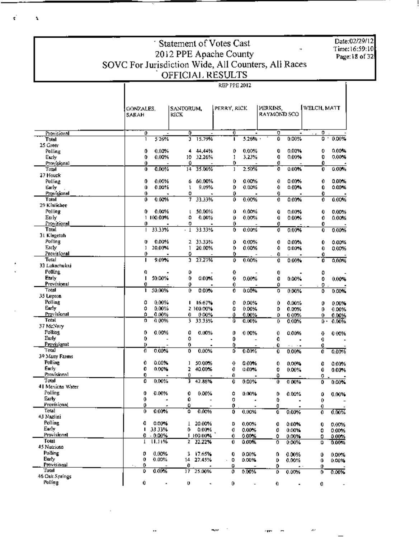Statement of Votes Cast 2012 PPE Apache County<br>SOVC For Jurisdiction Wide, All Counters, All Races<br>OFFICIAL RESULTS ų, .<br>REP PPE 2012

k.

 $\mathbf{A}$ 

Date:02/29/12<br>Time:16:59:10 Page: 18 of 32.

|                         | GONZALES.<br>SARAH       | SANTORUM,<br>KICK             |                     | PERRY, RICK              | PERKINS.<br>RAYMOND SCO |                | WELCH, MATT           |                |
|-------------------------|--------------------------|-------------------------------|---------------------|--------------------------|-------------------------|----------------|-----------------------|----------------|
|                         |                          |                               |                     |                          |                         |                |                       |                |
| Provisional             | 0                        | ٥<br>$\overline{\phantom{a}}$ |                     | 0                        | Ō                       | ۰              | ٥                     |                |
| Total                   | 526%<br>1                | J                             | 15.79%              | 5.26%<br>п               | 0                       | 0.00%          | 0                     | 0.00%<br>٠     |
| 25 Greer                | 0<br>0.00%               |                               | 4 44 44%            | 0.00%<br>0               | 0                       | 0.00%          | 0                     | 0.00%          |
| Polling<br>Early        | 0.00%<br>0               | 10.                           | 32.26%              | 1<br>3.23%               | 0                       | 0.00%          | 0                     | 0.00%          |
| Provisional             | Û                        | ٥                             |                     | 0                        | 0                       |                | 0                     |                |
| Tatal                   | 0<br>0.00%               | $14-$                         | 35.00%              | 2.50%<br>ı               | o                       | 0.00%          | Û                     | 0.00%          |
| 27 Houck                |                          |                               |                     |                          |                         |                |                       |                |
| Polling                 | 0<br>0.00%               | 6                             | 60.00%              | 0.00%<br>0               | 0                       | 0.00%          | 0                     | 0.00%          |
| Early                   | Û<br>0.00%               | ı                             | 9.09%               | 0<br>$0.00\%$            | 0                       | 0.00%          | Û                     | 0.00%          |
| Provisional<br>Total    | 0<br>0.00%<br>0          | 0<br>7                        |                     | 0<br>0.00%<br>0          | 0                       |                | 0                     |                |
| 29 Kinlichee            |                          |                               | 33.33%              |                          | 0                       | 0.00%          | 0                     | 0.00%          |
| Polling                 | 0.00%<br>0               | t                             | 50.00%              | Û<br>0.00%               | 0                       | $0.00\%$       | 0                     | 0.00%          |
| Early                   | 1 100.00%                | ۵                             | 0.00%               | o<br>0.00%               | 0                       | 0.00%          | 0                     | 0.00%          |
| Provisional             | 0                        | 0                             |                     | 0                        | 0                       |                | 0                     |                |
| Toul                    | 33.33%<br>I              | . т                           | 33.33%              | 0<br>$0.00\%$            | o                       | $0.00\%$       | 0                     | 0.00%          |
| 31 Klagetoh             |                          |                               |                     |                          |                         |                |                       |                |
| Polling                 | 0.00%<br>o               | z                             | 33.33%              | 0<br>0.00%               | 0                       | $0.00\%$       | 0                     | 0.00%          |
| Early<br>Provisional    | J<br>20.00%<br>0         | 1<br>0                        | 20.00%              | 0<br>0.00%<br>0          | 0                       | 0.00%          | 0                     | 0.00%          |
| Total                   | 9.09%<br>п               | 3.                            | 27.27%              | 0.00%<br>0               | 0<br>0                  | 0.00%          | 0<br>ö                | 0.00%          |
| 33 Lukachukai.          |                          |                               |                     |                          |                         |                |                       |                |
| Pollina.                | O                        | 0                             |                     | Û                        | 0                       |                | 0                     |                |
| Early                   | ı<br>50.00%              | 0                             | 0.00%               | 0<br>$0.00\%$            | 0                       | $0.00\%$       | 0                     | 0.00%          |
| Provisional             | 0                        | ٥                             |                     | 0                        | Û                       |                | 0                     |                |
| Total                   | 50.00%<br>ı              | 0                             | 0.00%               | 0.00%<br>0               | 0                       | 0.00%          | 0                     | 0.00%          |
| 35 Lirpton<br>Polling   | 0<br>$0.00\%$            |                               |                     |                          |                         |                |                       |                |
| Early                   | ٥<br>0.00%               | L                             | 16.67%<br>2 100.00% | o<br>0.00%<br>0<br>0.00% | 0<br>Ď                  | 0.00%<br>0.00% | 0<br>0                | 0.00%<br>0.00% |
| Provisional             | ۵<br>0.00%               | 0.                            | 0.00%               | ٥<br>0.00%               | ٥                       | 0.00%          | 0                     | 0.00%          |
| Tatal                   | 0.00%<br>0               | 3.                            | 33.33%              | û<br>0.00%               | 0                       | 0.00%          | ٥.                    | 0.00%          |
| 37 McNary               |                          |                               |                     |                          |                         |                |                       |                |
| Polling                 | 0<br>0.00%               | 0                             | 0.00%               | 0<br>0.00%               | 0                       | 0.00%          | o                     | 0.00%          |
| Early                   | 0                        | 0                             | ۰                   | 0                        | 0                       | $\blacksquare$ | 0                     |                |
| Provisionat<br>Total    | D<br>Ū<br>0.00%          | 0<br>0                        |                     | ٥<br>Ő                   | o                       | . <b>.</b>     | 0                     |                |
| 39 Many Farms           |                          |                               | 0.00%               | 0.00%                    | 0                       | 0.00%          | Ó                     | 0.00%          |
| Polling                 | 0<br>0.00%               | 1                             | 50.00%              | $\bf{o}$<br>0.00%        | 0                       | 0.00%          | 0                     | 0.00%          |
| Early                   | o<br>0.00%               | 2                             | 40.00%              | 0<br>$0.00\%$            | 0                       | $0.00\%$       | Û                     | 0.00%          |
| Provisional             | 0                        | 0                             |                     | 0                        | ٥                       |                | 0                     |                |
| Total                   | O<br>$0.00\%$            | 3                             | 42.86%              | 0<br>0.00%               | Û                       | 100%           | 0                     | 0.00%          |
| 41 Mexican Water        |                          |                               |                     |                          |                         |                |                       |                |
| Polling<br><b>Larry</b> | 0<br>0.00%               | 0                             | 0.00%               | ٥<br>0.00%               | 0                       | 0.00%          | ٥                     | 0.00%          |
| Provisional             | 0<br>0                   | 0<br>Û                        |                     | 0                        | Û                       | $\blacksquare$ | 0.                    |                |
| Total                   | 0<br>0.00%               | ö                             | 0.00%               | 0<br>0<br>0.00%          | o<br>o                  | 0.00%          | $\boldsymbol{0}$<br>0 | 0.00%          |
| 43 Nazlini              |                          |                               |                     |                          |                         |                |                       |                |
| Polling                 | û<br>0.00%               |                               | 1 20.00%            | 0.00%<br>D               | 0                       | 0.00%          | 0                     | 0.00%          |
| Early                   | 33 33%<br>ı              | О.                            | 0.00%               | 0<br>$0.00\%$            | 0                       | 0.00%          | 0                     | 0.00%          |
| Provisional             | $-0.00%$<br>0            |                               | 1 100.00%           | $0.00\%$<br>0            | 0                       | 0.00%          | 0                     | 0.00%          |
| Total                   | 11.11%<br>T              |                               | 2 22.22%            | 0<br>0.00%               | ο                       | 0.00%          | 0                     | 0.00%          |
| 45 Nutrioso             |                          |                               |                     |                          |                         |                |                       |                |
| Polling<br>Early.       | 0.00%<br>0<br>0<br>0.00% | 3.                            | 17.65%              | 0<br>0.00%               | 0                       | 0.00%          | 0                     | 0.00%          |
| Provisional             | 0                        | 14<br>0                       | 27.45%              | ٥<br>0.00%<br>Ü          | 0<br>0                  | 0.00%          | 0                     | 0.00%          |
| Total                   | 0.00%<br>Û               | 17                            | 25.00%              | 0<br>0.00%               | ٥                       | 0.00%          | 0<br>0                | 0.00%          |
| 46 Oak Springs          |                          |                               |                     |                          |                         |                |                       |                |
| Polling                 | 0<br>$\hat{\phantom{a}}$ | 0                             |                     | 0                        | 0.                      |                | 0                     |                |

 $\sim$ 

 $\ddot{\phantom{a}}$ 

 $\mathcal{L}^{\mathcal{L}}$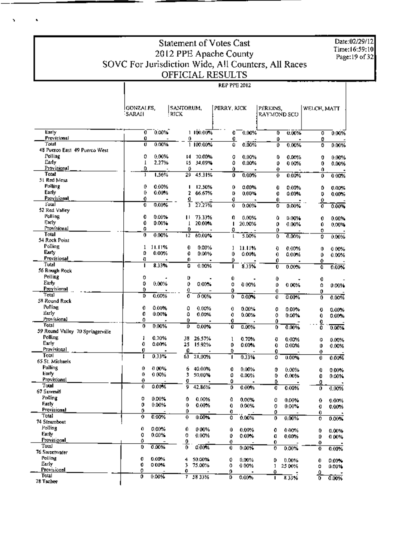Date:02/29/12<br>Time:16:59:10 Page: 19 of 32

### Statement of Votes Cast 2012 PPE Apache County<br>SOVC For Jurisdiction Wide, All Counters, All Races OFFICIAL RESULTS **REP PPE 2012**

Ñ

 $\hat{\textbf{r}}$ 

|                                                  | IGONZALES,<br>'SARAH     | SANTORUM,<br><b>RICK</b> |                            | PERRY, KICK |                | PERKINS,<br>RAYMOND SCO |                | WELCH, MATT |                      |
|--------------------------------------------------|--------------------------|--------------------------|----------------------------|-------------|----------------|-------------------------|----------------|-------------|----------------------|
| Early<br>Provisional                             | 0<br>Û                   | 0.00%                    | 1 100.00%                  | 0           | $0.00\%$       | Ō                       | U.00%          | ٥           | $0.00\%$             |
| Total                                            | Ū                        | 0.00%                    | 0<br>$\frac{1}{1}$ 100.00% | 0<br>û      | 0.00%          | ٥<br>0                  | 0.00%          | 0<br>0      | 0.00%                |
| 48 Puerco East 49 Puerco West                    |                          |                          |                            |             |                |                         |                |             |                      |
| Polling                                          | 0                        | 0.00%<br>14.             | 70.00%                     | 0           | 0.00%          | ٥                       | 0.00%          | 0           | 0.00%                |
| Early<br>Provisional                             | T<br>٥                   | 2.27%<br>15              | 34.09%<br>٥                | ٥<br>Û      | 0.00%          | 0                       | 0.00%          | 0           | 0.00%                |
| Total                                            | J                        | 1.56%<br>29              | 45.31%                     | ٥           | 0.00%          | 0<br>0                  | $0.00\%$       | 0<br>0      | 0.00%                |
| 51 Red Mesa                                      |                          |                          |                            |             |                |                         |                |             |                      |
| <b>Polling</b>                                   | 0                        | 0.00%                    | 12,50%<br>п                | 0           | 0.00%          | 0                       | 0.00%          | ٥           | 0.00%                |
| Early<br>Provisional                             | 0<br>0                   | 0.00%                    | 2<br>66.67%                | D           | 0.00%          | 0                       | 0.00%          | D           | 0.00%                |
| l'otal                                           | O                        | $0.00\%$                 | o<br>Ĵ.<br>27.27%          | O<br>0      | 0.00%          | Û<br>0                  | $0.00\%$       | 0<br>Ō      | 0.00%                |
| 52 Red Valley                                    |                          |                          |                            |             |                |                         |                |             |                      |
| Polling                                          | 0                        | 0.00%<br>п               | 73.33%                     | O           | 0.00%          | û                       | 0.00%          | 0           | $0.00\%$             |
| Early<br>Provisional                             | 0                        | 0.00%                    | 20.00%<br>1                | ı           | 20.00%         | 0                       | 0.00%          | 0           | 0.00%                |
| Total                                            | ۵<br>0                   | 0.00%<br>ŧ2              | 0<br>60.00%                | o<br>l      | 5.00%          | 0<br>0                  |                | 0           |                      |
| 54 Rock Point                                    |                          |                          |                            |             |                |                         | 0.00%          | 0           | 0.00%                |
| Polling                                          | 1<br>11.11%              | 0                        | $0.00\%$                   | 1           | 11.11%         | 0                       | 0.00%          | 0           | 0.00%                |
| Eurty                                            | Q                        | 0.00%<br>0               | 0.00%                      | 0           | 0.00%          | 0                       | 0.00%          | 0           | 0.00%                |
| Provisional<br>Total                             | Ð<br>I                   | 0<br>8.33%<br>0          |                            | Ú           |                | 0                       |                | 0           |                      |
| 56 Rough Rock                                    |                          |                          | 0.00%                      | ı           | 8.33%          | 0                       | 0.00%          | Ō           | 0.00%                |
| Polling                                          | 0                        | D                        |                            | Û           |                | 0                       |                | 0           |                      |
| Early                                            | 0                        | 0.00%<br>0               | 0.00%                      | 0           | 0.00%          | 0                       | 0.00%          | ٥           | 0.00%                |
| Provisional<br>Total                             | 0                        | 0                        |                            | 0           |                | 0                       |                | 0           |                      |
| 58 Round Rock                                    | D<br>0.00%               | 0                        | 0.00%                      | 0           | 0.00%          | 0                       | $0.00\%$       | 0           | 0.00%                |
| Polling                                          | 0<br>0.00%               | 0                        | 0.00%                      | 0           | $0.00\%$       | o                       | 0.00%          | O           |                      |
| Early                                            | 0<br>0.00%               | ٥                        | 0.00%                      | 0           | 0.00%          | ō                       | $0.00\%$       | 0           | $0.00\%$<br>$0.00\%$ |
| Provisional                                      | ۵                        | 0                        |                            | 0           |                | 0                       |                | Q           |                      |
| <b>Total</b><br>59 Round Valley 70 Springerville | 0<br>0.00%               | Ď                        | 0.00%                      | ō           | 0.00%          | 0                       | 0.00%          | ō           | 0.00%                |
| Polling                                          | 1<br>0.70%               | 38                       | 26.57%                     | ı           | 0.70%          | Đ                       | 0.00%          |             |                      |
| Early                                            | 0<br>0.00%               | 25                       | 15.92%                     | 0           | 0.00%          | 0                       | 0.00%          | 0<br>٥      | 0.00%<br>0.00%       |
| Provisional                                      | Ū                        | ឆ្នំ                     |                            | 0           |                | 0                       |                | 0           |                      |
| Total<br>65 St. Michaels                         | I<br>0.33%               |                          | 21,00%                     | 1           | 0.33%          | ٥                       | $0.00\%$       | 0           | 0.00%                |
| Polling                                          | 0<br>0.00%               | 6                        | 40.00%                     | 0           | 0.00%          |                         |                |             |                      |
| Early                                            | 0<br>0.00%               | 3                        | 50,00%                     | 0           | 0.00%          | 0<br>0                  | 0.00%<br>0.00% | 0<br>0      | $0.00\%$<br>0.00%    |
| Provisional                                      | 0                        | O                        |                            | 0           |                | ٥                       |                | ٥           |                      |
| Total                                            | 0<br>0.00%               | 9                        | 42.86%                     | 0           | 0.00%          | 0                       | 0.00%          | 0           | 0.00%                |
| 67 Sawmitl<br>Polling                            | 0                        |                          |                            |             |                |                         |                |             |                      |
| Farh.                                            | $0.00\%$<br>0<br>0.00%   | 0<br>0                   | 0.00%<br>0.00%             | Û<br>0      | 0.00%<br>0.00% | Û                       | 0.00%<br>0.00% | 0           | 0.00%                |
| <b>Provisional</b>                               | 0                        | 0                        |                            | 0           |                | 0<br>0                  |                | Q<br>0      | $0.00\%$             |
| Total                                            | 0<br>0.00%               | 0                        | 0.00%                      | o           | 0.00%          | 0                       | 0.00%          | 0           | 0.00%                |
| 74 Steamboat<br>Polling                          |                          |                          |                            |             |                |                         |                |             |                      |
| Early                                            | 0<br>0.00%<br>O<br>0.00% | 0<br>0                   | 000%<br>0.00%              | Û           | 0.00%          | 0                       | 0.00%          | 0           | 0.00%                |
| Provisional                                      | 0                        | 0.                       |                            | 0<br>⊕      | 0.00%          | O<br>0                  | 0.00%          | Ú<br>o      | 0.00%                |
| Total                                            | 0.00%<br>0               | ō                        | 0.00%                      | 0           | $0.00\%$       | 0                       | $0.00\%$       | 0           | 0.00%                |
| 76 Sweetwater                                    |                          |                          |                            |             |                |                         |                |             |                      |
| Polling<br>Early                                 | 0.00%<br>o<br>0<br>000%  | 4                        | 50.00%                     | 0           | 0.00%          | 0                       | 0.00%          | 0           | 0.0076               |
| Provisional                                      | o                        | 3<br>0                   | 75.00%                     | o<br>0      | 0.00%          | ı<br>O                  | 2500%          | 0<br>٥      | 0.00%                |
| Total                                            | 0.00%<br>0               | 7                        | 5833%                      | D           | 0.00%          | п                       | 833%           | 7           | 0.00%                |
| 78 Tachee                                        |                          |                          |                            |             |                |                         |                |             |                      |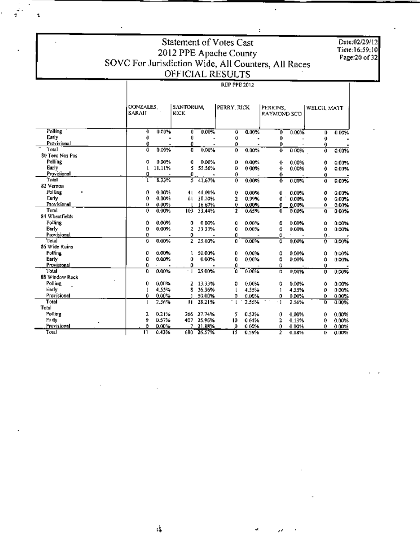### Statement of Votes Cast 2012 PPE Apache County<br>SOVC For Jurisdiction Wide, All Counters, All Races **REP PPE 2012**

Date:02/29/12 Time:16:59:10<br>Page:20 of 32

|                 |                | GONZALES. |                          |            |            |       |                         |             |               |       |
|-----------------|----------------|-----------|--------------------------|------------|------------|-------|-------------------------|-------------|---------------|-------|
|                 | SARAIT         |           | SANTORUM,<br><b>KICK</b> |            | PERRY RICK |       | PERKINS.<br>RAYMOND SCO |             | WELCH, MAIT   |       |
| Polling         | 0              | 0.00%     | ۵                        | 0.00%      | û          | 0.00% | 0                       | $0.00\%$    | D             | 0.00% |
| Early           | 0              |           | 0                        |            | o          |       | 0                       |             | ⊕             |       |
| Provisional     | 0              |           | 0                        |            | 0          |       | ٥                       |             | 0             |       |
| Total           | ٥              | 0.00%     | Ð                        | 0.00%      | 0.         | 0.00% | Ð                       | 0.00%       | 0             | 0.00% |
| 80 Teed Nos Pos |                |           |                          |            |            |       |                         |             |               |       |
| Polling         | 0              | 0.00%     | 0.                       | 0.00%      | D          | 0.00% | 0                       | 0.00%       | 0             | 0.00% |
| Early           | t              | 11.11%    | 5                        | 55.56%     | D          | 0.00% | 0                       | 0.00%       | 0             | 0.00% |
| Provisional     | 0              |           | 0.                       |            | 0          |       | 0                       |             | 0             |       |
| Taral           | 1              | 8.33%     | 5.                       | 41.67%     | 0          | 0.00% | $\mathbf{o}$            | 0.00%       | 0             | 0.00% |
| 82 Vernon       |                |           |                          |            |            |       |                         |             |               |       |
| Polling         | 0              | 0.00%     | 4 L.                     | 41.00%     | Ð          | 0.00% | 0                       | 0.00%       | 0             | 0.00% |
| Early           | 0              | 0.00%     | бl                       | 30.20%     | 2          | 0.99% | 0                       | 0.00%       | 0             | 0.00% |
| Provisional     | D              | 0.00%     |                          | 16 67%     | 0          | 0.00% | 0                       | 0.00%       | 0.            | 0.00% |
| Total           | 0              | 0.00%     | 103.                     | 33.44%     | 2          | 0.65% | 0.                      | 0.00%       | 0             | 0.00% |
| 84 Wheatfields  |                |           |                          |            |            |       |                         |             |               |       |
| Polling         | ٥              | 0.00%     | 0.                       | 0.00%      | 0          | 0.00% | o                       | 0.00%       | Û             | 0.00% |
| Early           | Ð              | 0.00%     | 2                        | 33 33%     | 0          | 0.00% | ٥                       | 0.00%       | 0             | 0.00% |
| Provisional     | 0              |           | 0                        |            | 0          |       | Û                       |             | $\mathbf 0$ . |       |
| Total           | 0              | 0.00%     | $\overline{2}$           | 25.00%     | 0          | 0.00% | o                       | 0.00%       | 0             | 0.00% |
| 86 Wide Ruins   |                |           |                          |            |            |       |                         |             |               |       |
| <b>Polling</b>  | 0              | 0.00%     | ı                        | 50.00%     | 0          | 0.00% | 0                       | 0.00%       | 0             | 0.00% |
| Early           | û              | 0.00%     | 0                        | 0.00%      | 0          | 0.00% | 0                       | 0.00%       | ٥             | 0.00% |
| Provisional     | 0              |           | 0                        |            | 0          |       | ٥                       |             | 0             |       |
| Total           | 0.             | 0.00%     | ٠I                       | 25.00%     | 0          | 0.00% | o                       | 0,00%       | o             | 0.00% |
| 88 Window Rock  |                |           |                          |            |            |       |                         |             |               |       |
| Polling.        | 0.             | 0.00%     | z                        | 13.33%     | ٥          | 0.00% | ٥                       | 0.00%       | Ô             | 0.00% |
| Early           | t              | 4.55%     | 8                        | 36.36%     |            | 4.55% | 1                       | 4.55%       | o             | 0.00% |
| Provisional     | 0              | 0.00%     | ı                        | 50.00%     | о          | 0.00% | n                       | 0.00%       | n             | 0.00% |
| Total           | ŧ              | 2.56%     | п                        | 28.21%     |            | 2.56% | $\cdot$ 1               | 2.56%       | o             | 0.00% |
| Total           |                |           |                          |            |            |       |                         |             |               |       |
| Polling         | 2              | 0.21%     |                          | 266 27.74% | 5          | 0.52% | 0                       | 0.00%       | n             | 0.00% |
| Early           | 9              | 0.57%     |                          | 407 25 96% | 10         | 0.64% | 2                       | 0.13%       | 0             | 0.00% |
| Provisional     | ٥              | 0.00%     |                          | 7 21.88%   | 0          | 0.00% | 0                       | 0.00%       | 0             | 0.00% |
| Total           | $\blacksquare$ | 0.43%     |                          | 680 26.57% | π          | 0.59% | ,                       | <b>DURW</b> | n,            | 0.00% |

 $\mathfrak{c}^{\dagger}_{\bullet}$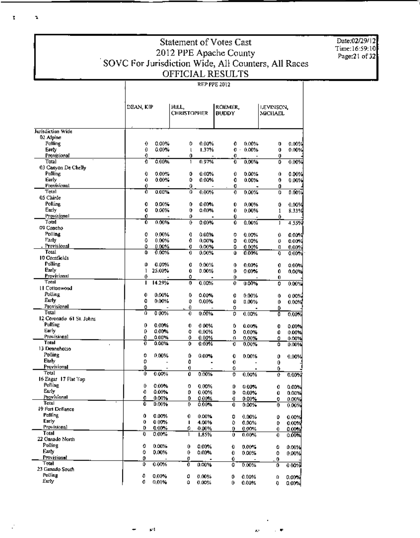| Date:02/29/12<br>Time:16:59:10<br>Page:21 of 32 |
|-------------------------------------------------|
|                                                 |

# **Statement of Votes Cast** SUMPLE Apache County<br>
SOVC For Jurisdiction Wide, All Counters, All Races<br>
OFFICIAL RESULTS

'n,

ţ,

|                                     | DEAN, KIP |                | HILL,<br><b>CHRISTOPHER</b> |                | roemer.<br><b>BUDDY</b> |                | LEVINSON,<br>MICHAEL |          |
|-------------------------------------|-----------|----------------|-----------------------------|----------------|-------------------------|----------------|----------------------|----------|
| Jurisdiction Wide                   |           |                |                             |                |                         |                |                      |          |
| 02 Alpine                           |           |                |                             |                |                         |                |                      |          |
| Polling                             | 0         | 0.00%          | 0                           | $0.00\%$       | 0                       | $0.00\%$       | o                    | 0.00%    |
| Earry                               | O         | 0.00%          | L                           | 1.37%          | o.                      | 0.00%          | 0                    | 0.00%    |
| Provisional                         | 0         |                | Û                           |                | o                       |                | 0                    |          |
| Total                               | Û         | 0.00%          | I.                          | 0.97%          | 0                       | 0.00%          | 0                    | 0.00%    |
| 03 Cartyon De Chelly                |           |                |                             |                |                         |                |                      |          |
| Politing                            | 0         | 0.00%          | 0                           | $0.00\%$       | 0                       | 0.00%          | 0                    | 0.00%    |
| Early                               | 0         | $0.00\%$       | 0                           | 0.00%          | 0                       | 0.00%          | 0                    | $0.00\%$ |
| Provisional                         | 0         |                | û                           |                | ū                       |                | 0                    |          |
| Total                               | 0         | 0.00%          | 0                           | 0.00%          | 0                       | 0.00%          | 0                    | 0.00%    |
| 05 Chinle<br>Polling                | 0         | 0.00%          | 0                           | $0.00\%$       |                         |                |                      |          |
| Early                               | 0         | 0.00%          | o                           | 0.00%          | 0<br>0                  | 0.00%<br>0.00% | 0<br>1               | 0.00%    |
| Provisional                         | 0         |                | ٥                           |                | 0                       |                | 0                    | 8.33%    |
| Total                               | Ô         | 0.00%          | 0.                          | $0.00\%$       | Û                       | $0.00\%$       | ı                    | 4.55%    |
| 09 Concho                           |           |                |                             |                |                         |                |                      |          |
| <b>Polling</b>                      | o         | 0.00%          | 0                           | 0.00%          | 0                       | $0.00\%$       | 0                    | 0.00%    |
| Farly                               | ٥         | 0.00%          | 0                           | $0.00\%$       | 0                       | 0.00%          | Ð                    | 0.00%    |
| Provisional                         | ٥         | 0.00%          | o                           | 0.00%          | 0                       | 0.00%          | Đ,                   | 0.00%    |
| Total                               | û         | 0.00%          | 0                           | 0.00%          | û                       | 0.00%          | O                    | 0.00%    |
| 10 Comfields                        |           |                |                             |                |                         |                |                      |          |
| Polling                             | O         | 0.00%          | 0                           | 0.00%          | 0                       | $0.00\%$       | 0                    | 0.00%    |
| Early                               | 1         | 25.00%         | Û                           | 0.00%          | 0                       | $0.00\%$       | 0                    | 0.00%    |
| Provisional                         | 0         |                | ٥                           |                | 0                       |                | 0.                   |          |
| Total                               | п         | 14.29%         | 0                           | 0.00%          | 0                       | 0.00%          | 0                    | 0.00%    |
| LI Cottonwood                       |           |                |                             |                |                         |                |                      |          |
| Polling                             | 0         | 0.00%          | ٥                           | 0.00%          | 0                       | 0.00%          | 0                    | $0.00\%$ |
| Early                               | o         | 0.00%          | 0                           | 0.00%          | Û                       | 0.00%          | 0                    | 0.00%    |
| Provisional                         | û         |                | O                           |                | 0                       |                | ٥                    |          |
| Total                               | 0.        | 0.00%          | 0                           | $0.00\%$       | 0                       | 0.00%          | O                    | 0.00%    |
| 12 Coronado 61 St. Johns<br>Polling |           |                |                             |                |                         |                |                      |          |
| Early                               | 0         | 0.00%          | 0                           | 0.00%          | ٥                       | 0.00%          | 0                    | 0.00%    |
| Provisional                         | 0         | 0.00%          | o                           | 0.00%          | ٥                       | 0.00%          | 0                    | $0.00\%$ |
| Trial                               | 0<br>Ò    | 0.00%<br>0.00% | 0<br>0                      | 0.00%<br>0.00% | a,                      | $0.00\%$       | o                    | 0.00%    |
| $\mathbf{r}$<br>13 Denneholso       |           |                |                             |                | O                       | 0.00%          | û                    | 0.00%    |
| Polling                             | 0         | 0.00%          | ٥                           | 0.00%          | 0                       | 0.00%          |                      |          |
| Early                               | 0         |                | Û                           |                | 0.                      |                | 0<br>0               | 0.00%    |
| Provisional                         | 0         |                | 0                           |                | 0                       |                | 0                    |          |
| Total                               | Û         | 0.00%          | Û                           | 0.00%          | o                       | 0.00%          | o                    | 0.00%    |
| 16 Eagar 17 Flat Top                |           |                |                             |                |                         |                |                      |          |
| Polling                             | 0         | 0.00%          | 0                           | $0.00\%$       | Û                       | $0.00\%$       | 0                    | 0.00%    |
| Early                               | 0         | 0.00%          | 0                           | 0.00%          | D                       | $0.00\%$       | Û                    | 0.00%    |
| Provisional                         | 0         | 0.00%          | 0                           | 0.00%          | O                       | $0.00\%$       | 0                    | 0.00%    |
| I OLEI                              | 0         | 0.00%          | 0                           | $0.00\%$       | 0                       | $0.00\%$       | 0                    | 0.00%    |
| 19 Fort Defiance                    |           |                |                             |                |                         |                |                      |          |
| Polling                             | Û         | 0.00%          | 0.                          | 0.00%          | 0                       | $0.00\%$       | 0                    | 0.00%    |
| Early                               | 0         | 0.00%          | г                           | 4.00%          | ٥                       | 0.00%          | 0                    | 0.00%    |
| Provisional                         | D         | 0.00%          | ο.                          | 0.00%          | 0.                      | 0.00%          | 0                    | 0.00%    |
| Total                               | O         | 0.00%          | 1                           | 1.85%          | Ü                       | 0.00%          | 0                    | 0.00%    |
| 22 Ganado North                     |           |                |                             |                |                         |                |                      |          |
| Polling                             | 0         | 0.00%          | 0                           | 0.00%          | o                       | $0.00\%$       | ٥                    | 0.00%    |
| Farly.                              | Û         | 0.00%          | 0                           | 0.00%          | 0.                      | 0.00%          | 0                    | 0.00%    |
| Provisional                         | 0         |                | Ð                           |                | 0.                      |                | 0                    |          |
| Total<br>23 Ganado South            | 0         | 0.00%          | 0                           | 0.00%          | o                       | 0.00%          | 0                    | 000%     |
| Polling                             |           |                |                             |                |                         |                |                      |          |
| Early.                              | O         | 0.00%          | 0                           | 0.00%          | 0                       | 0.00%          | Ű                    | 0.00%    |
|                                     | 0         | 0,00%          | û                           | 0.00%          | 0.                      | 0.00%          | Đ.                   | 0.00%    |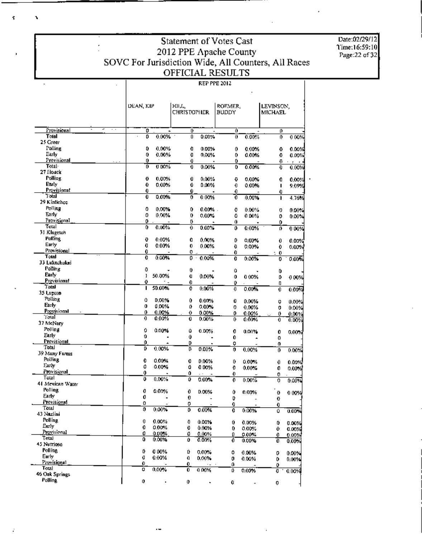| Date:02/29/12 |
|---------------|
| Time:16:59:10 |
| Page:22 of 32 |

## Statement of Votes Cast Suddition of Votes Cast<br>2012 PPE Apache County<br>SOVC For Jurisdiction Wide, All Counters, All Races<br>OFFICIAL RESULTS

#### **REP PPE 2012**

|                       | DEAN, KIP   |                | HII.L,             |                  | ROEMER. |                | LEVINSON,    |                |
|-----------------------|-------------|----------------|--------------------|------------------|---------|----------------|--------------|----------------|
|                       |             |                | <b>CHRISTOPHER</b> |                  | BUDDY   |                | MICHAEL      |                |
|                       |             |                |                    |                  |         |                |              |                |
| Provisional           | ō           |                | 0                  |                  | 0       |                | o            |                |
| Total<br>25 Greer     | 0           | 0.00%          | 0                  | 0.00%            | 0       | 0.00%          | 0.           | 0.00%          |
| Polling               | 0           | 0.00%          | û                  | 0.00%            | 0       | $0.00\%$       | ٥            | 0.00%          |
| Early                 | 0           | 0.00%          | O                  | 0,00%            | 0       | $0.00\%$       | 0            | 0.00%          |
| Provisional           | 0           |                | 0                  |                  | 0       |                | Ű.           | $\cdot$ .<br>٠ |
| Total-                | Ō           | 0.00%          | 0.                 | 0.00%            | 0       | 0.00%          | 0            | 0.00%          |
| 27 Houck              |             |                |                    |                  |         |                |              |                |
| Polling<br>Early      | 0           | 0.00%          | 0                  | 0.00%            | O       | $0.00\%$       | 0            | 0.00%          |
| Provisional           | 0<br>0      | 0.00%          | 0<br>Û             | 0.00%            | 0<br>0  | 0.00%          | п            | 9.09%          |
| Total                 | 0           | 0.00%          | o                  | 0.00%            | Ō       | 0.00%          | 0<br>۱       | 4.76%          |
| 29 Kinlichee          |             |                |                    |                  |         |                |              |                |
| Polling               | ٥           | 0.00%          | 0                  | $0.00\%$ .       | O       | $0.00\%$       | o            | $0.00\%$       |
| Early                 | 0           | 0.00%          | 0                  | $0.00\%$         | ٥       | 0.00%          | 0            | 0.00%          |
| Provisional<br>Total  | 0           |                | o                  |                  | 0       |                | ٥            |                |
| 31 Klagetoh           | 0           | 0.00%          | 0                  | $0.00\%$         | 0       | 0.00%          | o            | 0 0 0%         |
| Polling               | o           | 0.00%          | û                  | 0.00%            | ٥       |                |              |                |
| Early                 | 0           | 0.00%          | 0                  | 0.00%            | Ð       | 0.00%<br>0.00% | 0<br>0       | 0.00%<br>0.00% |
| Provisional           | 0           |                | 0.                 |                  | 0       |                | ÷<br>0       |                |
| Total                 | 0           | 0.00%          | 0                  | 0.00%<br>$\cdot$ | 0       | 0.00%          | 0            | 0.00%          |
| 33 Lukachukai         |             |                |                    |                  |         |                |              |                |
| Polling               | 0           |                | 0                  |                  | û       |                | 0            |                |
| Early<br>Provisional  | ı           | 50.00%         | Ū                  | 0.00%            | 0       | 0.00%          | Q.           | 0.00%          |
| Total                 | 0<br>п      | 50.00%         | 0<br>o             | 0.00%            | 0<br>Ð  |                | IJ           |                |
| 35 Lupton             |             |                |                    |                  |         | $0.00\%$       | $\mathbf{0}$ | 0.00%          |
| Polling               | û           | 0.00%          | 0                  | 0.00%            | Û       | $0.00\%$       | o            | 0.00%          |
| Early                 | $\mathbf 0$ | 0.00%          | ٥                  | $0.00\%$         | 0       | 0.00%          | 0            | $0.00\%$       |
| Provisional           | 0           | 0.00%          | 0                  | 0.00%            | 0       | 0.00%          | 0            | 0.00%          |
| 'J'etal<br>37 McNary  | 0           | 0.00%          | 0                  | 0.00%            | Ũ.      | 0.00%          | 0            | 0.00%          |
| Polling               | o           | 0.00%          | û                  |                  |         |                |              |                |
| Early                 | û           |                | Û                  | 0.00%            | 0<br>0. | 0.00%          | Ů<br>0       | 0.00%          |
| Provisional           | Û           | ۰              | D.                 |                  | 0       |                | 0            |                |
| Total                 | D           | 0.00%          | ľ,                 | 0.00%            | 0       | 0.00%          | 0            | 0.00%          |
| 39 Many Farms         |             |                |                    |                  |         |                |              |                |
| Polling               | 0           | 0.00%          | 0                  | 0.00%            | 0       | 0.00%          | 0            | 0.00%          |
| I arly<br>Provisional | 0<br>0      | 0.00%          | û                  | 0.00%            | 0       | $0.00\%$       | 0            | 0.00%          |
| Tolal                 | o           | $0.00\%$       | Û<br>O             | $0.00\%$         | 0.      | $0.00\%$       | 0            |                |
| 41 Mexican Water      |             |                |                    |                  | 0       |                | 0            | 0.00%          |
| <b>Polling</b>        | 0           | 0.00%          | 0                  | 0.00%            | 0       | 0.00%          | Đ            | 0.00%          |
| Early.                | 0           |                | Û                  |                  | D       | $\overline{a}$ | Ū            |                |
| Provisional           | Ω           |                | 0                  |                  | 0       |                | 0.           |                |
| Total<br>43 Nazlini   | 0           | $0.00\%$       | 0                  | 0.00%            | 0       | 0.00%          | û            | 0.00%          |
| Polling.              |             |                |                    |                  |         |                |              |                |
| Early                 | 0<br>0      | 0.00%<br>0.00% | 0<br>0             | 0.00%<br>0.00%   | 0       | 0.00%          | 0            | 0.00%          |
| Provisional           | 0           | 0.00%          | 0                  | 0.00%            | 0<br>Û  | 0.00%<br>0.00% | 0<br>0.      | 0.00%<br>0.00% |
| Total                 | 0           | 0.00%          | Û                  | 0.00%            | o       | 0.00%          | Û            | 0.00%          |
| 45 Nutrioso           |             |                |                    |                  |         |                |              |                |
| Polling               | Q           | 0.00%          | Ú                  | 0.00%            | 0       | 0.00%          | 0            | 0.00%          |
| Early<br>Provisional  | a           | 0.00%          | 0                  | 0.00%            | 0       | 0.00%          | 0            | 0.00%          |
| Total                 | 0.<br>Ü     | 0.00%          | 0<br>0             | 0.00%            | o       |                | ٥            |                |
| 46 Oak Springs        |             |                |                    |                  | o       | 0.00%          | Ð            | 0.00%          |
| <b>Polling</b>        | 0           | ï              | 0                  |                  | 0       |                | 0            |                |
|                       |             |                |                    |                  |         |                |              |                |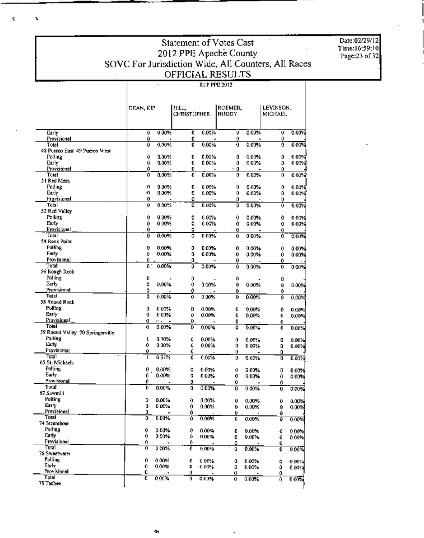# Statement of Votes Cast Statement of Votes Cast<br>
2012 PPE Apache County<br>
SOVC For Jurisdiction Wide, All Counters, All Races<br>
OFFICIAL RESULTS

|                                  | DEAN, KIP |           | HILL<br>CHRISTOPHER |          | ROEMER,<br>виору |          | LEVINSON,<br>MICHAEL. |                    |
|----------------------------------|-----------|-----------|---------------------|----------|------------------|----------|-----------------------|--------------------|
|                                  |           |           |                     |          |                  |          |                       |                    |
| Early                            | δ         | 0.00%     | O                   | 0.00%    | T                | $0.00\%$ | O                     | 0.009              |
| Provisional<br>Total             | ٥<br>Ō    | 0.00%     | 0<br>0              | 0.00%    | 0<br>0           | 0.00%    | 0<br>û                | 0.00%              |
| 48 Puerco East 49 Puerco West    |           |           |                     |          |                  |          |                       |                    |
| Polling                          | û         | 0.00%     | Û                   | 0.00%    | ٥                | $0.00\%$ | ٥                     | 0.00%              |
| Early                            | û         | 0.00%     | 0.                  | 0.00%    | ٥                | 0.00%    | 0                     | 0 00%              |
| Provisional                      | ٥         |           | 0.                  |          | : 0              |          | 0                     |                    |
| Total                            | ٥         | $0.00\%$  | 0.                  | 0.00%    | 0                | $0.00\%$ | 0                     | 0.00%              |
| 51 Red Mesa                      |           |           |                     |          |                  |          |                       |                    |
| Polling                          | ۵         | $0.00\%$  | 0                   | 000%     | 0                | $0.00\%$ | 0                     | 0.00%              |
| Early<br>Provisional             | 0<br>0    | 0.00%     | 0<br>0              | 0.00%    | 0<br>Ü.          | 0.00%    | ٥                     | 0.00%              |
| Total                            | Û         | 0.00%     | ō                   | 0.00%    | Ū.               | 0.00%    | o<br>0                | 0.009              |
| 52 Red Valley                    |           |           |                     |          |                  |          |                       |                    |
| Polling                          | 0         | 000%      | 0                   | $0.00\%$ | 0                | 0.00%    | 0                     | 0.00%              |
| Enrly                            | 0         | 0.00%     | ٥                   | $0.00\%$ | 0                | $0.00\%$ | Ū                     | 0.00%              |
| Provisional                      | 0         |           | ٥                   |          | 0                |          | 0                     |                    |
| Total                            | o         | 0.00%     | ο                   | 0.00%    | 0                | 0.00%    | Ò                     | 0.00%              |
| 54 Rock Point                    |           |           |                     |          |                  |          |                       |                    |
| Polling                          | D         | $0.00\%$  | o                   | 0.00%    | 0                | 0.00%    | 0                     | 0.00%              |
| Farly                            | 0         | $-0.00\%$ | 0                   | 0.00%    | 0                | 0.00%    | 0                     | 0.00%              |
| Provisional<br>Total             | 0         |           | 0                   |          | 0                |          | 0.                    |                    |
|                                  | 0         | 0.00%     | 0                   | 0.00%    | û                | 0.00%    | 0                     | 0.00%              |
| 56 Rough Rock<br>Polling         | o         |           |                     |          |                  |          |                       |                    |
| Early                            | 0         | 0.00%     | 0<br>0              | 0.00%    | 0<br>0           |          | 0                     |                    |
| Provisional                      | 0         |           | 0                   |          | 0                | 0.00%    | Û                     | 0.00%              |
| Total                            | 0         | 0.00%     | 0                   | 0 00%    | 0                | 0.00%    | 0<br>0                | 0.00%              |
| 58 Round Rock                    |           |           |                     |          |                  |          |                       |                    |
| Politing                         | ٥         | 0.00%     | 0                   | 0.00%    | 0                | 0.00%    | ۰                     | 0.00%              |
| Early                            | 0         | 0.00%     | Û                   | 0.00%    | 0                | 0.00%    | 0                     | 0.00×              |
| Provisional                      | o         | ы.        | 0                   |          | 0                |          | 0                     |                    |
| Total                            | 0         | $0.00\%$  | D                   | 0.00%    | 0                | 0.00%    | 0                     | 0.00%              |
| 59 Round Valley 70 Springerville |           |           |                     |          |                  |          |                       |                    |
| Polling                          | ŧ         | 0.70%     | 0                   | 0.00%    | Û                | 0.00%    | 0                     | 0.00%              |
| Early<br>Provisional             | ٥         | 0.00%     | 0                   | 0.00%    | Û                | 0.00%    | 0                     | 0.00%              |
| Total                            | Û<br>1    | 0.33%     | 0<br>0              | 0.00%    | ٥                |          | 0                     |                    |
| 65 St. Michaels                  |           |           |                     |          | ٥                | 0.00%    | ٥                     | 0.00%              |
| Polling                          | 0.        | $0.00\%$  | ٥                   | $0.00\%$ | 0                | $0.00\%$ | D                     |                    |
| Early                            | 0.        | 0.00%     | 0                   | $0.00\%$ | 0                | 0.00%    | 0                     | $0.00\%$<br>0.00 X |
| Provisional                      | 0         |           | 0                   |          | 0                |          | 0                     |                    |
| Total                            | 0         | $0.00\%$  | 0                   | 0.00%    | 0                | 0.00%    | o                     | 0.00%              |
| 67 Sawmill                       |           |           |                     |          |                  |          |                       |                    |
| Polling                          | ٥         | 0.00%     | 0                   | 0.00%    | 0                | 0.00%    | ٥                     | 0.00%              |
| Early                            | û         | 0.00%     | 0                   | 0.00%    | ٥                | 0.00%    | 0                     | 0.00%              |
| Provisional                      | ٥         |           | 0                   |          | $\theta$         |          | ٥                     |                    |
| Total                            | Ð         | 0.00%     | ٥                   | 0.00%    | 0                | 0.00%    | 0                     | 0.00%              |
| 74 Steamboat                     |           |           |                     |          |                  |          |                       |                    |
| Polling<br>Farly                 | 0         | 0.00%     | 0                   | 0.00%    | 0                | 0.00%    | 0                     | 0.00%              |
| Provisional                      | 0<br>0    | 0.00%     | Û                   | 0.00%    | 0                | 0.00%    | 0                     | 0.00%              |
| Total                            | 0         | 000%      | 0<br>Ō              | 0.00%    | 0<br>0           | 0.00%    | 0                     |                    |
| 76 Sweetwater                    |           |           |                     |          |                  |          | 0                     | 0.00%              |
| Polling                          | 0         | 0.00%     | 0                   | 0.00%    | 0                | 0.00%    | Û                     | 0.00%              |
| Early                            | 0         | 0.00%     | 0                   | 0.00%    | D.               | 0.00%    | 0                     | 0.00%              |
| Provisional                      | 0         |           | 0                   |          | 0                |          | 0                     |                    |
| Total                            | 0.        | 0.00%     | Û                   | 0.00%    | 0.               | 0.00%    | 0                     | 0.007              |
| 78 Tachee                        |           |           |                     |          |                  |          |                       |                    |

Date:02/29/12 Time:16:59:10<br>Page:23 of 32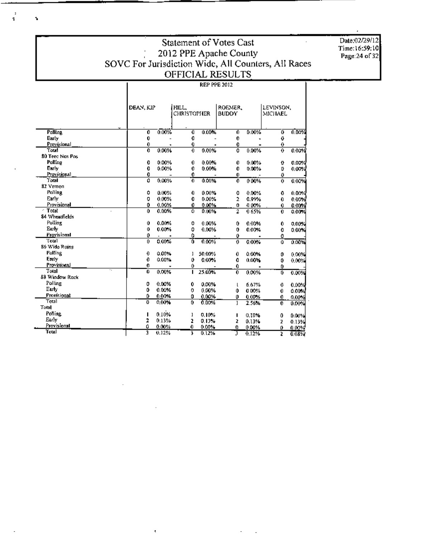# Statement of Votes Cast SOVC For Jurisdiction Wide, All Counters, All Races<br>OFFICIAL RESULTS

|                      | DEAN, KIP        |          | HILL.<br><b>CHRISTOPHER</b> |        | ROEMER.<br><b>BUDDY</b> |       | LEVINSON.<br><b>MICHAEL</b> |              |
|----------------------|------------------|----------|-----------------------------|--------|-------------------------|-------|-----------------------------|--------------|
|                      |                  |          |                             |        |                         |       |                             |              |
| Polling              | o                | 0.00%    | O                           | 0.00%  | O                       | 0.00% | õ                           | 0.00%        |
| Early                | 0                |          | o                           |        | 0                       |       | 0                           |              |
| Provisional<br>Total | 0                |          | 0                           |        | 0                       |       | 0                           |              |
| 80 Teec Nos Pos      | o                | 0.00%    | 0                           | 0.00%  | o                       | 0.00% | 0                           | 0.00%        |
| Polling              | 0                | 0.00%    | 0                           | 0.00%  | Û                       | 0.00% | 0                           | 0.00%        |
| Early                | 0                | 0.00%    | 0                           | 0.00%  | 0                       | 0.00% | Ū.                          | 0.00%        |
| Provisional          | 0                |          | 0                           |        | 0                       |       | 0                           |              |
| Total                | ٥                | 0.00%    | 0                           | 0.00%  | 0                       | 0.00% | $\bf{0}$                    | 0.00%        |
| 82 Vemon             |                  |          |                             |        |                         |       |                             |              |
| Polling              | ٥                | 0.00%    | 0                           | 0.00%  | o                       | 0.00% | 0                           | 0.00%        |
| Early                | 0                | 0.00%    | 0                           | 0.00%  | $\overline{2}$          | 0.99% | 0                           | 0.00%        |
| Provisional          | 0                | 0.00%    | 0                           | 0.00%  | o                       | 0.00% | 0                           | 0.00%        |
| $-$ Total            | ٥                | 0.00%    | ō                           | 0.00%  | 2                       | 0.65% | 0                           | 0.00%        |
| 84 Wheatfields       |                  |          |                             |        |                         |       |                             |              |
| Polling              | û                | 0.00%    | 0                           | 0.00%  | 0                       | 0.00% | 0                           | 0.00%        |
| Early                | 0                | $0.00\%$ | 0                           | 0.00%  | 0                       | 0.00% | O                           | 0.00%        |
| Provisional          | 0                |          | ٥                           |        | ٥                       |       | ٥                           |              |
| Total                | Ũ.               | $0.00\%$ | Ō                           | 0.00%  | $\overline{0}$          | 0.00% | û                           | 0.00%        |
| 86 Wido Ruins        |                  |          |                             |        |                         |       |                             |              |
| <b>Polling</b>       | $\boldsymbol{0}$ | 0.00%    | 1                           | 50.00% | 0                       | 0.00% | 0                           | 0.00%        |
| Early                | 0                | 0.00%    | 0                           | 0.00%  | 0                       | 0.00% | 0                           | 0.00%        |
| Provisional          | 0                |          | 0                           |        | 0                       |       | 0                           |              |
| Total                | 0                | 0.00%    | п                           | 25.00% | $\overline{0}$          | 0.00% | Ď                           | 0.00%        |
| 88 Window Rock       |                  |          |                             |        |                         |       |                             |              |
| Polling              | 0                | 0.00%    | 0                           | 0.00%  | L                       | 6.67% | 0                           | 0.00%        |
| Early                | 0                | 0.00%    | ο                           | 0.00%  | 0                       | 0.00% | 0                           | 0.00%        |
| Provisional          | ٥                | 0.00%    | 0                           | 0.00%  | 0                       | 0.00% | 0                           | 0.00%        |
| Total                | Ð                | 0.00%    | 0                           | 0.00%  | 1                       | 2.56% | 0.                          | 0.00%        |
| Total                |                  |          |                             |        |                         |       |                             |              |
| Polling              |                  | 0.10%    | ı                           | 0.10%  |                         | 0.10% | 0                           | 0.00%        |
| Early                | 2                | 0.13%    | 2                           | 0.13%  | 2                       | 0.13% | 2                           | 0.13%        |
| Provisional          | ٥                | 0.00%    | 0                           | 0.00%  | 0.                      | 0.00% | ٥                           | <u>0.00%</u> |
| Total                | Ē                | 0.12%    | 3                           | 0.12%  | Π                       | 0.12% | z                           | 0.03%        |

 $\epsilon$ 

 $\ddot{\cdot}$ 

s,

Date:02/29/12 Time:16:59:10<br>Page:24 of 32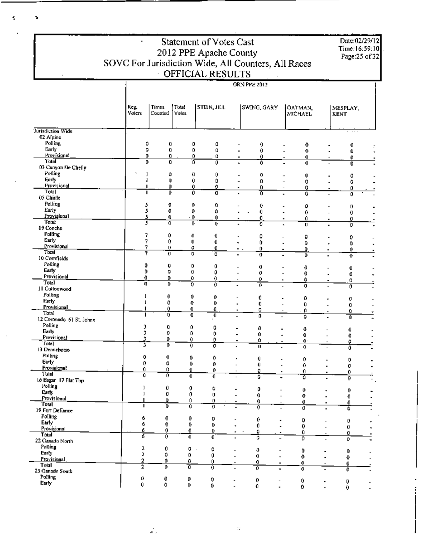|                                     |             |         |                     | <b>Statement of Votes Cast</b><br>2012 PPE Apache County |                                            |                                                                |                                                      | Date:02/29/12<br>Time:16:59:10<br>Page:25 of 32 |   |
|-------------------------------------|-------------|---------|---------------------|----------------------------------------------------------|--------------------------------------------|----------------------------------------------------------------|------------------------------------------------------|-------------------------------------------------|---|
|                                     |             |         |                     | OFFICIAL RESULTS                                         |                                            | SOVC For Jurisdiction Wide, All Counters, All Races            |                                                      |                                                 |   |
|                                     |             |         |                     |                                                          |                                            | <b>GRN PPE 2012</b>                                            |                                                      |                                                 |   |
|                                     | Reg.        | Times   | Total               | STEIN, JILL                                              |                                            | SWING, GARY                                                    | OATMAN.                                              | MESPLAY.                                        |   |
|                                     | Voters      | Counted | <b>Yoles</b>        |                                                          |                                            |                                                                | MICHAEL                                              | <b>KENT</b>                                     |   |
| Jurisdiction Wide<br>02 Alpine      |             |         |                     |                                                          |                                            |                                                                |                                                      |                                                 |   |
| Polling                             | ٥           | 0       |                     | 0<br>٥                                                   |                                            | 0                                                              | 0                                                    | 0                                               |   |
| Early                               | 0           | 0       |                     | 0<br>û                                                   |                                            | 0                                                              | 0                                                    | 0                                               |   |
| Provisional                         | 0           | 0       |                     | 0<br>0                                                   |                                            | 0                                                              | 0<br>$\overline{\phantom{a}}$                        | 0                                               |   |
| <b>Total</b><br>03 Canyon De Chelly | o           | 0       |                     | õ<br>0                                                   |                                            | ō                                                              | 0                                                    | Ō                                               |   |
| Polling                             | 1           | û       |                     | Đ<br>0                                                   |                                            | 0                                                              | 0                                                    |                                                 |   |
| Early                               |             | 0       |                     | 0<br>Ū                                                   |                                            | 0                                                              | 0                                                    | 0<br>0                                          |   |
| Provisional                         |             | 0       |                     | 0<br>0                                                   |                                            | 0                                                              | 0                                                    | 0                                               |   |
| Total<br>05 Chinle                  |             | 0       |                     | õ<br>ō                                                   |                                            | Ō                                                              | ű                                                    | o                                               |   |
| Polling                             |             | 0       |                     | 0<br>O                                                   |                                            |                                                                |                                                      |                                                 |   |
| Early                               | s<br>s      | 0       |                     | 0<br>0                                                   |                                            | 0<br>0.                                                        | 0<br>0                                               | D<br>o                                          |   |
| Provisional                         | 5           | 0       | $\cdot$ 0           | 0                                                        |                                            | 0                                                              | 0<br>٠                                               | 0<br>$\blacksquare$                             |   |
| <b>Total</b><br>09 Concho           | 3           | o       |                     | Ũ.<br>Ō                                                  |                                            | o                                                              | $\mathbf 0$                                          | ō                                               |   |
| Polling                             | 7           | 0       |                     | o<br>0                                                   |                                            |                                                                |                                                      |                                                 |   |
| Early                               | 7           | 0       |                     | 0<br>0                                                   | ٠                                          | 0<br>0                                                         | 0<br>٥<br>٠                                          | 0<br>0                                          |   |
| Provisional                         | 7           | o       |                     | ٥<br>0                                                   | $\sim$ .                                   | 0                                                              | 0<br>٠                                               | 0.<br>٠                                         |   |
| Total<br>10 Cornfields              | 7           | ō       |                     | o<br>ō                                                   |                                            | $\overline{a}$                                                 | O.                                                   | $\boldsymbol{\theta}$                           |   |
| Polling                             | 0           |         |                     |                                                          |                                            |                                                                |                                                      |                                                 |   |
| Early                               | 0           | 0<br>0  |                     | 0<br>0<br>0<br>0                                         |                                            | 0<br>O                                                         | 0                                                    | 0                                               |   |
| Provisional                         | 0           | 0       |                     | 0<br>0                                                   | ٠                                          | 0                                                              | 0<br>0<br>٠                                          | 0<br>0<br>٠                                     |   |
| <b>Total</b>                        | O           | 0       |                     | $\overline{0}$<br>Ò                                      |                                            | õ                                                              | 0                                                    | Ō                                               |   |
| 11 Cottonwood<br>Polling            |             |         |                     |                                                          |                                            |                                                                |                                                      |                                                 |   |
| Early                               | I<br>ı      | 0<br>0  | 0<br>Đ.             | 0<br>0                                                   |                                            | 0                                                              | Û                                                    | Q                                               |   |
| <b>Provisional</b>                  | I.          | 0       | 0                   | Đ,                                                       |                                            | 0<br>Û                                                         | 0<br>$\overline{a}$<br>Ø<br>$\overline{\phantom{a}}$ | 0                                               |   |
| Total                               |             | Ű       | 0                   | $\overline{0}$                                           |                                            | 0                                                              | û                                                    | 0<br>$\overline{\phantom{a}}$<br>û              |   |
| 12 Coronado 61 St. Johns            |             |         |                     |                                                          |                                            |                                                                |                                                      |                                                 |   |
| Polling<br><b>Early</b>             | э<br>3      | 0       | 0                   | O                                                        |                                            | 0                                                              | 0                                                    | 0                                               |   |
| Provisional                         | 3           | o<br>0  | ٥<br>0              | 0<br>0                                                   | $\blacksquare$                             | 0<br>٠<br>Û                                                    | Q                                                    | 0                                               |   |
| Total                               | 3           | 0       | 0                   | Ō                                                        |                                            | 0<br>$\overline{\phantom{a}}$                                  | $\mathbf{0}$<br>ō                                    | o<br>Ō                                          |   |
| 13 Dennehotso<br>Polling            |             |         |                     |                                                          |                                            |                                                                |                                                      |                                                 |   |
| Early                               | 0<br>0.     | 0<br>0  | 0                   | ٥                                                        |                                            | 0                                                              | 0                                                    | 0<br>$\blacksquare$                             |   |
| Provisional                         | 0           | 0       | 0<br>$\mathbf{0}$   | o<br>0                                                   | $\overline{a}$<br>$\overline{\phantom{a}}$ | 0<br>$\overline{a}$<br>0                                       | $\bf{0}$                                             | 0                                               |   |
| Total <sup>-</sup>                  | 0           | Ō       | O.                  | 0                                                        | $\overline{\phantom{a}}$                   | ٠<br>0<br>٠                                                    | 0.<br>ō                                              | 0<br>٠<br>o                                     |   |
| 16 Eagar 17 Flat Top                |             |         |                     |                                                          |                                            |                                                                |                                                      |                                                 |   |
| Polling<br>Earty                    | ı           | 0       | 0                   | 0                                                        | ٠                                          | 0                                                              | $\theta$                                             | 0                                               |   |
| Provisional                         | ı<br>ı      | 0<br>0. | 0<br>0              | $\mathbf 0$<br>o                                         |                                            | 0<br>$\overline{a}$                                            | $\mathbf{0}$                                         | 0<br>$\blacksquare$                             |   |
| Total                               | п           | õ       | 0                   | ō                                                        |                                            | 0<br>$\overline{\phantom{a}}$<br>o<br>$\overline{\phantom{a}}$ | 0.<br>ő                                              | 0<br>٠<br>ō                                     |   |
| 19 Fort Defiance                    |             |         |                     |                                                          |                                            |                                                                |                                                      |                                                 |   |
| Polling<br>Early                    | 6           | Q       | 0                   | 0                                                        | $\overline{a}$                             | 0                                                              | D                                                    | 0                                               |   |
| Provisional                         | 6<br>6.     | 0<br>0  | 0                   | 0.                                                       | ٠                                          | 0                                                              | $\mathbf 0$                                          | 0<br>$\blacksquare$                             |   |
| <b>Total</b>                        | 6           | 0       | 0<br>$\overline{0}$ | 0.<br>ō                                                  | ٠                                          | 0<br>$\hat{\phantom{a}}$<br>o                                  | 0.                                                   | 0<br>$\overline{\phantom{a}}$                   | ٠ |
| 22 Ganado North                     |             |         |                     |                                                          |                                            |                                                                | 0.                                                   | ٥                                               |   |
| Polling                             | z           | 0       | 0                   | 0<br>$\cdot$                                             |                                            | 0                                                              | 0                                                    | 0<br>٠                                          |   |
| Early<br>Provisional                | 2           | Û       | 0                   | $\theta$                                                 | $\overline{\phantom{a}}$                   | $\mathbf{0}$<br>۰                                              | 0                                                    | 0<br>$\blacksquare$                             |   |
| Total                               | 2<br>2      | 0.<br>o | 0<br>Ō              | 0                                                        | $\overline{\phantom{a}}$                   | 0<br>٠                                                         | 0                                                    | 0                                               |   |
| 23 Ganado South                     |             |         |                     | 0                                                        | $\overline{a}$                             | ō                                                              | ō                                                    | Ō                                               |   |
| Polling                             | ٥           | 0       | 0                   | 0                                                        | $\overline{a}$                             | 0<br>$\overline{\phantom{a}}$                                  | 0                                                    | O                                               |   |
| Early                               | $\mathbf 0$ | ٥       | 0                   | 0                                                        |                                            | 0                                                              | $\mathbf{o}$                                         | $\mathbf 0$                                     |   |

K

 $\langle \cdot \rangle_{\mathcal{U}}$ 

 $\vec{x}_i$ 

Ť.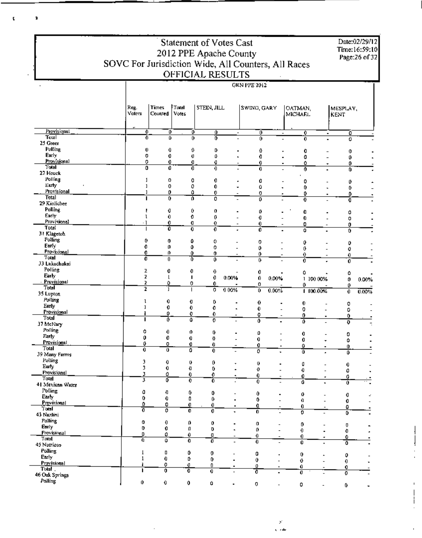**Statement of Votes Cast** Date:02/29/12 Time:16:59:10 2012 PPE Apache County Page:26 of 32 SOVC For Jurisdiction Wide, All Counters, All Races OFFICIAL RESULTS **GRN PPE 2012**  $\overline{a}$ Reg. Total MESPLAY, Times STEIN, JILL **SWING, GARY** OATMAN. Volers Counted Votes **MICHAEL KENT** Provisjonal O õ Ö ÷ ō  $\overline{\mathfrak{o}}$  $\frac{1}{\alpha}$ τ  $\blacksquare$ Total 70 ō ō õ ó ÷. 25 Green Polling  $\mathbf{0}$ 0  $\theta$ D  $\pmb{\theta}$  $\mathbf 0$ Ĭ.  $\alpha$ ÷  $\overline{a}$ J. Early o 0  $\pmb{\mathrm{0}}$  $\boldsymbol{\theta}$ Ō. ō L.  $\blacksquare$  $\overline{a}$  $\mathbf{0}$ ÷. Provisional ò 0  $\mathbf 0$  $\mathbf{d}$ ġ. 0  $\mathbf{0}$  $\ddot{\phantom{0}}$  $\overline{\text{Total}}$  $\overline{\mathfrak{o}}$ ō ō  $\overline{\mathbf{0}}$ ō  $\overline{\mathfrak{o}}$  $\overline{\mathbf{0}}$  $\overline{a}$ L. 27 Houck Polling  $\mathbf{1}$ o o  $\mathbf 0$ 0 ٥ l,  $\theta$  $\overline{a}$ ÷. Earty  $\,$   $\,$ Q 0  $\pmb{0}$ ō ÷ ō ä,  $\overline{a}$  $\theta$  $\overline{a}$ Provisional ö ٥ Ï  $\mathbf{0}$ 0 0  $\mathbf{D}$ ł, Total ī  $\overline{\mathbf{0}}$ ō 0 ō ō  $\overline{0}$ 29 Kinlichee Polling  $\mathfrak o$  $\mathbf{t}$  $\theta$  $\pmb{0}$ Ĭ,  $\pmb{\mathsf{D}}$ ä, Ù Ó ä,  $\overline{a}$ Early ō  $\mathfrak l$  $\pmb{0}$  $\theta$  $\overline{a}$ 0  $\overline{a}$ 0  $\overline{a}$ 0 l, Provisional  $\cdot$  1 0 o  $\theta$ 0 0  $\mathbf{0}$ Total ō T ō ō ō ō  $\overline{a}$ L. 0 31 Klageton Polling  $\theta$  $\mathbf{a}$ ٥ Q. o o.  $\overline{a}$ 0  $\overline{a}$  $\overline{a}$  $\overline{a}$ Early  $\mathbf{0}$  $\pmb{0}$ 0 o ò  $\overline{a}$ ō  $\overline{a}$  $\overline{a}$  $\pmb{\theta}$  $\overline{a}$ Provisional 0 n, 0 Ò. 0 0 Ō  $\overline{\phantom{a}}$ Total õ ō Ō ō 0 ō ō Ĭ. 33 Lukachukai Polling  $\overline{2}$ 0  $\ddot{\mathbf{0}}$  $\ddot{\theta}$ 0  $\ddot{\mathbf{0}}$  $\circ$ Early  $\overline{2}$  $\mathbf{I}$  $\mathbf{I}$ 0 0.00% 1-100.00% 0 0.00%  $\pmb{0}$  $0.00\%$ Provisional 2 Q Ō. Û. o 0 0 Total  $\overline{2}$ ī ī ō 0.00%  $0.00%$  $1100.00%$ 0 0.00% ō 35 Lupton Polling  $\mathfrak l$ 0 o  $\pmb{0}$ Ó  $\mathbf{0}$ ä, l, 0 Early  $\overline{a}$  $\overline{a}$  $\mathbf{1}$ Ō. 0. 0  $\pmb{\mathfrak{g}}$ l, ö 0 L,  $\overline{a}$ Provisional Û 0 O 0 0 ō **Total** ٠ ō ī ō ó ō τ õ ō 37 McNary  $\overline{a}$  $\overline{\phantom{a}}$ Polling ٥  $\pmb{0}$  $\boldsymbol{\theta}$ 0  $\mathfrak{g}$  $\blacksquare$  $\overline{a}$ 0 0  $\overline{a}$ Early  $\mathbf{0}$  $\mathbf{0}$  $\theta$  $\pmb{\mathrm{u}}$  $\mathbf 0$ 0  $\overline{a}$ ÷ 0 Provisional 0 o 0  $\mathbf 0$ 0 Û O. Total ō ō  $\overline{\mathfrak{o}}$  $\overline{0}$  $\overline{\mathfrak{o}}$ Ō ä, ō 39 Many Farms Polling 3 0  $\pmb{0}$  $\mathbf 0$ 0  $\ddot{\phantom{1}}$ Q  $\mathbf 0$ Ĭ. Early<sup>1</sup> ÷,  $\overline{a}$ 3 Ō o. 0 Û l, 0  $\frac{1}{2}$  $\overline{a}$ 0 l, Provisional 3 0  $\boldsymbol{0}$ 0 0 0 Ó  $T$ otal  $\blacksquare$ ō 3 ō õ Ō đ ⊼  $\overline{a}$ 41 Mexican Water ٠ Polling o  $\pmb{\mathfrak{g}}$  $\pmb{0}$ 0  $\mathbf{0}$  $\overline{a}$  $\pmb{0}$ ÷,  $\mathbf 0$ ÷, J. **Early** 0  $\mathbf 0$ ō  $\pmb{0}$ l, 0  $\Omega$  $\overline{a}$  $\overline{a}$ 0  $\overline{a}$ Provisional n, o 0  $\overline{0}$ Ù  $\mathbf 0$  $\blacksquare$ 0  $\overline{\phantom{a}}$ Total ō ō ō 70  $\overline{0}$  $\overline{\mathfrak{o}}$  $\overline{\mathfrak{o}}$ 43 Nazlini Polling o.  $\pmb{0}$  $\mathbf 0$  $\pmb{0}$  $\mathbf{Q}$ ÷,  $\overline{a}$ 0 Ū **Early**  $\mathbf{0}$ 0  $\mathfrak{a}$  $\mathbf 0$ 0  $\ddot{\phantom{a}}$  $\pmb{0}$ Ò  $\overline{a}$ ä, Provisional J. D o o Đ, 0  $\bf{0}$ 0 Tatal  $\overline{a}$ ō ٥ ō ō ō Û ō 45 Nutrioso Polling  $\blacksquare$  $\mathbf{I}$ 0 0 0 0 0 . ÷, Early  $1\,$ 0 Q.  $\mathbf{0}$ Ò.  $\blacksquare$ 0  $\ddot{\mathbf{0}}$ Provisional o  $\mathbf 0$ 0 û. Û Û  $T$ olal r ō Ō ō ō  $\overline{\mathfrak{o}}$ ä, ø 46 Oak Springs Polling  $\mathbf 0$ 0  $\mathbf 0$ Ó  $\overline{a}$ o  $\overline{a}$ Q  $\mathbf 0$ ÷, ä,

> X تقاديا

i.

 $\ddot{\phantom{a}}$ 

¢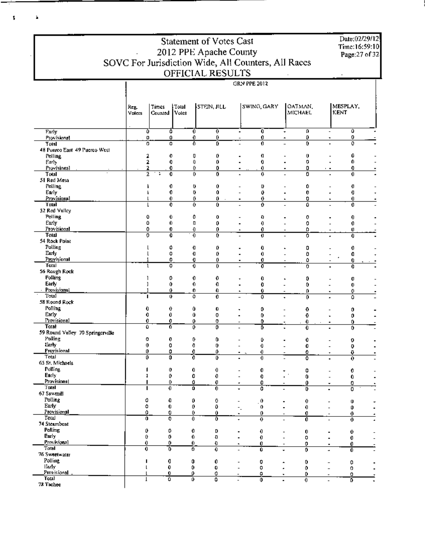| SOVC For Jurisdiction Wide, All Counters, All Races |                       | Date:02/29/12<br>Time:16:59:10<br>Page: 27 of 32           |                         |                                  |                   |                                                 |                                                      |  |
|-----------------------------------------------------|-----------------------|------------------------------------------------------------|-------------------------|----------------------------------|-------------------|-------------------------------------------------|------------------------------------------------------|--|
|                                                     |                       |                                                            | OFFICIAL RESULTS        |                                  | GRN PPE 2012      |                                                 |                                                      |  |
|                                                     |                       |                                                            |                         |                                  |                   |                                                 |                                                      |  |
|                                                     | keg.<br>Volers        | Times<br>Total<br>Voles<br>Counted                         | stein, jill             |                                  | SWING, GARY       | OATMAN,<br>MICHAEL                              | MESPLAY,<br>KENT                                     |  |
| Early                                               |                       | Ō<br>Ō                                                     | 0                       | ᢌ<br>$\blacksquare$              | Ō                 | o<br>$\!\!\star\!\!\;$                          | û                                                    |  |
| Provisional<br>Total                                |                       | 0<br>Û<br>$\overline{\mathfrak{o}}$<br>$\overline{\Omega}$ | 0<br>$\overline{0}$     | 0<br>Ő                           | 0<br>0            | 0<br>0<br>$\overline{a}$                        | 0<br>۰<br>٥<br>$\blacksquare$                        |  |
| 48 Puerco East 49 Puerco West                       |                       |                                                            |                         |                                  |                   |                                                 | 0                                                    |  |
| <b>Polling</b><br>Early                             |                       | 2<br>0<br>2<br>0                                           | O<br>ŋ,                 | 0<br>0                           | O<br>0            | 0<br>0                                          | 0.                                                   |  |
| Provisional                                         |                       | 2<br>0<br>2<br>0                                           | 0<br>0                  | 0<br>0                           | 0<br>0            | 0<br>$\blacksquare$<br>o                        | 0<br>$\cdot$ .<br>0                                  |  |
| Total<br>51 Red Mesa                                |                       |                                                            |                         |                                  |                   |                                                 |                                                      |  |
| Polling                                             |                       | 0<br>ł                                                     | o                       | Û                                | o                 | ٥                                               | o                                                    |  |
| Early<br>Provisional                                |                       | 0<br>ŀ<br>0                                                | 0<br>0                  | Û<br>0<br>٠                      | 0<br>0            | 0<br>0<br>$\blacksquare$                        | 0<br>0<br>$\blacksquare$                             |  |
| Total                                               |                       | 0                                                          | ō                       | Ō                                | ō                 | ٥                                               | 0                                                    |  |
| 52 Red Valley<br><b>Polling</b>                     |                       | ٥<br>Û                                                     | O                       | 0                                | Ð                 | 0                                               | 0                                                    |  |
| Early                                               |                       | ٥<br>0.                                                    | IJ                      | 0<br>$\blacksquare$              | 0                 | 0                                               | 0<br>$\overline{\phantom{0}}$                        |  |
| Provisional<br>Total                                |                       | 0<br>0<br>0<br>0                                           | 0<br>$\theta$           | 0<br>٠<br>0                      | 0<br>$\mathbf{U}$ | ٥<br>ô<br>$\overline{\phantom{0}}$              | Ü<br>$\overline{\phantom{a}}$<br>0                   |  |
| 54 Rock Point                                       |                       |                                                            |                         |                                  |                   |                                                 |                                                      |  |
| Polling<br>Early                                    |                       | Ů<br>L<br>Û<br>l                                           | o<br>O                  | ٥<br>0                           | 0<br>0            | 0<br>٥                                          | 0                                                    |  |
| Provisional                                         |                       | 0<br>1                                                     | o                       | 0<br>$\blacksquare$              | 0                 | ٥                                               | 0<br>0                                               |  |
| Total<br>56 Rough Rock                              |                       | ı<br>0                                                     | 0                       | 0                                | ö                 | ō                                               |                                                      |  |
| <b>Polling</b>                                      |                       | 0<br>1                                                     | 0                       | 0                                | 0                 | 0                                               | o                                                    |  |
| Early                                               |                       | 0<br>1                                                     | 0                       | 0                                | 0                 | 0                                               | $\mathbf 0$                                          |  |
| Provisional<br>Total                                |                       | Û<br>т<br>0                                                | 0<br>o                  | 0<br>$\blacksquare$<br>0         | Û<br>ô            | 0<br>$\overline{\phantom{0}}$<br>0              | 0<br>٠<br>۵                                          |  |
| 58 Round Rock                                       |                       |                                                            |                         |                                  |                   |                                                 |                                                      |  |
| Polling<br>Early                                    |                       | 0<br>0<br>0<br>0                                           | 0<br>Û                  | 0<br>0<br>$\blacksquare$         | 0<br>0            | ۰<br>0<br>$\overline{\phantom{a}}$              | 0<br>0<br>$\blacksquare$                             |  |
| Provisional                                         |                       | 0<br>0                                                     | 0                       | 0<br>$\overline{\phantom{a}}$    | 0                 | 0<br>$\pmb{\tau}$                               | 0<br>$\blacksquare$                                  |  |
| Total<br>59 Round Valley 70 Springerville           |                       | Û<br>0.                                                    | 0                       | ō<br>$\overline{a}$              | ō                 | 0<br>$\blacksquare$                             | 0.                                                   |  |
| Poling                                              |                       | 0<br>0                                                     | 0                       | 0                                | 0                 | 0                                               | o                                                    |  |
| Luty<br>Provisional                                 |                       | 0<br>o<br>0<br>0                                           | 0<br>0                  | 0<br>Ó.                          | 0                 | 0                                               | Ð                                                    |  |
| Total                                               |                       | ō<br>0                                                     | 7                       | ٥                                | 0<br>0            | ó<br>õ                                          | 0<br>$\mathbf{o}$<br>$\blacksquare$                  |  |
| 65 St. Michaels<br>Polling                          |                       | 0<br>1                                                     |                         |                                  |                   |                                                 |                                                      |  |
| Early                                               |                       | 0<br>ı                                                     | 0<br>0<br>0<br>0        |                                  | 0<br>0            | 0<br>٠<br>$\mathbf 0$                           | 0<br>0                                               |  |
| Provisional<br>Total                                |                       | 0                                                          | 0<br>Q                  | ٠                                | o                 | ٥<br>$\overline{\phantom{0}}$                   | 0<br>۰                                               |  |
| 67 Sawmill                                          |                       | $\boldsymbol{0}$                                           | Û<br>$\overline{0}$     | ٠                                | 0                 | D.                                              | 0<br>$\blacksquare$                                  |  |
| Polling                                             | 0                     | û                                                          | 0<br>0                  | ٠                                | $\cdot$           | $\theta$                                        | 0                                                    |  |
| Early<br>Provisional                                | ٥<br>٥                | $\mathbf 0$<br>0                                           | $\theta$<br>Û<br>0<br>0 | ÷,<br>۰                          | 0<br>0            | $\mathbf{0}$<br>0.                              | 0<br>$\mathbf 0$<br>$\overline{\phantom{a}}$         |  |
| Total                                               | $\overline{0}$        | 0                                                          | $\theta$<br>Ō           | ۰                                | $\overline{0}$    | ō                                               | 0<br>$\overline{a}$                                  |  |
| 74 Steamboat<br>Polling                             | 0                     | 0                                                          | 0<br>D                  | $\blacksquare$                   | 0                 | 0                                               | 0                                                    |  |
| Early                                               | 0                     | 0                                                          | 0.<br>łŀ                | ٠                                | 0                 | 0<br>$\overline{\phantom{a}}$                   | 0<br>$\blacksquare$                                  |  |
| Provisional<br>Total                                | $\boldsymbol{0}$<br>0 | 0<br>Ō                                                     | 0.<br>Û<br>o<br>0       | $\blacksquare$<br>$\overline{a}$ | Û<br>û            | 0<br>$\overline{\phantom{a}}$<br>$\overline{0}$ | 0<br>ō                                               |  |
| 76 Sweetwater                                       |                       |                                                            |                         |                                  |                   | ٠                                               |                                                      |  |
| Polling<br>lindy                                    | п<br>$\mathsf{L}$     | 0<br>0                                                     | 0<br>0                  | $\overline{a}$                   | 0                 | 0<br>۰                                          | o<br>$\overline{\phantom{0}}$                        |  |
| Provisional                                         |                       | 0                                                          | 0<br>0<br>0<br>0        |                                  | 0<br>0            | $\mathbf{0}$<br>٠<br>0<br>٠                     | 0<br>$\overline{\phantom{0}}$<br>0<br>$\blacksquare$ |  |
| Total<br>78 Tachee                                  | T                     | ō                                                          | ٥<br>0                  |                                  | 0                 | 0                                               | ٥                                                    |  |
|                                                     |                       |                                                            |                         |                                  |                   |                                                 |                                                      |  |

-T

 $\mathbf{S}^{\text{max}}$  . As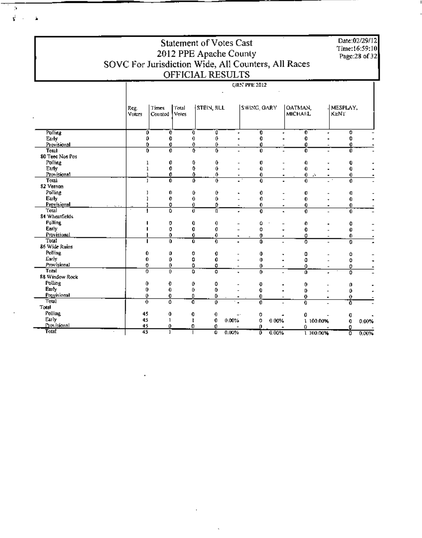Statement of Votes Cast 2012 PPE Apache County<br>SOVC For Jurisdiction Wide, All Counters, All Races<br>OFFICIAL RESULTS

 $\boldsymbol{\mu}$  $\vec{v}$  .

Date:02/29/12<br>Time:16:59:10<br>Page:28 of 32

|                                     |                           | GRN PPE 2012                       |             |                |                |                  |                               |                |                   |       |  |  |
|-------------------------------------|---------------------------|------------------------------------|-------------|----------------|----------------|------------------|-------------------------------|----------------|-------------------|-------|--|--|
|                                     |                           |                                    |             |                |                |                  |                               |                |                   |       |  |  |
|                                     | Reg.<br>Voters            | Times<br>Total<br>Votes<br>Counted |             | STEIN, JILL    |                | SWING, OARY      | OATMAN,<br><b>MICHARL</b>     |                | MESPLAY,<br>KENT. |       |  |  |
|                                     |                           |                                    |             |                |                |                  |                               |                |                   |       |  |  |
| Polling                             | O                         | O                                  | 0           | ō              |                | O                | $\overline{0}$                |                | 0                 |       |  |  |
| Early                               | 0                         | 0                                  | 0           | 0              |                | 0                | 0                             |                | 0                 |       |  |  |
| Provisional                         | 0                         | 0                                  | 0           | 0              | $\blacksquare$ | 0                | 0                             |                | 0                 |       |  |  |
| Total                               | 0                         | $\mathbf 0$                        | Ō           | 0              |                | 0                | Ō                             |                | Ō                 |       |  |  |
| 80 Teed Nos Pos                     |                           |                                    |             |                |                |                  |                               |                |                   |       |  |  |
| Polling                             | ı                         | 0                                  | 0           | 0              |                | 0                | 0                             |                | 0                 |       |  |  |
| Early                               | $\mathbf{1}$              | 0                                  | 0           | û              |                | 0                | 0                             |                | 0                 |       |  |  |
| Provisional                         | 1                         | 0                                  | 0           | 0              | ٠              | 0                | 0                             | A.             | 0                 |       |  |  |
| Total                               | 1                         | 0                                  | ٥           | 0              |                | 0                | 0                             |                | 0                 |       |  |  |
| 82 Vernon                           |                           |                                    |             |                |                |                  |                               |                |                   |       |  |  |
| Polling                             |                           | 0                                  | 0           | 0              | $\blacksquare$ | 0                | 0                             |                | Ū                 |       |  |  |
| Early                               |                           | 0                                  | 0           | 0              |                | 0                | 0                             |                | 0                 |       |  |  |
| Provisional<br>'Fotal               |                           | O                                  | 0           | ٥              |                | 0                | 0<br>٠                        | $\blacksquare$ | 0                 |       |  |  |
| 84 Wheatfields                      |                           | Ō                                  | $\mathbf 0$ | П              | ÷              | 0                | 0<br>L.                       |                | 0                 |       |  |  |
|                                     |                           |                                    |             |                |                |                  |                               |                |                   |       |  |  |
| <b>Polling</b>                      |                           | 0                                  | 0           | 0              |                | ٥                | 0                             |                | o                 |       |  |  |
| Early                               |                           | 0                                  | 0           | 0              |                | o                | 0                             |                | Û                 |       |  |  |
| Provisional                         |                           | 0                                  | 0           | 0              | $\blacksquare$ | 0                | ٥<br>٠                        |                | 0                 | ٠     |  |  |
| Total                               |                           | 0.                                 | Û           | $\overline{0}$ |                | Ō                | õ                             |                | ō                 | Ţ     |  |  |
| 86 Wide Ruins                       |                           |                                    |             |                |                |                  |                               |                |                   |       |  |  |
| Polling                             | 0                         | O                                  | 0           | 0              |                | 0                | 0<br>۰.                       |                | ٥                 |       |  |  |
| Early                               | 0                         | 0                                  | 0           | 0              |                | $\boldsymbol{0}$ | ٥                             |                | o                 |       |  |  |
| Provisional                         | o                         | 0                                  | 0           | 0              |                | 0                | û<br>٠                        |                | 0                 |       |  |  |
| Total                               | $\overline{\mathfrak{o}}$ | 0                                  | 0           | ō              | $\blacksquare$ | ō                | $\overline{0}$                |                | ō                 | Ĭ.    |  |  |
| 88 Window Rock                      |                           |                                    |             |                |                |                  |                               |                |                   |       |  |  |
| Polling                             | 0                         | 0                                  | 0           | 0              |                | O                | 0                             |                | o                 |       |  |  |
| Early                               | 0                         | 0                                  | 0           | 0              |                | 0                | D                             |                | 0                 |       |  |  |
| Provisional                         | 0                         | 0                                  | o           | ٥              | $\blacksquare$ | 0                | 0<br>$\overline{\phantom{a}}$ | $\blacksquare$ | 0                 |       |  |  |
| Total                               | 0                         | û                                  | Ō           | ō              |                | Ő                | ō                             |                | Ō                 |       |  |  |
| Total                               |                           |                                    |             |                |                |                  |                               |                |                   |       |  |  |
| Polling                             | 45                        | Û                                  | 0           | 0              |                | 0                | 0                             |                | Q                 |       |  |  |
| Early                               | 45                        | 1                                  | ŧ           | 0              | 0.00%          | 0<br>0.00%       | ı                             | 100.00%        | 0                 | 0.00% |  |  |
| $\mathbf{\underline{P}}$ ov isional | 45                        | ٥                                  | ٥           | 0              |                | o                | 0                             |                | o                 |       |  |  |
| <b>Total</b>                        | 45                        | J                                  |             | o              | 0.00%          | ō<br>0.00%       |                               | 1 100.00%      | ō                 | 0.00% |  |  |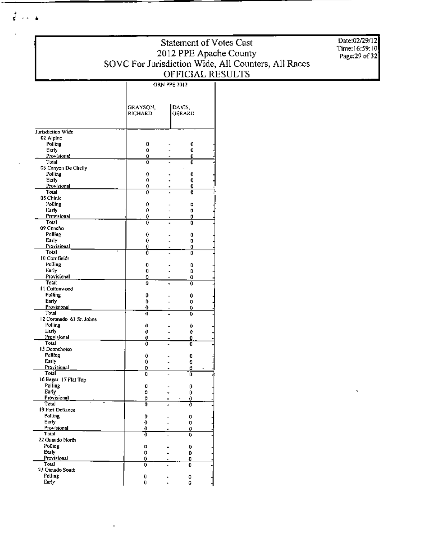### **Statement of Votes Cast** Statement of Votes Case<br>
2012 PPE Apache County<br>
SOVC For Jurisdiction Wide, All Counters, All Races<br>
OFFICIAL RESULTS **GRN PPE 2012**

Date:02/29/12 Time: 16:59:10<br>Page: 29 of 32

|                                   | GRAYSON,<br>RICHARD | DAVIS.<br>GÉRARD |  |
|-----------------------------------|---------------------|------------------|--|
| Jurisdiction Wide                 |                     |                  |  |
| 02 Alpine                         |                     |                  |  |
| Polling                           | 0                   | 0                |  |
| Early                             | 0                   | Û                |  |
| Provisional<br>Total              | û<br>۵              | 0                |  |
| 03 Canyon De Chelly               |                     | 0                |  |
| Polling                           | 0                   | 0                |  |
| Early                             | 0                   | 0                |  |
| Provisional                       | 0                   | 0<br>-           |  |
| Total                             | ٥                   | 0                |  |
| 05 Chiale<br>Polling              | 0                   | 0                |  |
| Early                             | 0                   | 0                |  |
| <b>Provisional</b>                | ٥                   | 0<br>÷           |  |
| Total                             | 0                   | 0                |  |
| 09 Concho                         |                     |                  |  |
| Polling                           | 0                   | Ô                |  |
| Early<br>Provisional              | 0<br>0              | 0<br>0           |  |
| Total                             | ő                   | ۵                |  |
| t0 Comfields                      |                     |                  |  |
| Polling                           | 0                   | O                |  |
| Early                             | 0                   | û                |  |
| Provisional<br>Total              | ٥<br>û              | O                |  |
| 11 Cottonwood                     |                     | 0                |  |
| Polling                           | 0                   | 0                |  |
| Early                             | ٥                   | 0                |  |
| Provisional                       | Û                   | 0                |  |
| Total<br>12 Coronado 61 St. Johns | O                   | 0                |  |
| Folling                           | 0                   | ٥                |  |
| Early                             | 0                   | û                |  |
| Provisional                       | 0                   | Ů                |  |
| <b>Total</b>                      | 0                   | O                |  |
| 13 Dennebotso                     |                     |                  |  |
| <b>Polling</b><br>Early           | 0<br>0              | 0                |  |
| Provisional                       | D                   | O<br>٥           |  |
| Total                             | O                   | 0                |  |
| 16 Eagar 17 Flat Top              |                     |                  |  |
| Polling                           | Û                   | 0                |  |
| Early                             | ٥                   | 0                |  |
| Provisional<br>Total              | 0<br>0              | 0<br>0           |  |
| 19 Fort Defiance                  |                     |                  |  |
| <b>Polling</b>                    | 0                   | 0                |  |
| Early                             | 0                   | o                |  |
| Provisional<br>Totat              | 0                   | ٥                |  |
| 22 Ganado North                   | ō                   | Ŋ,               |  |
| Polling                           | o                   | 0                |  |
| Early                             | 0                   | Û                |  |
| Provisional                       | 0                   | O                |  |
| Total                             | 0                   | 0                |  |
| 23 Ganado South<br>Polling        |                     |                  |  |
| Early                             | Q<br>0              | Û<br>û           |  |
|                                   |                     |                  |  |

 $\overline{1}$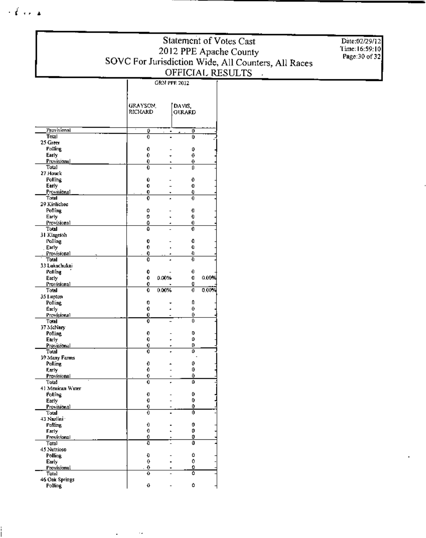### Statement of Votes Cast 2012 PPE Apache County<br>
SOVC For Jurisdiction Wide, All Counters, All Races<br>
OFFICIAL RESULTS **GRN PPE 2012**

Date:02/29/12<br>Time:16:59:10 Page: 30 of 32

|                               | GRAYSON.      |       | DAVIS,        |       |
|-------------------------------|---------------|-------|---------------|-------|
|                               | RICHARD       |       | <b>GERARD</b> |       |
|                               |               |       |               |       |
| Pruvisional                   | o             | ٠     | Ō             |       |
| Total                         | Ð             |       | 0             |       |
| 25 Green                      |               |       |               |       |
| Polling                       | 0             |       | o             |       |
| Early<br>Provisional          | 0             |       | 0             |       |
| Total                         | 0<br>0        |       | 0<br>Û        |       |
| 27 Houck                      |               |       |               |       |
| <b>Polling</b>                | Û             |       | 0             |       |
| Early                         | 0             |       | O             |       |
| Provisional<br>Total          | 0<br>0        |       | O<br>0        |       |
| 29 Kinlichee                  |               |       |               |       |
| Polling.                      | o             |       | Q             |       |
| Early                         | 0             |       | 0             |       |
| Provisional                   | o             |       | 0             |       |
| Total<br>31 Klagetoh          | ō             |       | 0             |       |
| Polling                       | 0             |       | 0             |       |
| Early                         | 0             |       | O             |       |
| Provisional                   | 0             |       | Ð             |       |
| Total                         | O             |       | Đ             |       |
| 33 Lukochukai<br>Polling      | 0             |       | 0             |       |
| Early                         | 0             | 0.00% | O             | 0.00% |
| Provisional                   | 0             |       | O             |       |
| Total                         | 0             | 0.00% | O             | 0.00% |
|                               |               |       |               |       |
| 35 Lunton                     |               |       |               |       |
| Polling.                      | 0             |       | Ũ             |       |
| Early                         | 0             |       | 0             |       |
| Provisional                   | Û<br>0        |       | 0<br>û        |       |
| Total<br>37 McNary            |               |       |               |       |
| Polling                       | 0             |       | 0             |       |
| Early                         | 0             |       | ٥             |       |
| Provisional<br>Total          | 0<br>0        |       | U<br>٥        |       |
| 39 Many Farms                 |               |       |               |       |
| Polling                       | 0             |       | 0             |       |
| Early                         | 0             |       | 0             |       |
| Provisional                   | 0             |       | ٥             |       |
| Total<br>41 Mexican Water     | 0             |       | ٥             |       |
| <b>Polling</b>                | O             |       | 0             |       |
| Early                         | O             |       | 0             |       |
| <b>Provisional</b>            | <u>0</u>      |       | 0             |       |
| Total                         | ō             |       | Ō             |       |
| 43 Nazlini ·<br>Poling        | 0             |       | 0             |       |
| Early                         | 0             |       | 0             |       |
| Provisional                   | 0             |       | 0             |       |
| Total                         | O             |       | 0             |       |
| 45 Nutrioso<br><b>Polling</b> |               |       | ٥             |       |
| Early                         | O<br>$\theta$ |       | 0             |       |
| Provisional                   | 0             |       | ٥             |       |
| Tolal                         | 0             |       | Ō             |       |
| 46 Oak Springs<br>Polling     | 0             |       | ٥             |       |

 $\ddot{\phantom{a}}$ 

 $\mathbf{r}$ 

 $\{ \vec{A} \}$  ,  $\vec{A}$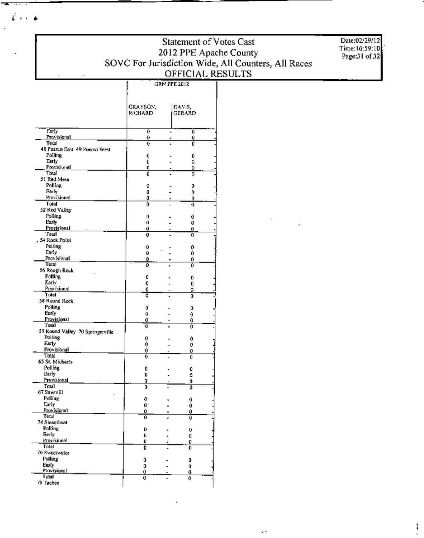**Statement of Votes Cast** 2012 PPE Apache County<br>SOVC For Jurisdiction Wide, All Counters, All Races<br>OFFICIAL RESULTS

 $\ddotsc$ 

Date:02/29/12 Time:16:59:10<br>Page:31 of 32

|                                        | GRAYSON, |   | DAVIS,        |  |
|----------------------------------------|----------|---|---------------|--|
|                                        | RICHARD  |   | <b>GERARD</b> |  |
| Early                                  | ٥        |   | Ö             |  |
| Provisional                            | Đ        |   | 0             |  |
| Total<br>48 Puerco East 49 Puerco West | 0        |   | 0             |  |
| Polling                                | 0        |   | Û             |  |
| Early                                  | 0        |   | 0             |  |
| Provisional                            | 0        |   | ۵             |  |
| Total                                  | 0        |   | 0             |  |
| 51 Red Mesa<br>Polling                 |          |   |               |  |
| Early                                  | û<br>0   |   | 0             |  |
| Provisional                            | 0        |   | 0<br>Ú        |  |
| Total                                  | 0        |   | Đ             |  |
| 52 Red Valley                          |          |   |               |  |
| Polling                                | D        |   | 0             |  |
| Euly                                   | Ð        |   | 0             |  |
| Provisional<br>'Fotal                  | 0        |   | 0             |  |
| 54 Rock Point                          | 0        |   | ٥             |  |
| <b>Polling</b>                         | û        |   | 0             |  |
| Early                                  | û        |   | 0             |  |
| Provisional                            | o        |   | 0             |  |
| Total                                  | o        |   | O             |  |
| 56 Rough Rock                          |          |   |               |  |
| <b>Polling</b><br>Early                | ū<br>0   |   | 0             |  |
| Provisional                            | 0        |   | 0<br>o        |  |
| Total                                  | û        |   | ٥             |  |
| 58 Round Rock                          |          |   |               |  |
| Polling                                | 0        |   | Ď             |  |
| Early                                  | 0        |   | Ð             |  |
| Provisional<br>Total                   | 0        |   | 0             |  |
| 59 Round Valley 70 Springerville       | Û        |   | Û             |  |
| Polling                                | o        |   | û             |  |
| Early                                  | 0        |   | 0             |  |
| Provisional                            | 0        |   | 0             |  |
| Total                                  | 0        |   | 0             |  |
| 65 St. Michaels<br>Polling             |          |   |               |  |
| Early                                  | 0<br>0   |   | 0<br>0        |  |
| Provisional                            | 0        |   | 0             |  |
| Total                                  | 0        |   | Ō             |  |
| 67 Sawmill                             |          |   |               |  |
| Polling                                | 0        | ٠ | 0             |  |
| Early                                  | Û        |   | 0             |  |
| Provisional<br>Total                   | Û        |   | 0             |  |
| 74 Steamboat                           | û        |   | Ő             |  |
| Polling                                | D        |   | Ü             |  |
| Eerly                                  | O        |   | D             |  |
| Provisional                            | 0        |   | 0             |  |
| <b>Total</b>                           | 0        |   | 0             |  |
| 76 Sweetwater<br>Polling               |          |   |               |  |
| Early                                  | 0<br>D   |   | 0             |  |
| Provisional                            | 0        |   | 0<br>0        |  |
| <b>Total</b>                           | 0        |   | 0             |  |
| 78 Tachee                              |          |   |               |  |